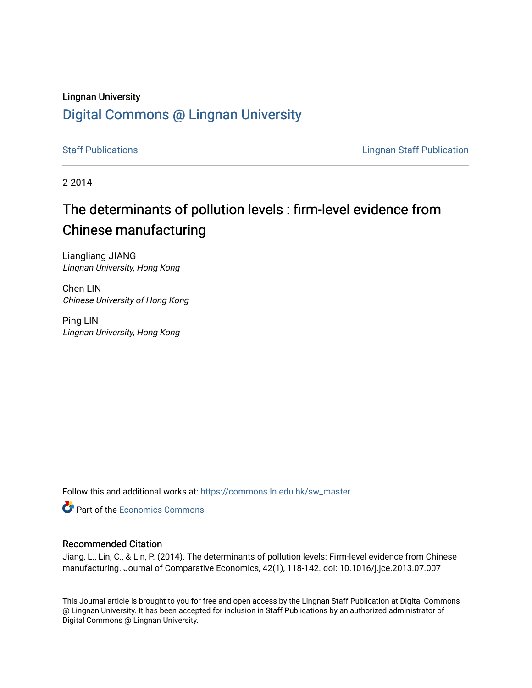## Lingnan University [Digital Commons @ Lingnan University](https://commons.ln.edu.hk/)

[Staff Publications](https://commons.ln.edu.hk/sw_master) **Staff Publications Lingnan Staff Publication** 

2-2014

# The determinants of pollution levels : firm-level evidence from Chinese manufacturing

Liangliang JIANG Lingnan University, Hong Kong

Chen LIN Chinese University of Hong Kong

Ping LIN Lingnan University, Hong Kong

Follow this and additional works at: [https://commons.ln.edu.hk/sw\\_master](https://commons.ln.edu.hk/sw_master?utm_source=commons.ln.edu.hk%2Fsw_master%2F943&utm_medium=PDF&utm_campaign=PDFCoverPages) 

**Part of the [Economics Commons](http://network.bepress.com/hgg/discipline/340?utm_source=commons.ln.edu.hk%2Fsw_master%2F943&utm_medium=PDF&utm_campaign=PDFCoverPages)** 

#### Recommended Citation

Jiang, L., Lin, C., & Lin, P. (2014). The determinants of pollution levels: Firm-level evidence from Chinese manufacturing. Journal of Comparative Economics, 42(1), 118-142. doi: 10.1016/j.jce.2013.07.007

This Journal article is brought to you for free and open access by the Lingnan Staff Publication at Digital Commons @ Lingnan University. It has been accepted for inclusion in Staff Publications by an authorized administrator of Digital Commons @ Lingnan University.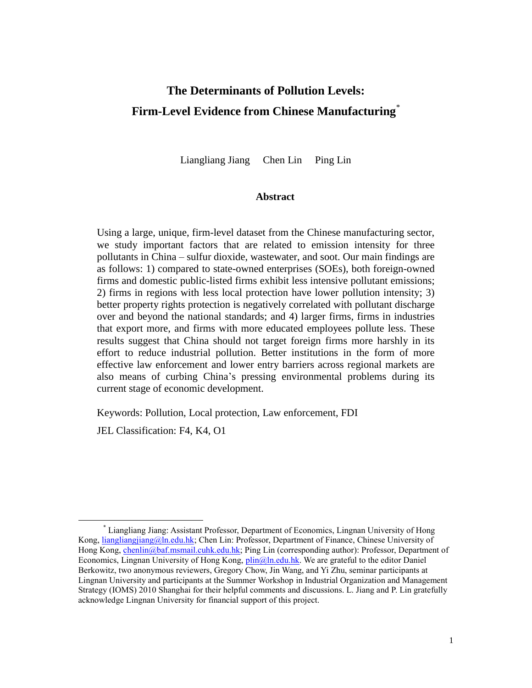## **The Determinants of Pollution Levels: Firm-Level Evidence from Chinese Manufacturing**\*

Liangliang Jiang Chen Lin Ping Lin

#### **Abstract**

Using a large, unique, firm-level dataset from the Chinese manufacturing sector, we study important factors that are related to emission intensity for three pollutants in China – sulfur dioxide, wastewater, and soot. Our main findings are as follows: 1) compared to state-owned enterprises (SOEs), both foreign-owned firms and domestic public-listed firms exhibit less intensive pollutant emissions; 2) firms in regions with less local protection have lower pollution intensity; 3) better property rights protection is negatively correlated with pollutant discharge over and beyond the national standards; and 4) larger firms, firms in industries that export more, and firms with more educated employees pollute less. These results suggest that China should not target foreign firms more harshly in its effort to reduce industrial pollution. Better institutions in the form of more effective law enforcement and lower entry barriers across regional markets are also means of curbing China's pressing environmental problems during its current stage of economic development.

Keywords: Pollution, Local protection, Law enforcement, FDI

JEL Classification: F4, K4, O1

l

<sup>\*</sup> Liangliang Jiang: Assistant Professor, Department of Economics, Lingnan University of Hong Kong, [liangliangjiang@ln.edu.hk;](mailto:liangliangjiang@ln.edu.hk) Chen Lin: Professor, Department of Finance, Chinese University of Hong Kong, [chenlin@baf.msmail.cuhk.edu.hk;](mailto:chenlin@baf.msmail.cuhk.edu.hk) Ping Lin (corresponding author): Professor, Department of Economics, Lingnan University of Hong Kong[, plin@ln.edu.hk.](mailto:plin@ln.edu.hk) We are grateful to the editor Daniel Berkowitz, two anonymous reviewers, Gregory Chow, Jin Wang, and Yi Zhu, seminar participants at Lingnan University and participants at the Summer Workshop in Industrial Organization and Management Strategy (IOMS) 2010 Shanghai for their helpful comments and discussions. L. Jiang and P. Lin gratefully acknowledge Lingnan University for financial support of this project.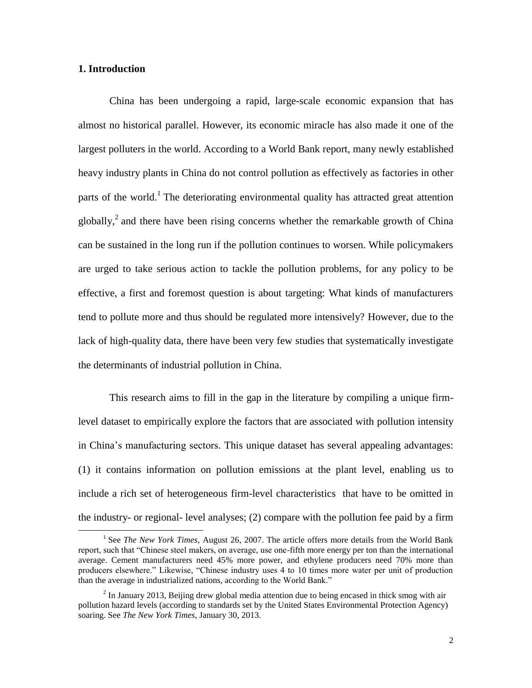#### **1. Introduction**

 $\overline{a}$ 

China has been undergoing a rapid, large-scale economic expansion that has almost no historical parallel. However, its economic miracle has also made it one of the largest polluters in the world. According to a World Bank report, many newly established heavy industry plants in China do not control pollution as effectively as factories in other parts of the world.<sup>1</sup> The deteriorating environmental quality has attracted great attention globally,<sup>2</sup> and there have been rising concerns whether the remarkable growth of China can be sustained in the long run if the pollution continues to worsen. While policymakers are urged to take serious action to tackle the pollution problems, for any policy to be effective, a first and foremost question is about targeting: What kinds of manufacturers tend to pollute more and thus should be regulated more intensively? However, due to the lack of high-quality data, there have been very few studies that systematically investigate the determinants of industrial pollution in China.

This research aims to fill in the gap in the literature by compiling a unique firmlevel dataset to empirically explore the factors that are associated with pollution intensity in China's manufacturing sectors. This unique dataset has several appealing advantages: (1) it contains information on pollution emissions at the plant level, enabling us to include a rich set of heterogeneous firm-level characteristics that have to be omitted in the industry- or regional- level analyses; (2) compare with the pollution fee paid by a firm

<sup>&</sup>lt;sup>1</sup> See *The New York Times*, August 26, 2007. The article offers more details from the World Bank report, such that "Chinese steel makers, on average, use one-fifth more energy per ton than the international average. Cement manufacturers need 45% more power, and ethylene producers need 70% more than producers elsewhere." Likewise, "Chinese industry uses 4 to 10 times more water per unit of production than the average in industrialized nations, according to the World Bank."

 $2$  In January 2013, Beijing drew global media attention due to being encased in thick smog with air pollution hazard levels (according to standards set by the United States Environmental Protection Agency) soaring. See *The New York Times*, January 30, 2013.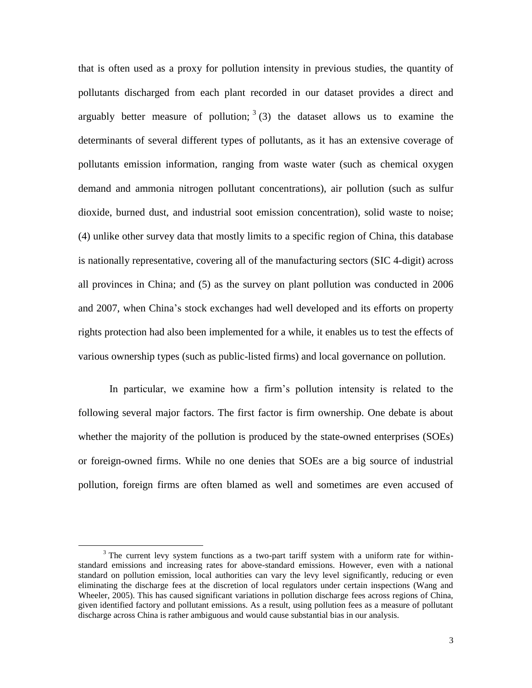that is often used as a proxy for pollution intensity in previous studies, the quantity of pollutants discharged from each plant recorded in our dataset provides a direct and arguably better measure of pollution;  $3(3)$  the dataset allows us to examine the determinants of several different types of pollutants, as it has an extensive coverage of pollutants emission information, ranging from waste water (such as chemical oxygen demand and ammonia nitrogen pollutant concentrations), air pollution (such as sulfur dioxide, burned dust, and industrial soot emission concentration), solid waste to noise; (4) unlike other survey data that mostly limits to a specific region of China, this database is nationally representative, covering all of the manufacturing sectors (SIC 4-digit) across all provinces in China; and (5) as the survey on plant pollution was conducted in 2006 and 2007, when China's stock exchanges had well developed and its efforts on property rights protection had also been implemented for a while, it enables us to test the effects of various ownership types (such as public-listed firms) and local governance on pollution.

In particular, we examine how a firm's pollution intensity is related to the following several major factors. The first factor is firm ownership. One debate is about whether the majority of the pollution is produced by the state-owned enterprises (SOEs) or foreign-owned firms. While no one denies that SOEs are a big source of industrial pollution, foreign firms are often blamed as well and sometimes are even accused of

 $3$  The current levy system functions as a two-part tariff system with a uniform rate for withinstandard emissions and increasing rates for above-standard emissions. However, even with a national standard on pollution emission, local authorities can vary the levy level significantly, reducing or even eliminating the discharge fees at the discretion of local regulators under certain inspections (Wang and Wheeler, 2005). This has caused significant variations in pollution discharge fees across regions of China, given identified factory and pollutant emissions. As a result, using pollution fees as a measure of pollutant discharge across China is rather ambiguous and would cause substantial bias in our analysis.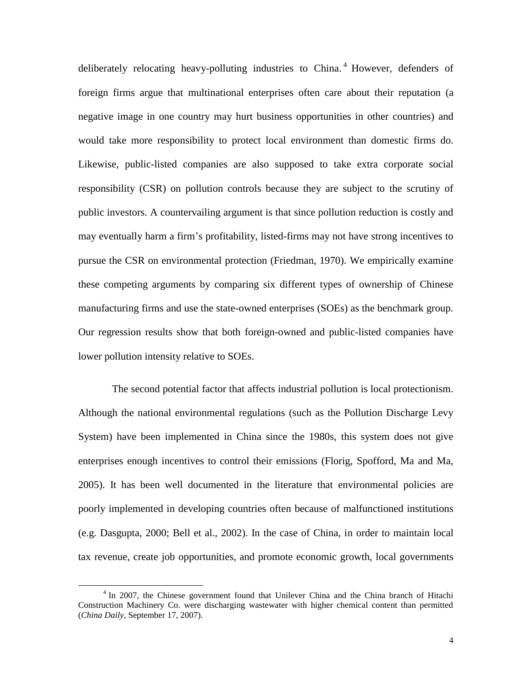deliberately relocating heavy-polluting industries to China.<sup>4</sup> However, defenders of foreign firms argue that multinational enterprises often care about their reputation (a negative image in one country may hurt business opportunities in other countries) and would take more responsibility to protect local environment than domestic firms do. Likewise, public-listed companies are also supposed to take extra corporate social responsibility (CSR) on pollution controls because they are subject to the scrutiny of public investors. A countervailing argument is that since pollution reduction is costly and may eventually harm a firm's profitability, listed-firms may not have strong incentives to pursue the CSR on environmental protection (Friedman, 1970). We empirically examine these competing arguments by comparing six different types of ownership of Chinese manufacturing firms and use the state-owned enterprises (SOEs) as the benchmark group. Our regression results show that both foreign-owned and public-listed companies have lower pollution intensity relative to SOEs.

The second potential factor that affects industrial pollution is local protectionism. Although the national environmental regulations (such as the Pollution Discharge Levy System) have been implemented in China since the 1980s, this system does not give enterprises enough incentives to control their emissions (Florig, Spofford, Ma and Ma, 2005). It has been well documented in the literature that environmental policies are poorly implemented in developing countries often because of malfunctioned institutions (e.g. Dasgupta, 2000; Bell et al., 2002). In the case of China, in order to maintain local tax revenue, create job opportunities, and promote economic growth, local governments

<sup>&</sup>lt;sup>4</sup> In 2007, the Chinese government found that Unilever China and the China branch of Hitachi Construction Machinery Co. were discharging wastewater with higher chemical content than permitted (*China Daily*, September 17, 2007).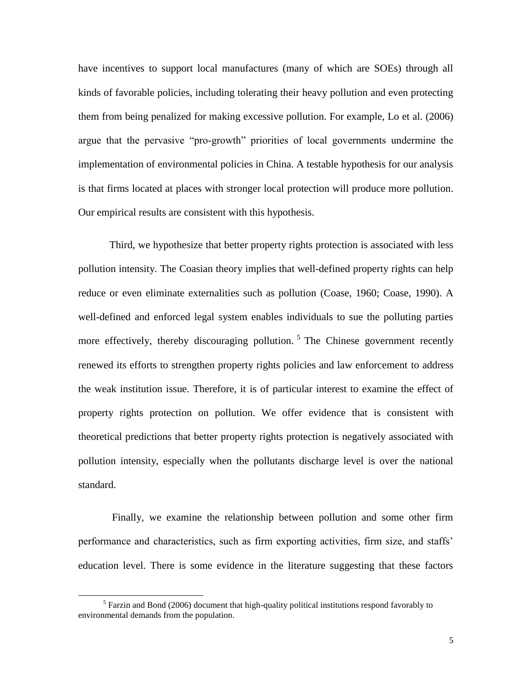have incentives to support local manufactures (many of which are SOEs) through all kinds of favorable policies, including tolerating their heavy pollution and even protecting them from being penalized for making excessive pollution. For example, Lo et al. (2006) argue that the pervasive "pro-growth" priorities of local governments undermine the implementation of environmental policies in China. A testable hypothesis for our analysis is that firms located at places with stronger local protection will produce more pollution. Our empirical results are consistent with this hypothesis.

Third, we hypothesize that better property rights protection is associated with less pollution intensity. The Coasian theory implies that well-defined property rights can help reduce or even eliminate externalities such as pollution (Coase, 1960; Coase, 1990). A well-defined and enforced legal system enables individuals to sue the polluting parties more effectively, thereby discouraging pollution.<sup>5</sup> The Chinese government recently renewed its efforts to strengthen property rights policies and law enforcement to address the weak institution issue. Therefore, it is of particular interest to examine the effect of property rights protection on pollution. We offer evidence that is consistent with theoretical predictions that better property rights protection is negatively associated with pollution intensity, especially when the pollutants discharge level is over the national standard.

Finally, we examine the relationship between pollution and some other firm performance and characteristics, such as firm exporting activities, firm size, and staffs' education level. There is some evidence in the literature suggesting that these factors

 $<sup>5</sup>$  Farzin and Bond (2006) document that high-quality political institutions respond favorably to</sup> environmental demands from the population.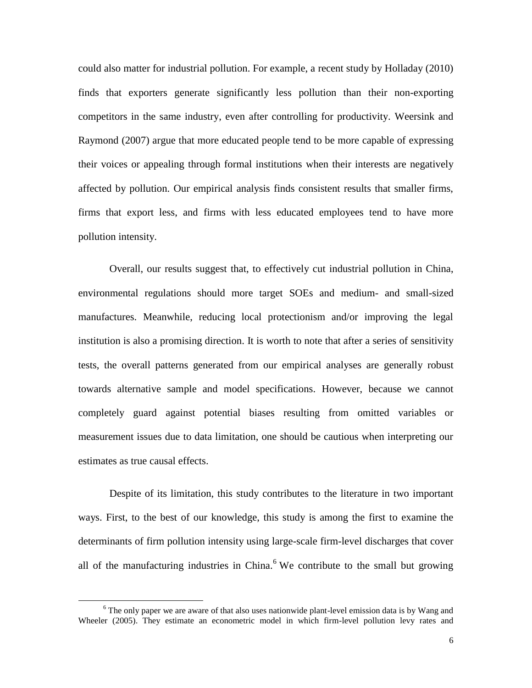could also matter for industrial pollution. For example, a recent study by Holladay (2010) finds that exporters generate significantly less pollution than their non-exporting competitors in the same industry, even after controlling for productivity. Weersink and Raymond (2007) argue that more educated people tend to be more capable of expressing their voices or appealing through formal institutions when their interests are negatively affected by pollution. Our empirical analysis finds consistent results that smaller firms, firms that export less, and firms with less educated employees tend to have more pollution intensity.

Overall, our results suggest that, to effectively cut industrial pollution in China, environmental regulations should more target SOEs and medium- and small-sized manufactures. Meanwhile, reducing local protectionism and/or improving the legal institution is also a promising direction. It is worth to note that after a series of sensitivity tests, the overall patterns generated from our empirical analyses are generally robust towards alternative sample and model specifications. However, because we cannot completely guard against potential biases resulting from omitted variables or measurement issues due to data limitation, one should be cautious when interpreting our estimates as true causal effects.

Despite of its limitation, this study contributes to the literature in two important ways. First, to the best of our knowledge, this study is among the first to examine the determinants of firm pollution intensity using large-scale firm-level discharges that cover all of the manufacturing industries in China.<sup>6</sup> We contribute to the small but growing

 $6$  The only paper we are aware of that also uses nationwide plant-level emission data is by Wang and Wheeler (2005). They estimate an econometric model in which firm-level pollution levy rates and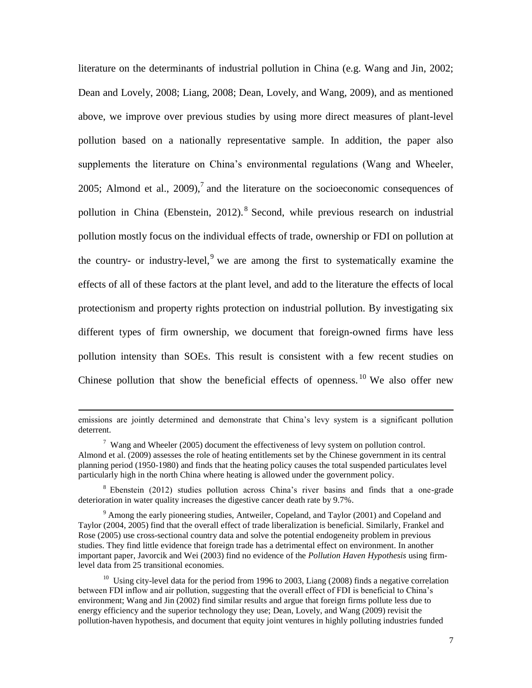literature on the determinants of industrial pollution in China (e.g. Wang and Jin, 2002; Dean and Lovely, 2008; Liang, 2008; Dean, Lovely, and Wang, 2009), and as mentioned above, we improve over previous studies by using more direct measures of plant-level pollution based on a nationally representative sample. In addition, the paper also supplements the literature on China's environmental regulations (Wang and Wheeler, 2005; Almond et al., 2009),<sup>7</sup> and the literature on the socioeconomic consequences of pollution in China (Ebenstein, 2012).<sup>8</sup> Second, while previous research on industrial pollution mostly focus on the individual effects of trade, ownership or FDI on pollution at the country- or industry-level,  $9$  we are among the first to systematically examine the effects of all of these factors at the plant level, and add to the literature the effects of local protectionism and property rights protection on industrial pollution. By investigating six different types of firm ownership, we document that foreign-owned firms have less pollution intensity than SOEs. This result is consistent with a few recent studies on Chinese pollution that show the beneficial effects of openness. <sup>10</sup> We also offer new

emissions are jointly determined and demonstrate that China's levy system is a significant pollution deterrent.

 $7$  Wang and Wheeler (2005) document the effectiveness of levy system on pollution control. Almond et al. (2009) assesses the role of heating entitlements set by the Chinese government in its central planning period (1950-1980) and finds that the heating policy causes the total suspended particulates level particularly high in the north China where heating is allowed under the government policy.

<sup>8</sup> Ebenstein (2012) studies pollution across China's river basins and finds that a one-grade deterioration in water quality increases the digestive cancer death rate by 9.7%.

 $9$  Among the early pioneering studies, Antweiler, Copeland, and Taylor (2001) and Copeland and Taylor (2004, 2005) find that the overall effect of trade liberalization is beneficial. Similarly, Frankel and Rose (2005) use cross-sectional country data and solve the potential endogeneity problem in previous studies. They find little evidence that foreign trade has a detrimental effect on environment. In another important paper, Javorcik and Wei (2003) find no evidence of the *Pollution Haven Hypothesis* using firmlevel data from 25 transitional economies.

<sup>&</sup>lt;sup>10</sup> Using city-level data for the period from 1996 to 2003, Liang (2008) finds a negative correlation between FDI inflow and air pollution, suggesting that the overall effect of FDI is beneficial to China's environment; Wang and Jin (2002) find similar results and argue that foreign firms pollute less due to energy efficiency and the superior technology they use; Dean, Lovely, and Wang (2009) revisit the pollution-haven hypothesis, and document that equity joint ventures in highly polluting industries funded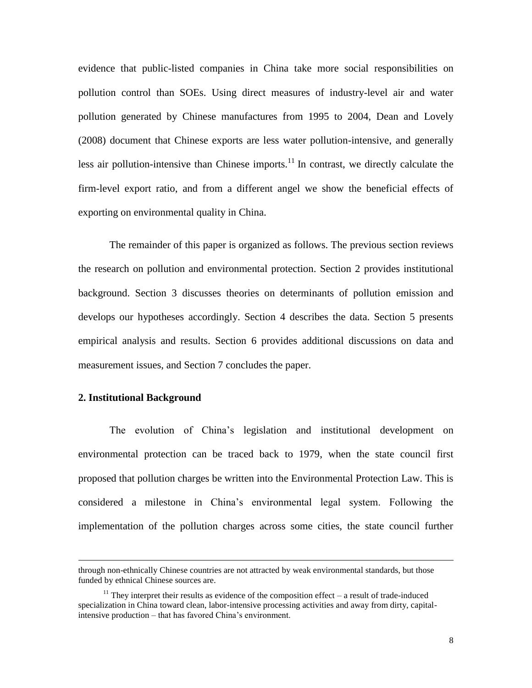evidence that public-listed companies in China take more social responsibilities on pollution control than SOEs. Using direct measures of industry-level air and water pollution generated by Chinese manufactures from 1995 to 2004, Dean and Lovely (2008) document that Chinese exports are less water pollution-intensive, and generally less air pollution-intensive than Chinese imports. $11$  In contrast, we directly calculate the firm-level export ratio, and from a different angel we show the beneficial effects of exporting on environmental quality in China.

The remainder of this paper is organized as follows. The previous section reviews the research on pollution and environmental protection. Section 2 provides institutional background. Section 3 discusses theories on determinants of pollution emission and develops our hypotheses accordingly. Section 4 describes the data. Section 5 presents empirical analysis and results. Section 6 provides additional discussions on data and measurement issues, and Section 7 concludes the paper.

#### **2. Institutional Background**

 $\overline{a}$ 

The evolution of China's legislation and institutional development on environmental protection can be traced back to 1979, when the state council first proposed that pollution charges be written into the Environmental Protection Law. This is considered a milestone in China's environmental legal system. Following the implementation of the pollution charges across some cities, the state council further

through non-ethnically Chinese countries are not attracted by weak environmental standards, but those funded by ethnical Chinese sources are.

 $11$  They interpret their results as evidence of the composition effect – a result of trade-induced specialization in China toward clean, labor-intensive processing activities and away from dirty, capitalintensive production – that has favored China's environment.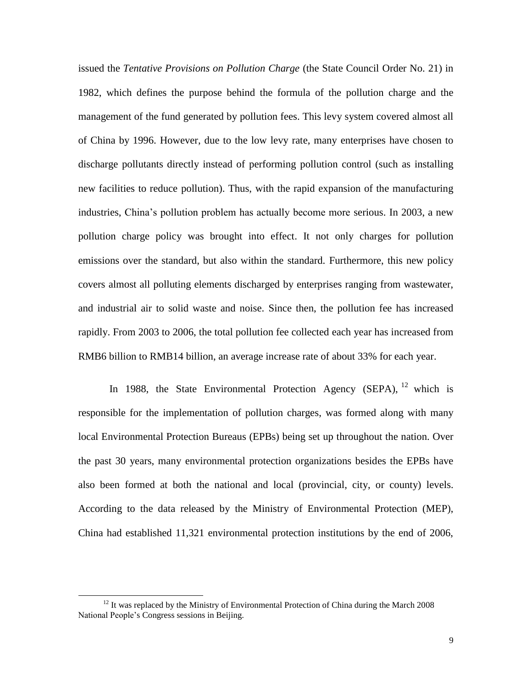issued the *Tentative Provisions on Pollution Charge* (the State Council Order No. 21) in 1982, which defines the purpose behind the formula of the pollution charge and the management of the fund generated by pollution fees. This levy system covered almost all of China by 1996. However, due to the low levy rate, many enterprises have chosen to discharge pollutants directly instead of performing pollution control (such as installing new facilities to reduce pollution). Thus, with the rapid expansion of the manufacturing industries, China's pollution problem has actually become more serious. In 2003, a new pollution charge policy was brought into effect. It not only charges for pollution emissions over the standard, but also within the standard. Furthermore, this new policy covers almost all polluting elements discharged by enterprises ranging from wastewater, and industrial air to solid waste and noise. Since then, the pollution fee has increased rapidly. From 2003 to 2006, the total pollution fee collected each year has increased from RMB6 billion to RMB14 billion, an average increase rate of about 33% for each year.

In 1988, the State Environmental Protection Agency (SEPA),  $^{12}$  which is responsible for the implementation of pollution charges, was formed along with many local Environmental Protection Bureaus (EPBs) being set up throughout the nation. Over the past 30 years, many environmental protection organizations besides the EPBs have also been formed at both the national and local (provincial, city, or county) levels. According to the data released by the Ministry of Environmental Protection (MEP), China had established 11,321 environmental protection institutions by the end of 2006,

 $12$  It was replaced by the Ministry of Environmental Protection of China during the March 2008 National People's Congress sessions in Beijing.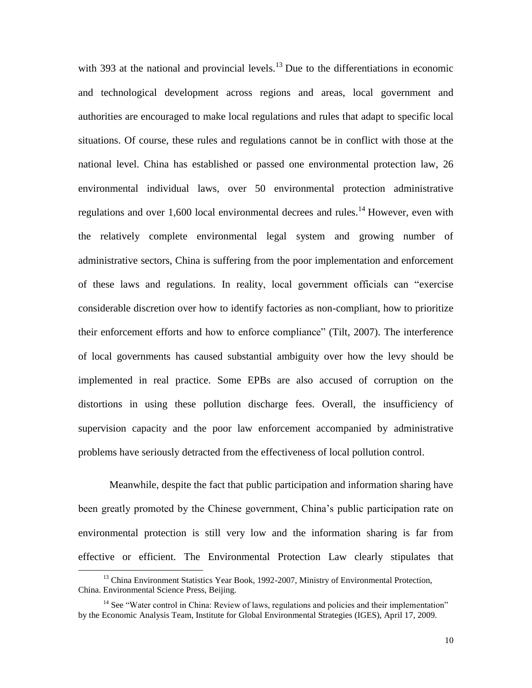with 393 at the national and provincial levels.<sup>13</sup> Due to the differentiations in economic and technological development across regions and areas, local government and authorities are encouraged to make local regulations and rules that adapt to specific local situations. Of course, these rules and regulations cannot be in conflict with those at the national level. China has established or passed one environmental protection law, 26 environmental individual laws, over 50 environmental protection administrative regulations and over 1,600 local environmental decrees and rules.<sup>14</sup> However, even with the relatively complete environmental legal system and growing number of administrative sectors, China is suffering from the poor implementation and enforcement of these laws and regulations. In reality, local government officials can "exercise considerable discretion over how to identify factories as non-compliant, how to prioritize their enforcement efforts and how to enforce compliance" (Tilt, 2007). The interference of local governments has caused substantial ambiguity over how the levy should be implemented in real practice. Some EPBs are also accused of corruption on the distortions in using these pollution discharge fees. Overall, the insufficiency of supervision capacity and the poor law enforcement accompanied by administrative problems have seriously detracted from the effectiveness of local pollution control.

Meanwhile, despite the fact that public participation and information sharing have been greatly promoted by the Chinese government, China's public participation rate on environmental protection is still very low and the information sharing is far from effective or efficient. The Environmental Protection Law clearly stipulates that

<sup>&</sup>lt;sup>13</sup> China Environment Statistics Year Book, 1992-2007, Ministry of Environmental Protection, China. Environmental Science Press, Beijing.

<sup>&</sup>lt;sup>14</sup> See "Water control in China: Review of laws, regulations and policies and their implementation" by the Economic Analysis Team, Institute for Global Environmental Strategies (IGES), April 17, 2009.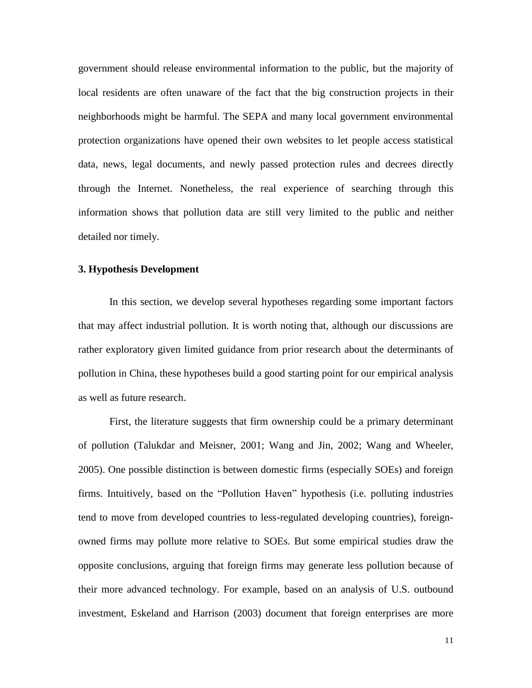government should release environmental information to the public, but the majority of local residents are often unaware of the fact that the big construction projects in their neighborhoods might be harmful. The SEPA and many local government environmental protection organizations have opened their own websites to let people access statistical data, news, legal documents, and newly passed protection rules and decrees directly through the Internet. Nonetheless, the real experience of searching through this information shows that pollution data are still very limited to the public and neither detailed nor timely.

#### **3. Hypothesis Development**

In this section, we develop several hypotheses regarding some important factors that may affect industrial pollution. It is worth noting that, although our discussions are rather exploratory given limited guidance from prior research about the determinants of pollution in China, these hypotheses build a good starting point for our empirical analysis as well as future research.

First, the literature suggests that firm ownership could be a primary determinant of pollution (Talukdar and Meisner, 2001; Wang and Jin, 2002; Wang and Wheeler, 2005). One possible distinction is between domestic firms (especially SOEs) and foreign firms. Intuitively, based on the "Pollution Haven" hypothesis (i.e. polluting industries tend to move from developed countries to less-regulated developing countries), foreignowned firms may pollute more relative to SOEs. But some empirical studies draw the opposite conclusions, arguing that foreign firms may generate less pollution because of their more advanced technology. For example, based on an analysis of U.S. outbound investment, Eskeland and Harrison (2003) document that foreign enterprises are more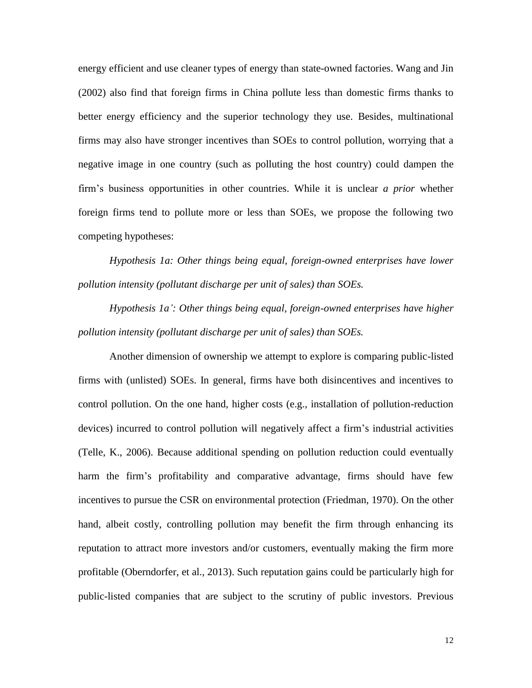energy efficient and use cleaner types of energy than state-owned factories. Wang and Jin (2002) also find that foreign firms in China pollute less than domestic firms thanks to better energy efficiency and the superior technology they use. Besides, multinational firms may also have stronger incentives than SOEs to control pollution, worrying that a negative image in one country (such as polluting the host country) could dampen the firm's business opportunities in other countries. While it is unclear *a prior* whether foreign firms tend to pollute more or less than SOEs, we propose the following two competing hypotheses:

*Hypothesis 1a: Other things being equal, foreign-owned enterprises have lower pollution intensity (pollutant discharge per unit of sales) than SOEs.*

*Hypothesis 1a': Other things being equal, foreign-owned enterprises have higher pollution intensity (pollutant discharge per unit of sales) than SOEs.*

Another dimension of ownership we attempt to explore is comparing public-listed firms with (unlisted) SOEs. In general, firms have both disincentives and incentives to control pollution. On the one hand, higher costs (e.g., installation of pollution-reduction devices) incurred to control pollution will negatively affect a firm's industrial activities (Telle, K., 2006). Because additional spending on pollution reduction could eventually harm the firm's profitability and comparative advantage, firms should have few incentives to pursue the CSR on environmental protection (Friedman, 1970). On the other hand, albeit costly, controlling pollution may benefit the firm through enhancing its reputation to attract more investors and/or customers, eventually making the firm more profitable (Oberndorfer, et al., 2013). Such reputation gains could be particularly high for public-listed companies that are subject to the scrutiny of public investors. Previous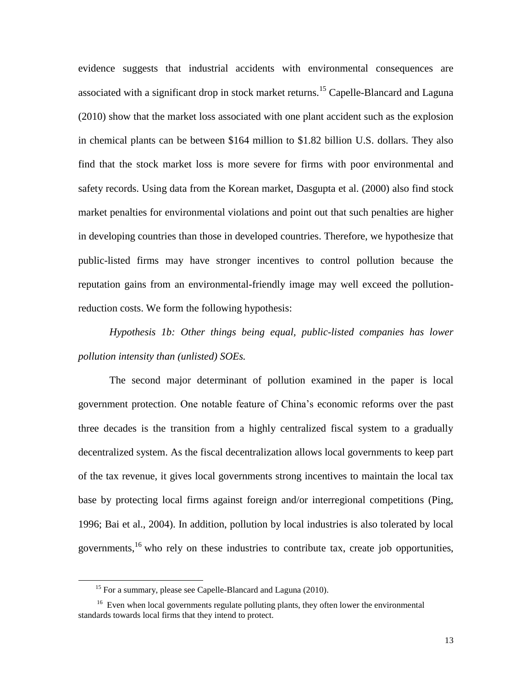evidence suggests that industrial accidents with environmental consequences are associated with a significant drop in stock market returns.<sup>15</sup> Capelle-Blancard and Laguna (2010) show that the market loss associated with one plant accident such as the explosion in chemical plants can be between \$164 million to \$1.82 billion U.S. dollars. They also find that the stock market loss is more severe for firms with poor environmental and safety records. Using data from the Korean market, Dasgupta et al. (2000) also find stock market penalties for environmental violations and point out that such penalties are higher in developing countries than those in developed countries. Therefore, we hypothesize that public-listed firms may have stronger incentives to control pollution because the reputation gains from an environmental-friendly image may well exceed the pollutionreduction costs. We form the following hypothesis:

*Hypothesis 1b: Other things being equal, public-listed companies has lower pollution intensity than (unlisted) SOEs.*

The second major determinant of pollution examined in the paper is local government protection. One notable feature of China's economic reforms over the past three decades is the transition from a highly centralized fiscal system to a gradually decentralized system. As the fiscal decentralization allows local governments to keep part of the tax revenue, it gives local governments strong incentives to maintain the local tax base by protecting local firms against foreign and/or interregional competitions (Ping, 1996; Bai et al., 2004). In addition, pollution by local industries is also tolerated by local governments,<sup>16</sup> who rely on these industries to contribute tax, create job opportunities,

<sup>&</sup>lt;sup>15</sup> For a summary, please see Capelle-Blancard and Laguna (2010).

<sup>&</sup>lt;sup>16</sup> Even when local governments regulate polluting plants, they often lower the environmental standards towards local firms that they intend to protect.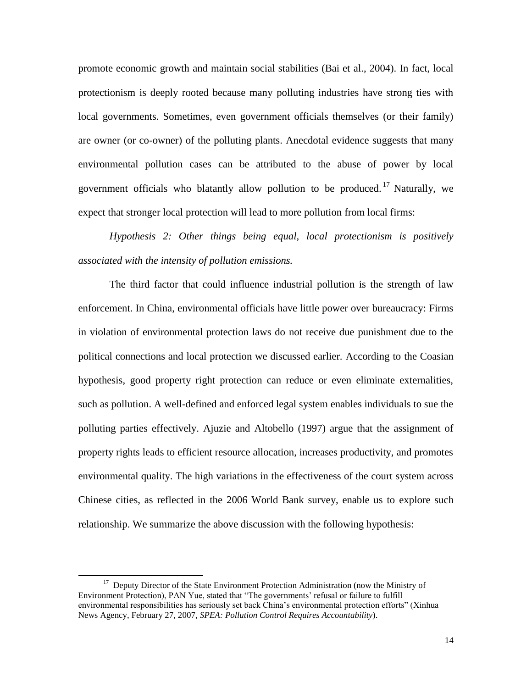promote economic growth and maintain social stabilities (Bai et al., 2004). In fact, local protectionism is deeply rooted because many polluting industries have strong ties with local governments. Sometimes, even government officials themselves (or their family) are owner (or co-owner) of the polluting plants. Anecdotal evidence suggests that many environmental pollution cases can be attributed to the abuse of power by local government officials who blatantly allow pollution to be produced.<sup>17</sup> Naturally, we expect that stronger local protection will lead to more pollution from local firms:

*Hypothesis 2: Other things being equal, local protectionism is positively associated with the intensity of pollution emissions.*

The third factor that could influence industrial pollution is the strength of law enforcement. In China, environmental officials have little power over bureaucracy: Firms in violation of environmental protection laws do not receive due punishment due to the political connections and local protection we discussed earlier. According to the Coasian hypothesis, good property right protection can reduce or even eliminate externalities, such as pollution. A well-defined and enforced legal system enables individuals to sue the polluting parties effectively. Ajuzie and Altobello (1997) argue that the assignment of property rights leads to efficient resource allocation, increases productivity, and promotes environmental quality. The high variations in the effectiveness of the court system across Chinese cities, as reflected in the 2006 World Bank survey, enable us to explore such relationship. We summarize the above discussion with the following hypothesis:

<sup>&</sup>lt;sup>17</sup> Deputy Director of the State Environment Protection Administration (now the Ministry of Environment Protection), PAN Yue, stated that "The governments' refusal or failure to fulfill environmental responsibilities has seriously set back China's environmental protection efforts" (Xinhua News Agency, February 27, 2007, *SPEA: Pollution Control Requires Accountability*).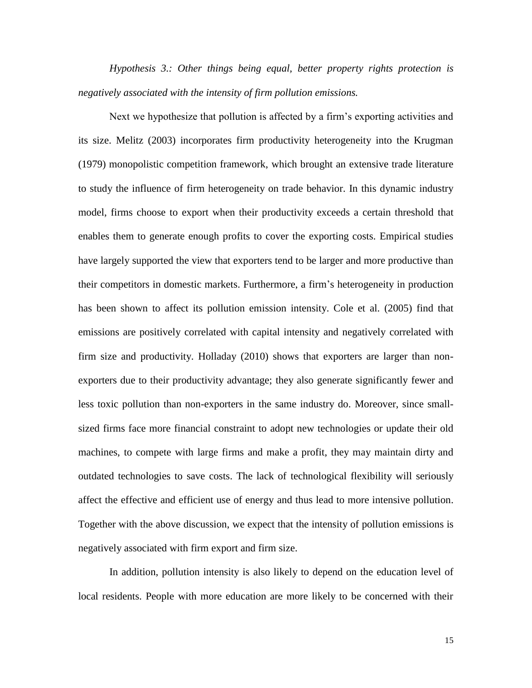*Hypothesis 3.: Other things being equal, better property rights protection is negatively associated with the intensity of firm pollution emissions.*

Next we hypothesize that pollution is affected by a firm's exporting activities and its size. Melitz (2003) incorporates firm productivity heterogeneity into the Krugman (1979) monopolistic competition framework, which brought an extensive trade literature to study the influence of firm heterogeneity on trade behavior. In this dynamic industry model, firms choose to export when their productivity exceeds a certain threshold that enables them to generate enough profits to cover the exporting costs. Empirical studies have largely supported the view that exporters tend to be larger and more productive than their competitors in domestic markets. Furthermore, a firm's heterogeneity in production has been shown to affect its pollution emission intensity. Cole et al. (2005) find that emissions are positively correlated with capital intensity and negatively correlated with firm size and productivity. Holladay (2010) shows that exporters are larger than nonexporters due to their productivity advantage; they also generate significantly fewer and less toxic pollution than non-exporters in the same industry do. Moreover, since smallsized firms face more financial constraint to adopt new technologies or update their old machines, to compete with large firms and make a profit, they may maintain dirty and outdated technologies to save costs. The lack of technological flexibility will seriously affect the effective and efficient use of energy and thus lead to more intensive pollution. Together with the above discussion, we expect that the intensity of pollution emissions is negatively associated with firm export and firm size.

In addition, pollution intensity is also likely to depend on the education level of local residents. People with more education are more likely to be concerned with their

15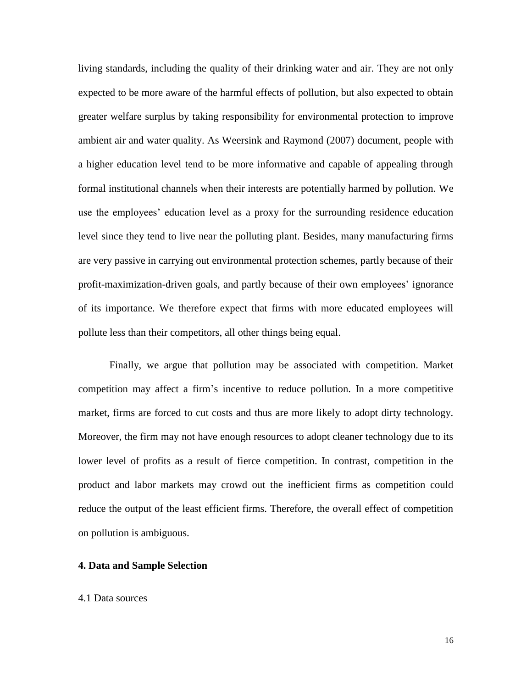living standards, including the quality of their drinking water and air. They are not only expected to be more aware of the harmful effects of pollution, but also expected to obtain greater welfare surplus by taking responsibility for environmental protection to improve ambient air and water quality. As Weersink and Raymond (2007) document, people with a higher education level tend to be more informative and capable of appealing through formal institutional channels when their interests are potentially harmed by pollution. We use the employees' education level as a proxy for the surrounding residence education level since they tend to live near the polluting plant. Besides, many manufacturing firms are very passive in carrying out environmental protection schemes, partly because of their profit-maximization-driven goals, and partly because of their own employees' ignorance of its importance. We therefore expect that firms with more educated employees will pollute less than their competitors, all other things being equal.

Finally, we argue that pollution may be associated with competition. Market competition may affect a firm's incentive to reduce pollution. In a more competitive market, firms are forced to cut costs and thus are more likely to adopt dirty technology. Moreover, the firm may not have enough resources to adopt cleaner technology due to its lower level of profits as a result of fierce competition. In contrast, competition in the product and labor markets may crowd out the inefficient firms as competition could reduce the output of the least efficient firms. Therefore, the overall effect of competition on pollution is ambiguous.

#### **4. Data and Sample Selection**

#### 4.1 Data sources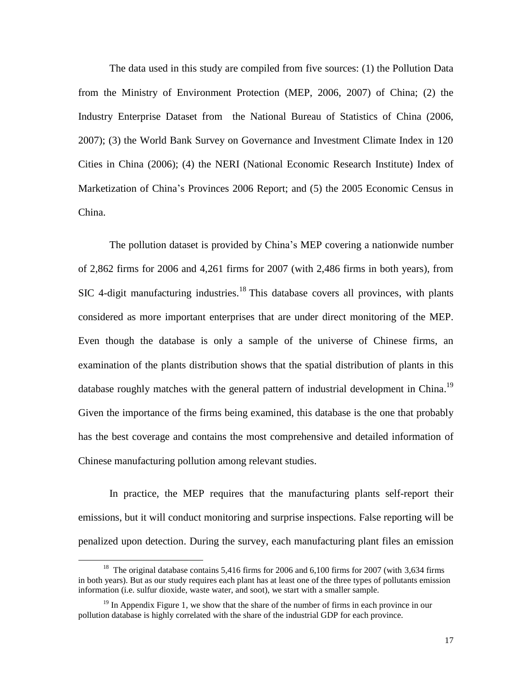The data used in this study are compiled from five sources: (1) the Pollution Data from the Ministry of Environment Protection (MEP, 2006, 2007) of China; (2) the Industry Enterprise Dataset from the National Bureau of Statistics of China (2006, 2007); (3) the World Bank Survey on Governance and Investment Climate Index in 120 Cities in China (2006); (4) the NERI (National Economic Research Institute) Index of Marketization of China's Provinces 2006 Report; and (5) the 2005 Economic Census in China.

The pollution dataset is provided by China's MEP covering a nationwide number of 2,862 firms for 2006 and 4,261 firms for 2007 (with 2,486 firms in both years), from SIC 4-digit manufacturing industries.<sup>18</sup> This database covers all provinces, with plants considered as more important enterprises that are under direct monitoring of the MEP. Even though the database is only a sample of the universe of Chinese firms, an examination of the plants distribution shows that the spatial distribution of plants in this database roughly matches with the general pattern of industrial development in China.<sup>19</sup> Given the importance of the firms being examined, this database is the one that probably has the best coverage and contains the most comprehensive and detailed information of Chinese manufacturing pollution among relevant studies.

In practice, the MEP requires that the manufacturing plants self-report their emissions, but it will conduct monitoring and surprise inspections. False reporting will be penalized upon detection. During the survey, each manufacturing plant files an emission

 $\overline{a}$ 

<sup>&</sup>lt;sup>18</sup> The original database contains 5,416 firms for 2006 and 6,100 firms for 2007 (with 3,634 firms in both years). But as our study requires each plant has at least one of the three types of pollutants emission information (i.e. sulfur dioxide, waste water, and soot), we start with a smaller sample.

<sup>&</sup>lt;sup>19</sup> In Appendix Figure 1, we show that the share of the number of firms in each province in our pollution database is highly correlated with the share of the industrial GDP for each province.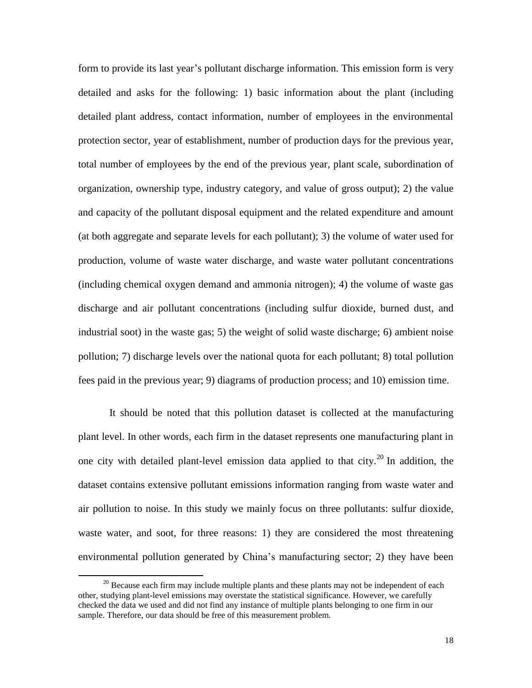form to provide its last year's pollutant discharge information. This emission form is very detailed and asks for the following: 1) basic information about the plant (including detailed plant address, contact information, number of employees in the environmental protection sector, year of establishment, number of production days for the previous year, total number of employees by the end of the previous year, plant scale, subordination of organization, ownership type, industry category, and value of gross output); 2) the value and capacity of the pollutant disposal equipment and the related expenditure and amount (at both aggregate and separate levels for each pollutant); 3) the volume of water used for production, volume of waste water discharge, and waste water pollutant concentrations (including chemical oxygen demand and ammonia nitrogen); 4) the volume of waste gas discharge and air pollutant concentrations (including sulfur dioxide, burned dust, and industrial soot) in the waste gas; 5) the weight of solid waste discharge; 6) ambient noise pollution; 7) discharge levels over the national quota for each pollutant; 8) total pollution fees paid in the previous year; 9) diagrams of production process; and 10) emission time.

It should be noted that this pollution dataset is collected at the manufacturing plant level. In other words, each firm in the dataset represents one manufacturing plant in one city with detailed plant-level emission data applied to that city.<sup>20</sup> In addition, the dataset contains extensive pollutant emissions information ranging from waste water and air pollution to noise. In this study we mainly focus on three pollutants: sulfur dioxide, waste water, and soot, for three reasons: 1) they are considered the most threatening environmental pollution generated by China's manufacturing sector; 2) they have been

 $20$  Because each firm may include multiple plants and these plants may not be independent of each other, studying plant-level emissions may overstate the statistical significance. However, we carefully checked the data we used and did not find any instance of multiple plants belonging to one firm in our sample. Therefore, our data should be free of this measurement problem.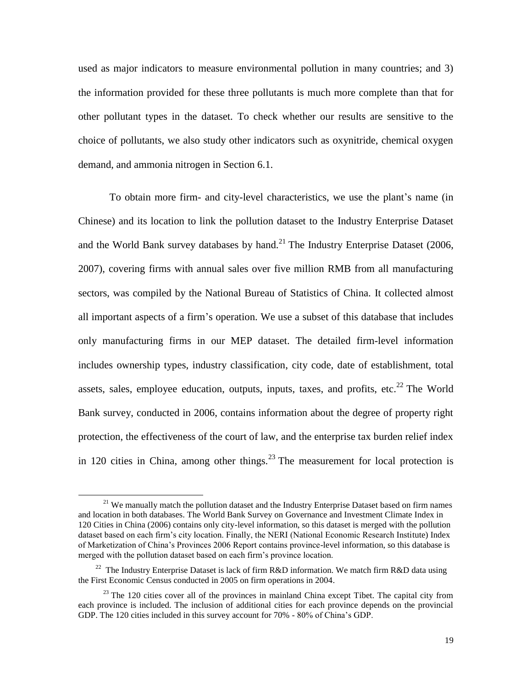used as major indicators to measure environmental pollution in many countries; and 3) the information provided for these three pollutants is much more complete than that for other pollutant types in the dataset. To check whether our results are sensitive to the choice of pollutants, we also study other indicators such as oxynitride, chemical oxygen demand, and ammonia nitrogen in Section 6.1.

To obtain more firm- and city-level characteristics, we use the plant's name (in Chinese) and its location to link the pollution dataset to the Industry Enterprise Dataset and the World Bank survey databases by hand. $^{21}$  The Industry Enterprise Dataset (2006, 2007), covering firms with annual sales over five million RMB from all manufacturing sectors, was compiled by the National Bureau of Statistics of China. It collected almost all important aspects of a firm's operation. We use a subset of this database that includes only manufacturing firms in our MEP dataset. The detailed firm-level information includes ownership types, industry classification, city code, date of establishment, total assets, sales, employee education, outputs, inputs, taxes, and profits, etc.<sup>22</sup> The World Bank survey, conducted in 2006, contains information about the degree of property right protection, the effectiveness of the court of law, and the enterprise tax burden relief index in 120 cities in China, among other things.<sup>23</sup> The measurement for local protection is

<sup>&</sup>lt;sup>21</sup> We manually match the pollution dataset and the Industry Enterprise Dataset based on firm names and location in both databases. The World Bank Survey on Governance and Investment Climate Index in 120 Cities in China (2006) contains only city-level information, so this dataset is merged with the pollution dataset based on each firm's city location. Finally, the NERI (National Economic Research Institute) Index of Marketization of China's Provinces 2006 Report contains province-level information, so this database is merged with the pollution dataset based on each firm's province location.

<sup>&</sup>lt;sup>22</sup> The Industry Enterprise Dataset is lack of firm R&D information. We match firm R&D data using the First Economic Census conducted in 2005 on firm operations in 2004.

 $^{23}$  The 120 cities cover all of the provinces in mainland China except Tibet. The capital city from each province is included. The inclusion of additional cities for each province depends on the provincial GDP. The 120 cities included in this survey account for 70% - 80% of China's GDP.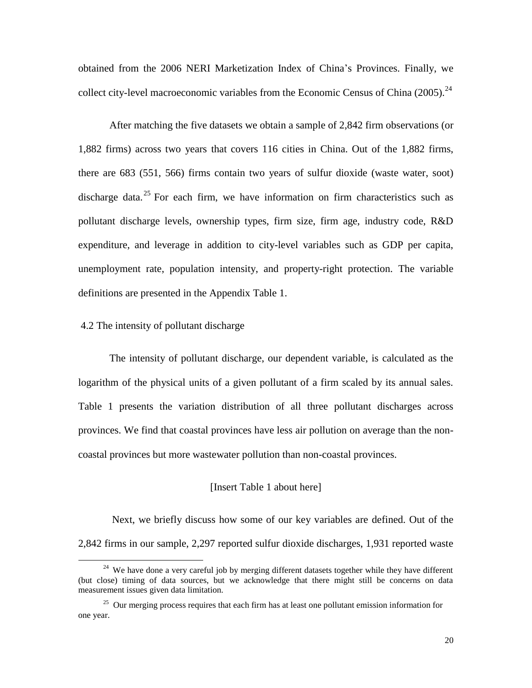obtained from the 2006 NERI Marketization Index of China's Provinces. Finally, we collect city-level macroeconomic variables from the Economic Census of China  $(2005)$ .<sup>24</sup>

After matching the five datasets we obtain a sample of 2,842 firm observations (or 1,882 firms) across two years that covers 116 cities in China. Out of the 1,882 firms, there are 683 (551, 566) firms contain two years of sulfur dioxide (waste water, soot) discharge data.<sup>25</sup> For each firm, we have information on firm characteristics such as pollutant discharge levels, ownership types, firm size, firm age, industry code, R&D expenditure, and leverage in addition to city-level variables such as GDP per capita, unemployment rate, population intensity, and property-right protection. The variable definitions are presented in the Appendix Table 1.

#### 4.2 The intensity of pollutant discharge

 $\overline{a}$ 

The intensity of pollutant discharge, our dependent variable, is calculated as the logarithm of the physical units of a given pollutant of a firm scaled by its annual sales. Table 1 presents the variation distribution of all three pollutant discharges across provinces. We find that coastal provinces have less air pollution on average than the noncoastal provinces but more wastewater pollution than non-coastal provinces.

#### [Insert Table 1 about here]

Next, we briefly discuss how some of our key variables are defined. Out of the 2,842 firms in our sample, 2,297 reported sulfur dioxide discharges, 1,931 reported waste

 $24$  We have done a very careful job by merging different datasets together while they have different (but close) timing of data sources, but we acknowledge that there might still be concerns on data measurement issues given data limitation.

<sup>&</sup>lt;sup>25</sup> Our merging process requires that each firm has at least one pollutant emission information for one year.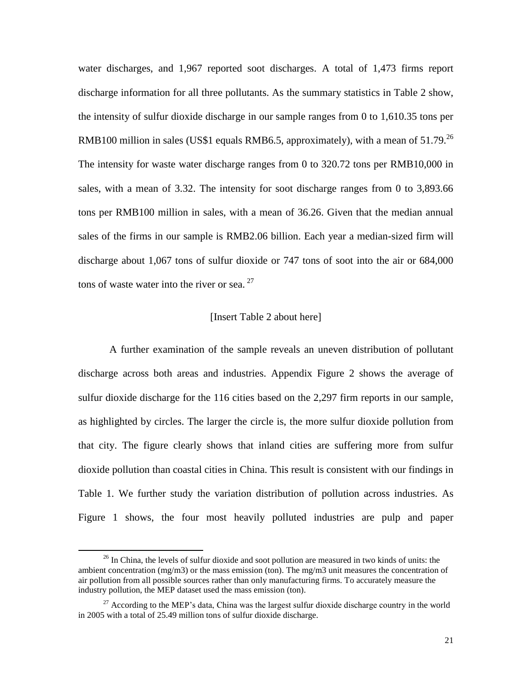water discharges, and 1,967 reported soot discharges. A total of 1,473 firms report discharge information for all three pollutants. As the summary statistics in Table 2 show, the intensity of sulfur dioxide discharge in our sample ranges from 0 to 1,610.35 tons per RMB100 million in sales (US\$1 equals RMB6.5, approximately), with a mean of  $51.79$ <sup>26</sup> The intensity for waste water discharge ranges from 0 to 320.72 tons per RMB10,000 in sales, with a mean of 3.32. The intensity for soot discharge ranges from 0 to 3,893.66 tons per RMB100 million in sales, with a mean of 36.26. Given that the median annual sales of the firms in our sample is RMB2.06 billion. Each year a median-sized firm will discharge about 1,067 tons of sulfur dioxide or 747 tons of soot into the air or 684,000 tons of waste water into the river or sea.<sup>27</sup>

#### [Insert Table 2 about here]

A further examination of the sample reveals an uneven distribution of pollutant discharge across both areas and industries. Appendix Figure 2 shows the average of sulfur dioxide discharge for the 116 cities based on the 2,297 firm reports in our sample, as highlighted by circles. The larger the circle is, the more sulfur dioxide pollution from that city. The figure clearly shows that inland cities are suffering more from sulfur dioxide pollution than coastal cities in China. This result is consistent with our findings in Table 1. We further study the variation distribution of pollution across industries. As Figure 1 shows, the four most heavily polluted industries are pulp and paper

l

 $26$  In China, the levels of sulfur dioxide and soot pollution are measured in two kinds of units: the ambient concentration (mg/m3) or the mass emission (ton). The mg/m3 unit measures the concentration of air pollution from all possible sources rather than only manufacturing firms. To accurately measure the industry pollution, the MEP dataset used the mass emission (ton).

 $27$  According to the MEP's data, China was the largest sulfur dioxide discharge country in the world in 2005 with a total of 25.49 million tons of sulfur dioxide discharge.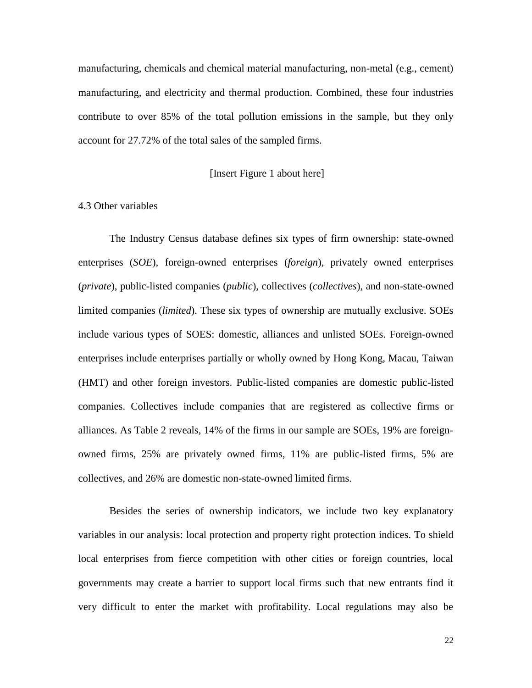manufacturing, chemicals and chemical material manufacturing, non-metal (e.g., cement) manufacturing, and electricity and thermal production. Combined, these four industries contribute to over 85% of the total pollution emissions in the sample, but they only account for 27.72% of the total sales of the sampled firms.

#### [Insert Figure 1 about here]

#### 4.3 Other variables

The Industry Census database defines six types of firm ownership: state-owned enterprises (*SOE*), foreign-owned enterprises (*foreign*), privately owned enterprises (*private*), public-listed companies (*public*), collectives (*collectives*), and non-state-owned limited companies (*limited*). These six types of ownership are mutually exclusive. SOEs include various types of SOES: domestic, alliances and unlisted SOEs. Foreign-owned enterprises include enterprises partially or wholly owned by Hong Kong, Macau, Taiwan (HMT) and other foreign investors. Public-listed companies are domestic public-listed companies. Collectives include companies that are registered as collective firms or alliances. As Table 2 reveals, 14% of the firms in our sample are SOEs, 19% are foreignowned firms, 25% are privately owned firms, 11% are public-listed firms, 5% are collectives, and 26% are domestic non-state-owned limited firms.

Besides the series of ownership indicators, we include two key explanatory variables in our analysis: local protection and property right protection indices. To shield local enterprises from fierce competition with other cities or foreign countries, local governments may create a barrier to support local firms such that new entrants find it very difficult to enter the market with profitability. Local regulations may also be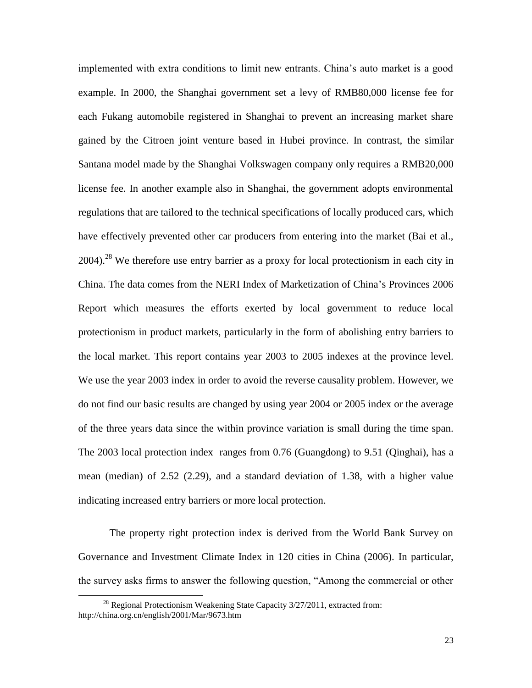implemented with extra conditions to limit new entrants. China's auto market is a good example. In 2000, the Shanghai government set a levy of RMB80,000 license fee for each Fukang automobile registered in Shanghai to prevent an increasing market share gained by the Citroen joint venture based in Hubei province. In contrast, the similar Santana model made by the Shanghai Volkswagen company only requires a RMB20,000 license fee. In another example also in Shanghai, the government adopts environmental regulations that are tailored to the technical specifications of locally produced cars, which have effectively prevented other car producers from entering into the market (Bai et al., 2004).<sup>28</sup> We therefore use entry barrier as a proxy for local protectionism in each city in China. The data comes from the NERI Index of Marketization of China's Provinces 2006 Report which measures the efforts exerted by local government to reduce local protectionism in product markets, particularly in the form of abolishing entry barriers to the local market. This report contains year 2003 to 2005 indexes at the province level. We use the year 2003 index in order to avoid the reverse causality problem. However, we do not find our basic results are changed by using year 2004 or 2005 index or the average of the three years data since the within province variation is small during the time span. The 2003 local protection index ranges from 0.76 (Guangdong) to 9.51 (Qinghai), has a mean (median) of 2.52 (2.29), and a standard deviation of 1.38, with a higher value indicating increased entry barriers or more local protection.

The property right protection index is derived from the World Bank Survey on Governance and Investment Climate Index in 120 cities in China (2006). In particular, the survey asks firms to answer the following question, "Among the commercial or other

<sup>&</sup>lt;sup>28</sup> Regional Protectionism Weakening State Capacity  $3/27/2011$ , extracted from: <http://china.org.cn/english/2001/Mar/9673.htm>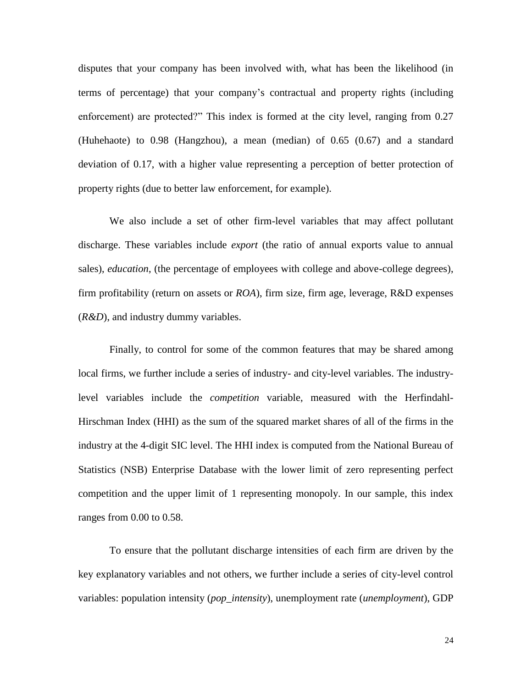disputes that your company has been involved with, what has been the likelihood (in terms of percentage) that your company's contractual and property rights (including enforcement) are protected?" This index is formed at the city level, ranging from 0.27 (Huhehaote) to 0.98 (Hangzhou), a mean (median) of 0.65 (0.67) and a standard deviation of 0.17, with a higher value representing a perception of better protection of property rights (due to better law enforcement, for example).

We also include a set of other firm-level variables that may affect pollutant discharge. These variables include *export* (the ratio of annual exports value to annual sales), *education*, (the percentage of employees with college and above-college degrees), firm profitability (return on assets or *ROA*), firm size, firm age, leverage, R&D expenses (*R&D*), and industry dummy variables.

Finally, to control for some of the common features that may be shared among local firms, we further include a series of industry- and city-level variables. The industrylevel variables include the *competition* variable, measured with the Herfindahl-Hirschman Index (HHI) as the sum of the squared market shares of all of the firms in the industry at the 4-digit SIC level. The HHI index is computed from the National Bureau of Statistics (NSB) Enterprise Database with the lower limit of zero representing perfect competition and the upper limit of 1 representing monopoly. In our sample, this index ranges from 0.00 to 0.58.

To ensure that the pollutant discharge intensities of each firm are driven by the key explanatory variables and not others, we further include a series of city-level control variables: population intensity (*pop\_intensity*), unemployment rate (*unemployment*), GDP

24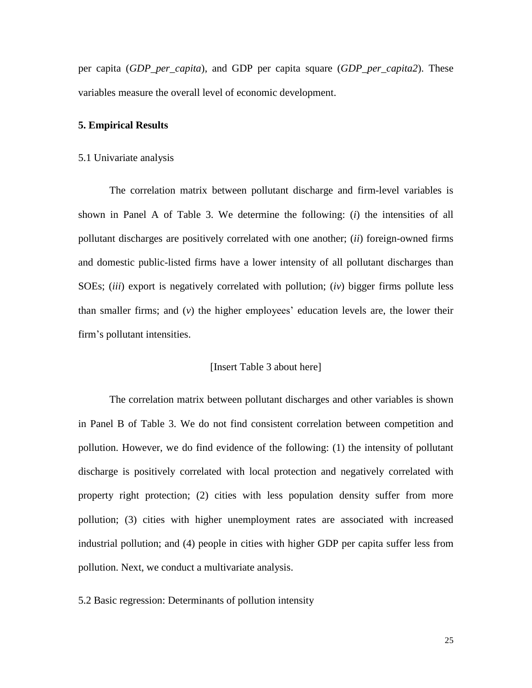per capita (*GDP\_per\_capita*), and GDP per capita square (*GDP\_per\_capita2*). These variables measure the overall level of economic development.

#### **5. Empirical Results**

#### 5.1 Univariate analysis

The correlation matrix between pollutant discharge and firm-level variables is shown in Panel A of Table 3. We determine the following: (*i*) the intensities of all pollutant discharges are positively correlated with one another; (*ii*) foreign-owned firms and domestic public-listed firms have a lower intensity of all pollutant discharges than SOEs; (*iii*) export is negatively correlated with pollution; (*iv*) bigger firms pollute less than smaller firms; and (*v*) the higher employees' education levels are, the lower their firm's pollutant intensities.

#### [Insert Table 3 about here]

The correlation matrix between pollutant discharges and other variables is shown in Panel B of Table 3. We do not find consistent correlation between competition and pollution. However, we do find evidence of the following: (1) the intensity of pollutant discharge is positively correlated with local protection and negatively correlated with property right protection; (2) cities with less population density suffer from more pollution; (3) cities with higher unemployment rates are associated with increased industrial pollution; and (4) people in cities with higher GDP per capita suffer less from pollution. Next, we conduct a multivariate analysis.

5.2 Basic regression: Determinants of pollution intensity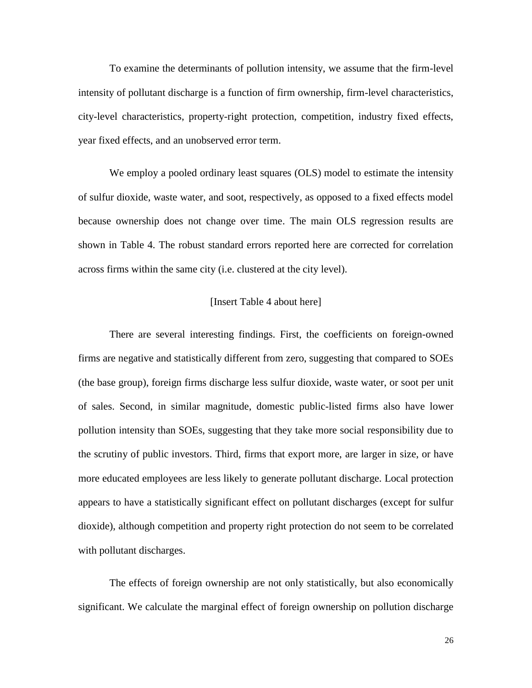To examine the determinants of pollution intensity, we assume that the firm-level intensity of pollutant discharge is a function of firm ownership, firm-level characteristics, city-level characteristics, property-right protection, competition, industry fixed effects, year fixed effects, and an unobserved error term.

We employ a pooled ordinary least squares (OLS) model to estimate the intensity of sulfur dioxide, waste water, and soot, respectively, as opposed to a fixed effects model because ownership does not change over time. The main OLS regression results are shown in Table 4. The robust standard errors reported here are corrected for correlation across firms within the same city (i.e. clustered at the city level).

#### [Insert Table 4 about here]

There are several interesting findings. First, the coefficients on foreign-owned firms are negative and statistically different from zero, suggesting that compared to SOEs (the base group), foreign firms discharge less sulfur dioxide, waste water, or soot per unit of sales. Second, in similar magnitude, domestic public-listed firms also have lower pollution intensity than SOEs, suggesting that they take more social responsibility due to the scrutiny of public investors. Third, firms that export more, are larger in size, or have more educated employees are less likely to generate pollutant discharge. Local protection appears to have a statistically significant effect on pollutant discharges (except for sulfur dioxide), although competition and property right protection do not seem to be correlated with pollutant discharges.

The effects of foreign ownership are not only statistically, but also economically significant. We calculate the marginal effect of foreign ownership on pollution discharge

26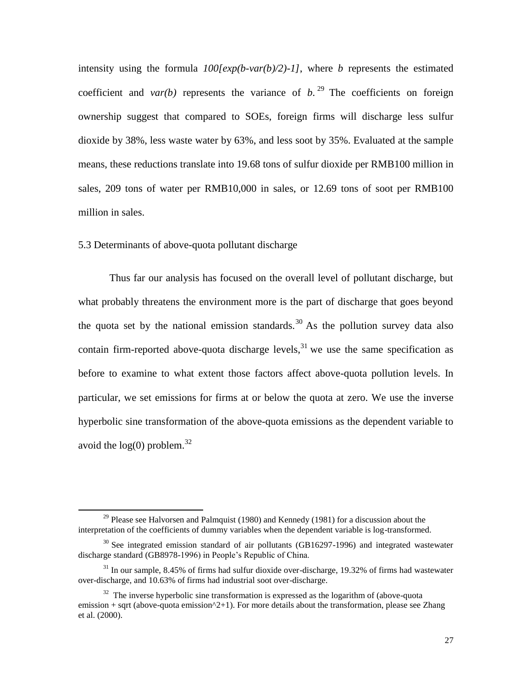intensity using the formula  $100$ [exp(b-var(b)/2)-1], where *b* represents the estimated coefficient and *var(b)* represents the variance of  $b$ .<sup>29</sup> The coefficients on foreign ownership suggest that compared to SOEs, foreign firms will discharge less sulfur dioxide by 38%, less waste water by 63%, and less soot by 35%. Evaluated at the sample means, these reductions translate into 19.68 tons of sulfur dioxide per RMB100 million in sales, 209 tons of water per RMB10,000 in sales, or 12.69 tons of soot per RMB100 million in sales.

5.3 Determinants of above-quota pollutant discharge

l

Thus far our analysis has focused on the overall level of pollutant discharge, but what probably threatens the environment more is the part of discharge that goes beyond the quota set by the national emission standards.<sup>30</sup> As the pollution survey data also contain firm-reported above-quota discharge levels,  $31$  we use the same specification as before to examine to what extent those factors affect above-quota pollution levels. In particular, we set emissions for firms at or below the quota at zero. We use the inverse hyperbolic sine transformation of the above-quota emissions as the dependent variable to avoid the  $log(0)$  problem.<sup>32</sup>

<sup>&</sup>lt;sup>29</sup> Please see Halvorsen and Palmquist (1980) and Kennedy (1981) for a discussion about the interpretation of the coefficients of dummy variables when the dependent variable is log-transformed.

 $30$  See integrated emission standard of air pollutants (GB16297-1996) and integrated wastewater discharge standard (GB8978-1996) in People's Republic of China.

 $31$  In our sample, 8.45% of firms had sulfur dioxide over-discharge, 19.32% of firms had wastewater over-discharge, and 10.63% of firms had industrial soot over-discharge.

 $32$  The inverse hyperbolic sine transformation is expressed as the logarithm of (above-quota emission + sqrt (above-quota emission^2+1). For more details about the transformation, please see Zhang et al. (2000).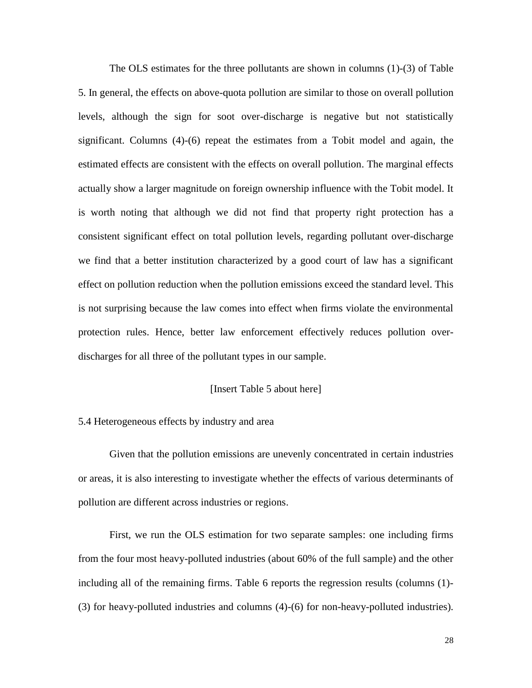The OLS estimates for the three pollutants are shown in columns (1)-(3) of Table 5. In general, the effects on above-quota pollution are similar to those on overall pollution levels, although the sign for soot over-discharge is negative but not statistically significant. Columns  $(4)-(6)$  repeat the estimates from a Tobit model and again, the estimated effects are consistent with the effects on overall pollution. The marginal effects actually show a larger magnitude on foreign ownership influence with the Tobit model. It is worth noting that although we did not find that property right protection has a consistent significant effect on total pollution levels, regarding pollutant over-discharge we find that a better institution characterized by a good court of law has a significant effect on pollution reduction when the pollution emissions exceed the standard level. This is not surprising because the law comes into effect when firms violate the environmental protection rules. Hence, better law enforcement effectively reduces pollution overdischarges for all three of the pollutant types in our sample.

#### [Insert Table 5 about here]

#### 5.4 Heterogeneous effects by industry and area

Given that the pollution emissions are unevenly concentrated in certain industries or areas, it is also interesting to investigate whether the effects of various determinants of pollution are different across industries or regions.

First, we run the OLS estimation for two separate samples: one including firms from the four most heavy-polluted industries (about 60% of the full sample) and the other including all of the remaining firms. Table 6 reports the regression results (columns (1)- (3) for heavy-polluted industries and columns (4)-(6) for non-heavy-polluted industries).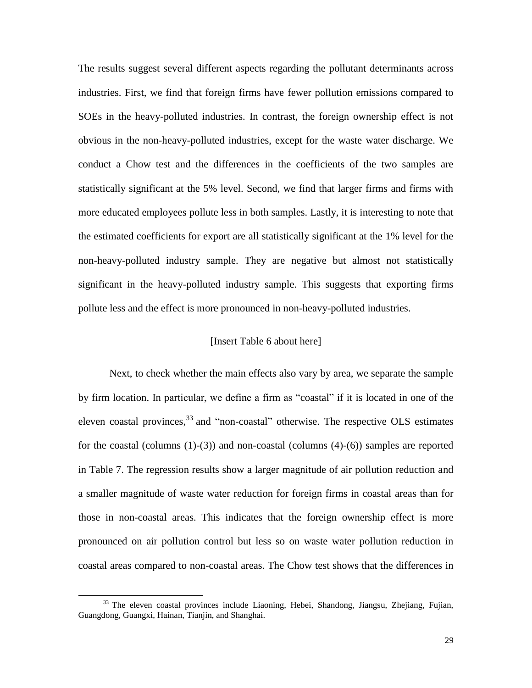The results suggest several different aspects regarding the pollutant determinants across industries. First, we find that foreign firms have fewer pollution emissions compared to SOEs in the heavy-polluted industries. In contrast, the foreign ownership effect is not obvious in the non-heavy-polluted industries, except for the waste water discharge. We conduct a Chow test and the differences in the coefficients of the two samples are statistically significant at the 5% level. Second, we find that larger firms and firms with more educated employees pollute less in both samples. Lastly, it is interesting to note that the estimated coefficients for export are all statistically significant at the 1% level for the non-heavy-polluted industry sample. They are negative but almost not statistically significant in the heavy-polluted industry sample. This suggests that exporting firms pollute less and the effect is more pronounced in non-heavy-polluted industries.

#### [Insert Table 6 about here]

Next, to check whether the main effects also vary by area, we separate the sample by firm location. In particular, we define a firm as "coastal" if it is located in one of the eleven coastal provinces,  $33$  and "non-coastal" otherwise. The respective OLS estimates for the coastal (columns  $(1)-(3)$ ) and non-coastal (columns  $(4)-(6)$ ) samples are reported in Table 7. The regression results show a larger magnitude of air pollution reduction and a smaller magnitude of waste water reduction for foreign firms in coastal areas than for those in non-coastal areas. This indicates that the foreign ownership effect is more pronounced on air pollution control but less so on waste water pollution reduction in coastal areas compared to non-coastal areas. The Chow test shows that the differences in

<sup>&</sup>lt;sup>33</sup> The eleven coastal provinces include Liaoning, Hebei, Shandong, Jiangsu, Zhejiang, Fujian, Guangdong, Guangxi, Hainan, Tianjin, and Shanghai.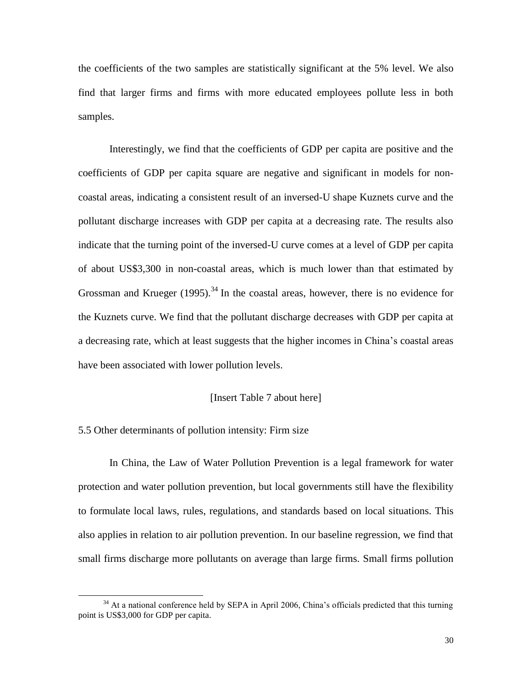the coefficients of the two samples are statistically significant at the 5% level. We also find that larger firms and firms with more educated employees pollute less in both samples.

Interestingly, we find that the coefficients of GDP per capita are positive and the coefficients of GDP per capita square are negative and significant in models for noncoastal areas, indicating a consistent result of an inversed-U shape Kuznets curve and the pollutant discharge increases with GDP per capita at a decreasing rate. The results also indicate that the turning point of the inversed-U curve comes at a level of GDP per capita of about US\$3,300 in non-coastal areas, which is much lower than that estimated by Grossman and Krueger  $(1995)^{34}$  In the coastal areas, however, there is no evidence for the Kuznets curve. We find that the pollutant discharge decreases with GDP per capita at a decreasing rate, which at least suggests that the higher incomes in China's coastal areas have been associated with lower pollution levels.

#### [Insert Table 7 about here]

#### 5.5 Other determinants of pollution intensity: Firm size

 $\overline{\phantom{a}}$ 

In China, the Law of Water Pollution Prevention is a legal framework for water protection and water pollution prevention, but local governments still have the flexibility to formulate local laws, rules, regulations, and standards based on local situations. This also applies in relation to air pollution prevention. In our baseline regression, we find that small firms discharge more pollutants on average than large firms. Small firms pollution

<sup>&</sup>lt;sup>34</sup> At a national conference held by SEPA in April 2006, China's officials predicted that this turning point is US\$3,000 for GDP per capita.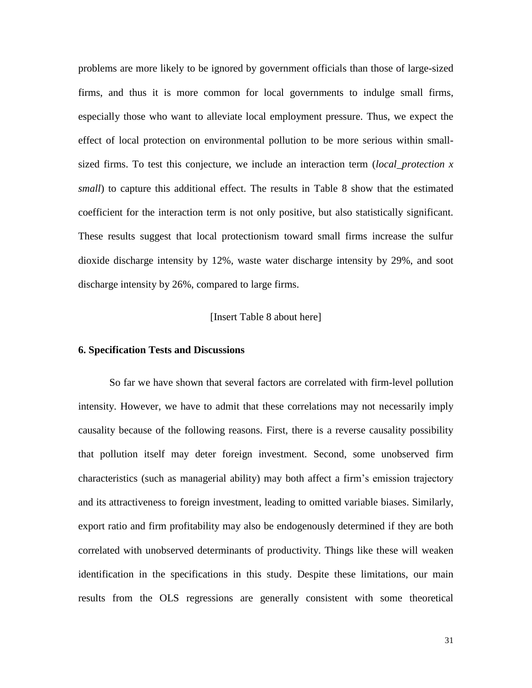problems are more likely to be ignored by government officials than those of large-sized firms, and thus it is more common for local governments to indulge small firms, especially those who want to alleviate local employment pressure. Thus, we expect the effect of local protection on environmental pollution to be more serious within smallsized firms. To test this conjecture, we include an interaction term (*local\_protection x small*) to capture this additional effect. The results in Table 8 show that the estimated coefficient for the interaction term is not only positive, but also statistically significant. These results suggest that local protectionism toward small firms increase the sulfur dioxide discharge intensity by 12%, waste water discharge intensity by 29%, and soot discharge intensity by 26%, compared to large firms.

#### [Insert Table 8 about here]

#### **6. Specification Tests and Discussions**

So far we have shown that several factors are correlated with firm-level pollution intensity. However, we have to admit that these correlations may not necessarily imply causality because of the following reasons. First, there is a reverse causality possibility that pollution itself may deter foreign investment. Second, some unobserved firm characteristics (such as managerial ability) may both affect a firm's emission trajectory and its attractiveness to foreign investment, leading to omitted variable biases. Similarly, export ratio and firm profitability may also be endogenously determined if they are both correlated with unobserved determinants of productivity. Things like these will weaken identification in the specifications in this study. Despite these limitations, our main results from the OLS regressions are generally consistent with some theoretical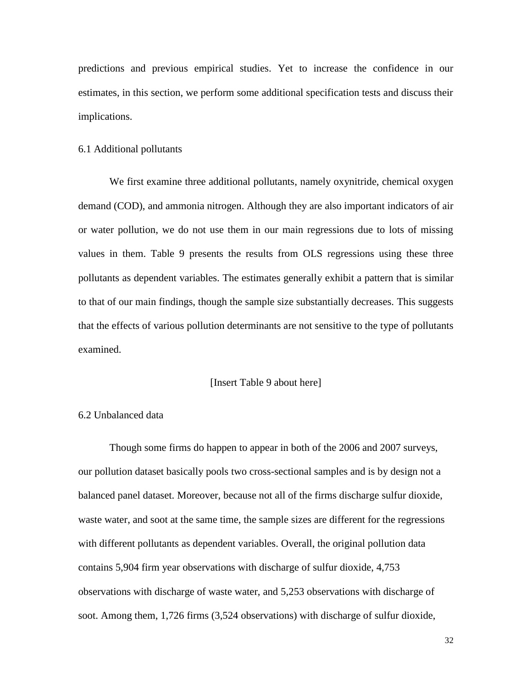predictions and previous empirical studies. Yet to increase the confidence in our estimates, in this section, we perform some additional specification tests and discuss their implications.

#### 6.1 Additional pollutants

We first examine three additional pollutants, namely oxynitride, chemical oxygen demand (COD), and ammonia nitrogen. Although they are also important indicators of air or water pollution, we do not use them in our main regressions due to lots of missing values in them. Table 9 presents the results from OLS regressions using these three pollutants as dependent variables. The estimates generally exhibit a pattern that is similar to that of our main findings, though the sample size substantially decreases. This suggests that the effects of various pollution determinants are not sensitive to the type of pollutants examined.

#### [Insert Table 9 about here]

#### 6.2 Unbalanced data

Though some firms do happen to appear in both of the 2006 and 2007 surveys, our pollution dataset basically pools two cross-sectional samples and is by design not a balanced panel dataset. Moreover, because not all of the firms discharge sulfur dioxide, waste water, and soot at the same time, the sample sizes are different for the regressions with different pollutants as dependent variables. Overall, the original pollution data contains 5,904 firm year observations with discharge of sulfur dioxide, 4,753 observations with discharge of waste water, and 5,253 observations with discharge of soot. Among them, 1,726 firms (3,524 observations) with discharge of sulfur dioxide,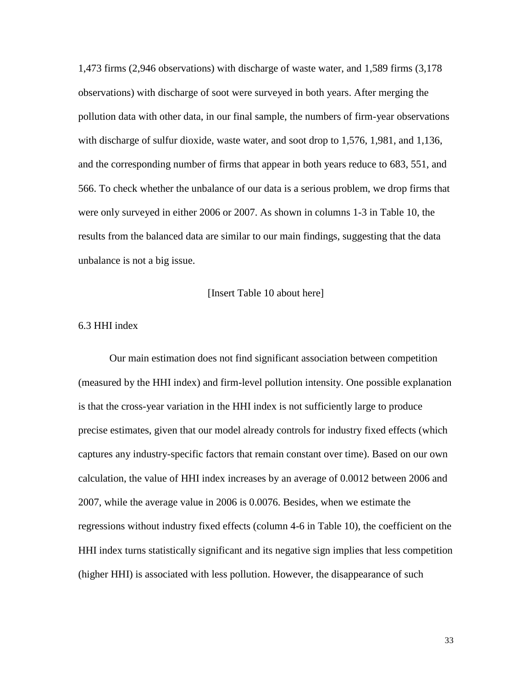1,473 firms (2,946 observations) with discharge of waste water, and 1,589 firms (3,178 observations) with discharge of soot were surveyed in both years. After merging the pollution data with other data, in our final sample, the numbers of firm-year observations with discharge of sulfur dioxide, waste water, and soot drop to 1,576, 1,981, and 1,136, and the corresponding number of firms that appear in both years reduce to 683, 551, and 566. To check whether the unbalance of our data is a serious problem, we drop firms that were only surveyed in either 2006 or 2007. As shown in columns 1-3 in Table 10, the results from the balanced data are similar to our main findings, suggesting that the data unbalance is not a big issue.

[Insert Table 10 about here]

#### 6.3 HHI index

Our main estimation does not find significant association between competition (measured by the HHI index) and firm-level pollution intensity. One possible explanation is that the cross-year variation in the HHI index is not sufficiently large to produce precise estimates, given that our model already controls for industry fixed effects (which captures any industry-specific factors that remain constant over time). Based on our own calculation, the value of HHI index increases by an average of 0.0012 between 2006 and 2007, while the average value in 2006 is 0.0076. Besides, when we estimate the regressions without industry fixed effects (column 4-6 in Table 10), the coefficient on the HHI index turns statistically significant and its negative sign implies that less competition (higher HHI) is associated with less pollution. However, the disappearance of such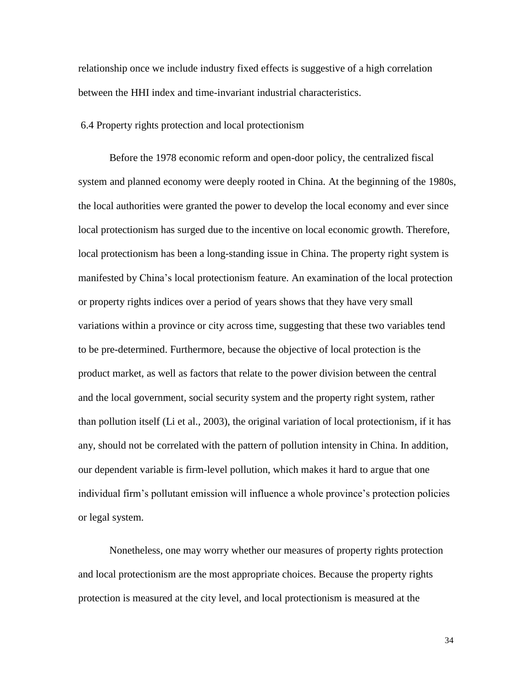relationship once we include industry fixed effects is suggestive of a high correlation between the HHI index and time-invariant industrial characteristics.

#### 6.4 Property rights protection and local protectionism

Before the 1978 economic reform and open-door policy, the centralized fiscal system and planned economy were deeply rooted in China. At the beginning of the 1980s, the local authorities were granted the power to develop the local economy and ever since local protectionism has surged due to the incentive on local economic growth. Therefore, local protectionism has been a long-standing issue in China. The property right system is manifested by China's local protectionism feature. An examination of the local protection or property rights indices over a period of years shows that they have very small variations within a province or city across time, suggesting that these two variables tend to be pre-determined. Furthermore, because the objective of local protection is the product market, as well as factors that relate to the power division between the central and the local government, social security system and the property right system, rather than pollution itself (Li et al., 2003), the original variation of local protectionism, if it has any, should not be correlated with the pattern of pollution intensity in China. In addition, our dependent variable is firm-level pollution, which makes it hard to argue that one individual firm's pollutant emission will influence a whole province's protection policies or legal system.

Nonetheless, one may worry whether our measures of property rights protection and local protectionism are the most appropriate choices. Because the property rights protection is measured at the city level, and local protectionism is measured at the

34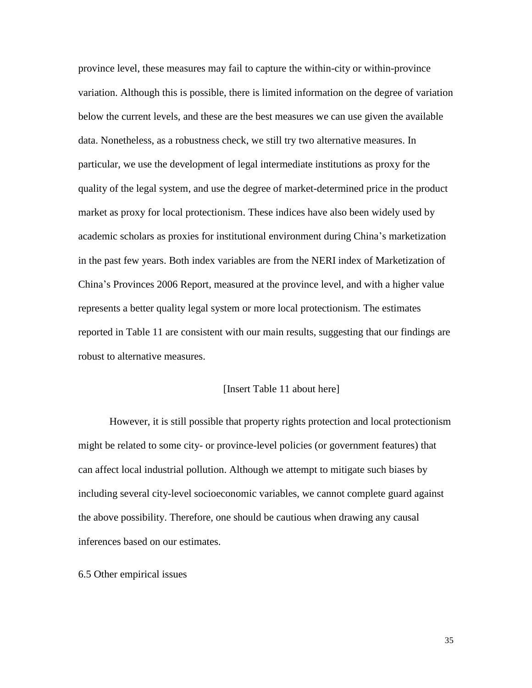province level, these measures may fail to capture the within-city or within-province variation. Although this is possible, there is limited information on the degree of variation below the current levels, and these are the best measures we can use given the available data. Nonetheless, as a robustness check, we still try two alternative measures. In particular, we use the development of legal intermediate institutions as proxy for the quality of the legal system, and use the degree of market-determined price in the product market as proxy for local protectionism. These indices have also been widely used by academic scholars as proxies for institutional environment during China's marketization in the past few years. Both index variables are from the NERI index of Marketization of China's Provinces 2006 Report, measured at the province level, and with a higher value represents a better quality legal system or more local protectionism. The estimates reported in Table 11 are consistent with our main results, suggesting that our findings are robust to alternative measures.

#### [Insert Table 11 about here]

However, it is still possible that property rights protection and local protectionism might be related to some city- or province-level policies (or government features) that can affect local industrial pollution. Although we attempt to mitigate such biases by including several city-level socioeconomic variables, we cannot complete guard against the above possibility. Therefore, one should be cautious when drawing any causal inferences based on our estimates.

#### 6.5 Other empirical issues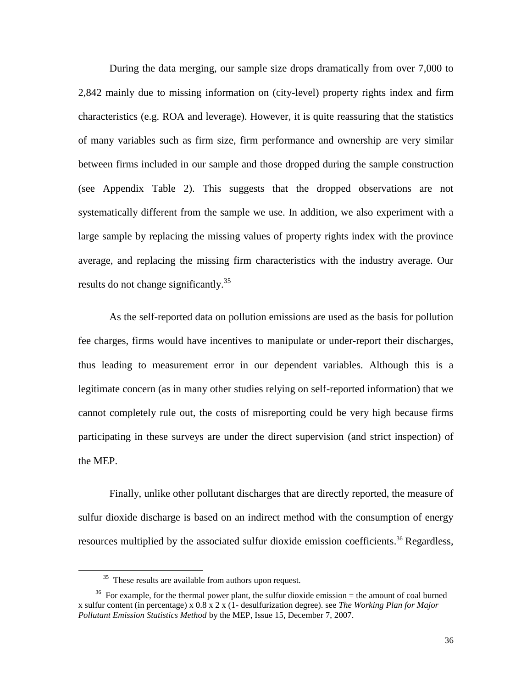During the data merging, our sample size drops dramatically from over 7,000 to 2,842 mainly due to missing information on (city-level) property rights index and firm characteristics (e.g. ROA and leverage). However, it is quite reassuring that the statistics of many variables such as firm size, firm performance and ownership are very similar between firms included in our sample and those dropped during the sample construction (see Appendix Table 2). This suggests that the dropped observations are not systematically different from the sample we use. In addition, we also experiment with a large sample by replacing the missing values of property rights index with the province average, and replacing the missing firm characteristics with the industry average. Our results do not change significantly.<sup>35</sup>

As the self-reported data on pollution emissions are used as the basis for pollution fee charges, firms would have incentives to manipulate or under-report their discharges, thus leading to measurement error in our dependent variables. Although this is a legitimate concern (as in many other studies relying on self-reported information) that we cannot completely rule out, the costs of misreporting could be very high because firms participating in these surveys are under the direct supervision (and strict inspection) of the MEP.

Finally, unlike other pollutant discharges that are directly reported, the measure of sulfur dioxide discharge is based on an indirect method with the consumption of energy resources multiplied by the associated sulfur dioxide emission coefficients.<sup>36</sup> Regardless,

<sup>&</sup>lt;sup>35</sup> These results are available from authors upon request.

 $36$  For example, for the thermal power plant, the sulfur dioxide emission  $=$  the amount of coal burned x sulfur content (in percentage) x 0.8 x 2 x (1- desulfurization degree). see *The Working Plan for Major Pollutant Emission Statistics Method* by the MEP, Issue 15, December 7, 2007.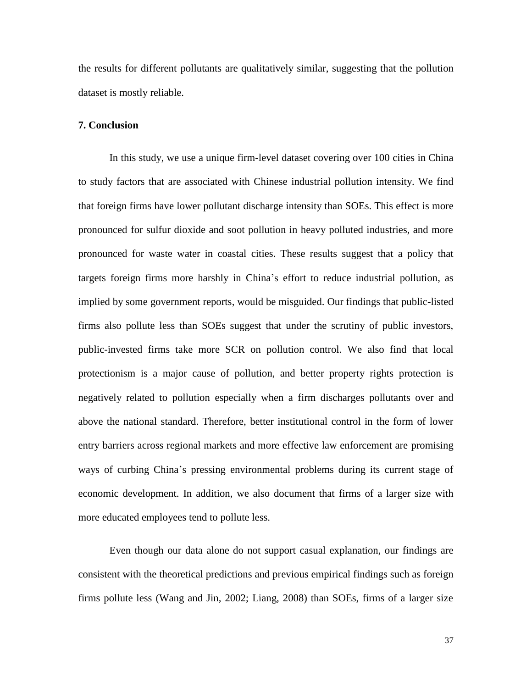the results for different pollutants are qualitatively similar, suggesting that the pollution dataset is mostly reliable.

#### **7. Conclusion**

In this study, we use a unique firm-level dataset covering over 100 cities in China to study factors that are associated with Chinese industrial pollution intensity. We find that foreign firms have lower pollutant discharge intensity than SOEs. This effect is more pronounced for sulfur dioxide and soot pollution in heavy polluted industries, and more pronounced for waste water in coastal cities. These results suggest that a policy that targets foreign firms more harshly in China's effort to reduce industrial pollution, as implied by some government reports, would be misguided. Our findings that public-listed firms also pollute less than SOEs suggest that under the scrutiny of public investors, public-invested firms take more SCR on pollution control. We also find that local protectionism is a major cause of pollution, and better property rights protection is negatively related to pollution especially when a firm discharges pollutants over and above the national standard. Therefore, better institutional control in the form of lower entry barriers across regional markets and more effective law enforcement are promising ways of curbing China's pressing environmental problems during its current stage of economic development. In addition, we also document that firms of a larger size with more educated employees tend to pollute less.

Even though our data alone do not support casual explanation, our findings are consistent with the theoretical predictions and previous empirical findings such as foreign firms pollute less (Wang and Jin, 2002; Liang, 2008) than SOEs, firms of a larger size

37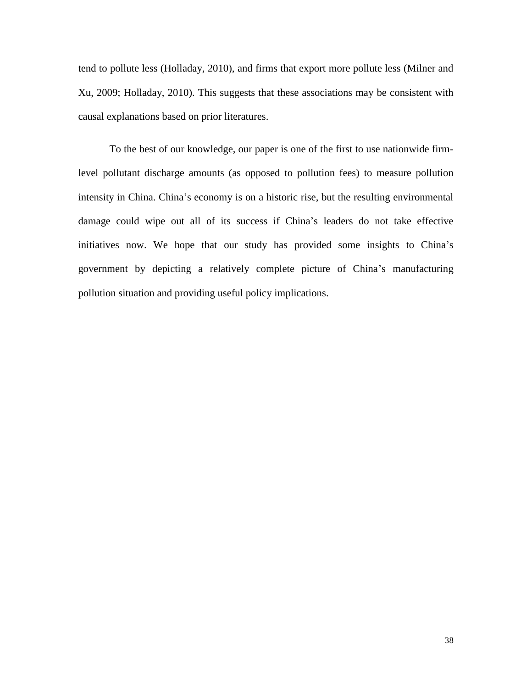tend to pollute less (Holladay, 2010), and firms that export more pollute less (Milner and Xu, 2009; Holladay, 2010). This suggests that these associations may be consistent with causal explanations based on prior literatures.

To the best of our knowledge, our paper is one of the first to use nationwide firmlevel pollutant discharge amounts (as opposed to pollution fees) to measure pollution intensity in China. China's economy is on a historic rise, but the resulting environmental damage could wipe out all of its success if China's leaders do not take effective initiatives now. We hope that our study has provided some insights to China's government by depicting a relatively complete picture of China's manufacturing pollution situation and providing useful policy implications.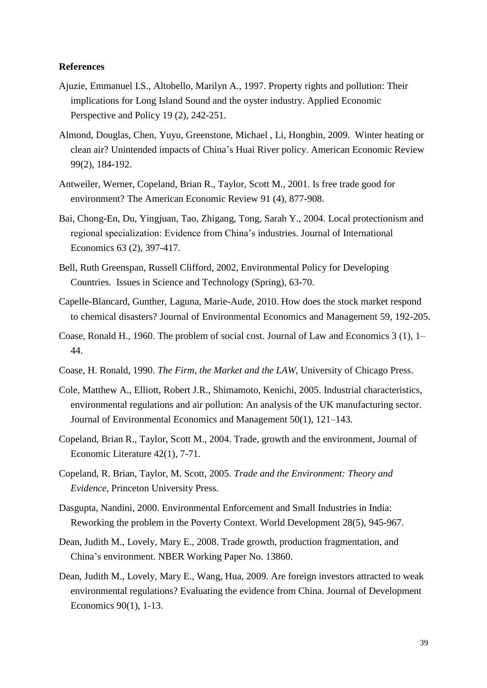#### **References**

- [Ajuzie,](http://aepp.oxfordjournals.org/search?author1=Emmanuel+I.S.+Ajuzie&sortspec=date&submit=Submit) Emmanuel I.S., [Altobello,](http://aepp.oxfordjournals.org/search?author1=Marilyn+A.+Altobello&sortspec=date&submit=Submit) Marilyn A., 1997. Property rights and pollution: Their implications for Long Island Sound and the oyster industry. Applied Economic Perspective and Policy 19 (2), 242-251.
- Almond, Douglas, Chen, Yuyu, Greenstone, Michael , Li, Hongbin, 2009. Winter heating or clean air? Unintended impacts of China's Huai River policy. American Economic Review 99(2), 184-192.
- Antweiler, Werner, Copeland, Brian R., Taylor, Scott M., 2001. Is free trade good for environment? The American Economic Review 91 (4), 877-908.
- Bai, Chong-En, Du, Yingjuan, Tao, Zhigang, Tong, Sarah Y., 2004. Local protectionism and regional specialization: Evidence from China's industries. Journal of International Economics 63 (2), 397-417.
- Bell, Ruth Greenspan, Russell Clifford, 2002, Environmental Policy for Developing Countries. Issues in Science and Technology (Spring), 63-70.
- Capelle-Blancard, Gunther, Laguna, Marie-Aude, 2010. How does the stock market respond to chemical disasters? Journal of Environmental Economics and Management 59, 192-205.
- Coase, Ronald H., 1960. The problem of social cost. Journal of Law and Economics 3 (1), 1– 44.
- Coase, H. Ronald, 1990. *The Firm, the Market and the LAW*, University of Chicago Press.
- Cole, Matthew A., Elliott, Robert J.R., Shimamoto, Kenichi, 2005. Industrial characteristics, environmental regulations and air pollution: An analysis of the UK manufacturing sector. Journal of Environmental Economics and Management 50(1), 121–143.
- Copeland, Brian R., Taylor, Scott M., 2004. Trade, growth and the environment, Journal of Economic Literature 42(1), 7-71.
- Copeland, R. Brian, Taylor, M. Scott, 2005. *Trade and the Environment: Theory and Evidence*, Princeton University Press.
- Dasgupta, Nandini, 2000. Environmental Enforcement and Small Industries in India: Reworking the problem in the Poverty Context. World Development 28(5), 945-967.
- Dean, Judith M., Lovely, Mary E., 2008. Trade growth, production fragmentation, and China's environment. NBER Working Paper No. 13860.
- Dean, Judith M., Lovely, Mary E., Wang, Hua, 2009. Are foreign investors attracted to weak environmental regulations? Evaluating the evidence from China. Journal of Development Economics 90(1), 1-13.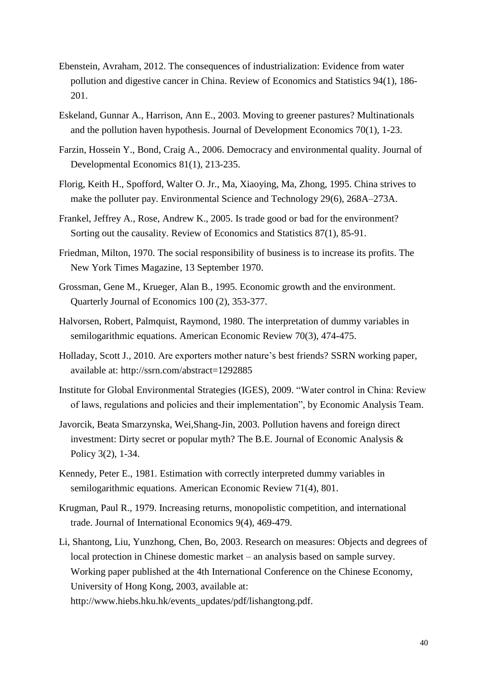- Ebenstein, Avraham, 2012. The consequences of industrialization: Evidence from water pollution and digestive cancer in China. Review of Economics and Statistics 94(1), 186- 201.
- Eskeland, Gunnar A., Harrison, Ann E., 2003. Moving to greener pastures? Multinationals and the pollution haven hypothesis. Journal of Development Economics 70(1), 1-23.
- Farzin, Hossein Y., Bond, Craig A., 2006. Democracy and environmental quality. Journal of Developmental Economics 81(1), 213-235.
- Florig, Keith H., Spofford, Walter O. Jr., Ma, Xiaoying, Ma, Zhong, 1995. China strives to make the polluter pay. Environmental Science and Technology 29(6), 268A–273A.
- Frankel, Jeffrey A., Rose, Andrew K., 2005. Is trade good or bad for the environment? Sorting out the causality. Review of Economics and Statistics 87(1), 85-91.
- Friedman, Milton, 1970. The social responsibility of business is to increase its profits. The New York Times Magazine, 13 September 1970.
- Grossman, Gene M., Krueger, Alan B., 1995. Economic growth and the environment. Quarterly Journal of Economics 100 (2), 353-377.
- Halvorsen, Robert, Palmquist, Raymond, 1980. The interpretation of dummy variables in semilogarithmic equations. American Economic Review 70(3), 474-475.
- Holladay, Scott J., 2010. Are exporters mother nature's best friends? SSRN working paper, available at: http://ssrn.com/abstract=1292885
- Institute for Global Environmental Strategies (IGES), 2009. "Water control in China: Review of laws, regulations and policies and their implementation", by Economic Analysis Team.
- Javorcik, Beata Smarzynska, Wei,Shang-Jin, 2003. Pollution havens and foreign direct investment: Dirty secret or popular myth? The B.E. Journal of Economic Analysis & Policy 3(2), 1-34.
- Kennedy, Peter E., 1981. Estimation with correctly interpreted dummy variables in semilogarithmic equations. American Economic Review 71(4), 801.
- Krugman, Paul R., 1979. Increasing returns, monopolistic competition, and international trade. [Journal of International Economics](http://ideas.repec.org/s/eee/inecon.html) 9(4), 469-479.
- Li, Shantong, Liu, Yunzhong, Chen, Bo, 2003. Research on measures: Objects and degrees of local protection in Chinese domestic market – an analysis based on sample survey. Working paper published at the 4th International Conference on the Chinese Economy, University of Hong Kong, 2003, available at: http://www.hiebs.hku.hk/events\_updates/pdf/lishangtong.pdf.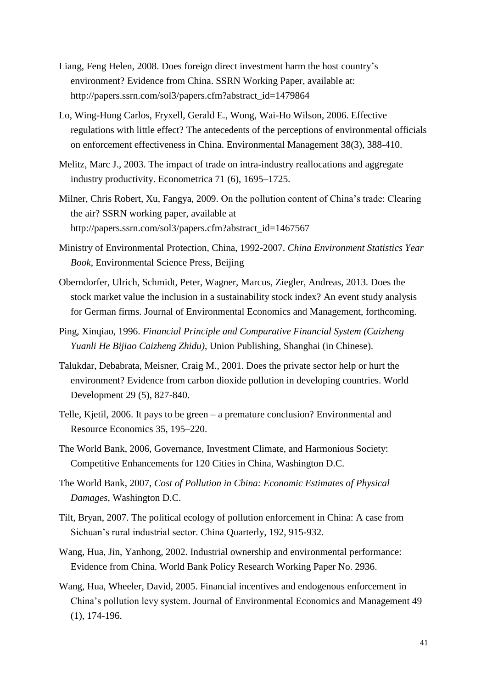- Liang, Feng Helen, 2008. Does foreign direct investment harm the host country's environment? Evidence from China. SSRN Working Paper, available at: http://papers.ssrn.com/sol3/papers.cfm?abstract\_id=1479864
- Lo, Wing-Hung Carlos, Fryxell, Gerald E., Wong, Wai-Ho Wilson, 2006. Effective regulations with little effect? The antecedents of the perceptions of environmental officials on enforcement effectiveness in China. Environmental Management 38(3), 388-410.
- Melitz, Marc J., 2003. The impact of trade on intra-industry reallocations and aggregate industry productivity. Econometrica 71 (6), 1695–1725.
- Milner, Chris Robert, Xu, Fangya, 2009. On the pollution content of China's trade: Clearing the air? SSRN working paper, available at http://papers.ssrn.com/sol3/papers.cfm?abstract\_id=1467567
- Ministry of Environmental Protection, China, 1992-2007. *China Environment Statistics Year Book*, Environmental Science Press, Beijing
- Oberndorfer, Ulrich, Schmidt, Peter, Wagner, Marcus, Ziegler, Andreas, 2013. Does the stock market value the inclusion in a sustainability stock index? An event study analysis for German firms. Journal of Environmental Economics and Management, forthcoming.
- Ping, Xinqiao, 1996. *Financial Principle and Comparative Financial System (Caizheng Yuanli He Bijiao Caizheng Zhidu)*, Union Publishing, Shanghai (in Chinese).
- Talukdar, Debabrata, Meisner, Craig M., 2001. Does the private sector help or hurt the environment? Evidence from carbon dioxide pollution in developing countries. World Development 29 (5), 827-840.
- Telle, Kjetil, 2006. It pays to be green a premature conclusion? Environmental and Resource Economics 35, 195–220.
- The World Bank, 2006, Governance, Investment Climate, and Harmonious Society: Competitive Enhancements for 120 Cities in China, Washington D.C.
- The World Bank, 2007, *Cost of Pollution in China: Economic Estimates of Physical Damages*, Washington D.C.
- Tilt, Bryan, 2007. The political ecology of pollution enforcement in China: A case from Sichuan's rural industrial sector. China Quarterly, 192, 915-932.
- Wang, Hua, Jin, Yanhong, 2002. Industrial ownership and environmental performance: Evidence from China. World Bank Policy Research Working Paper No. 2936.
- Wang, Hua, Wheeler, David, 2005. Financial incentives and endogenous enforcement in China's pollution levy system. Journal of Environmental Economics and Management 49 (1), 174-196.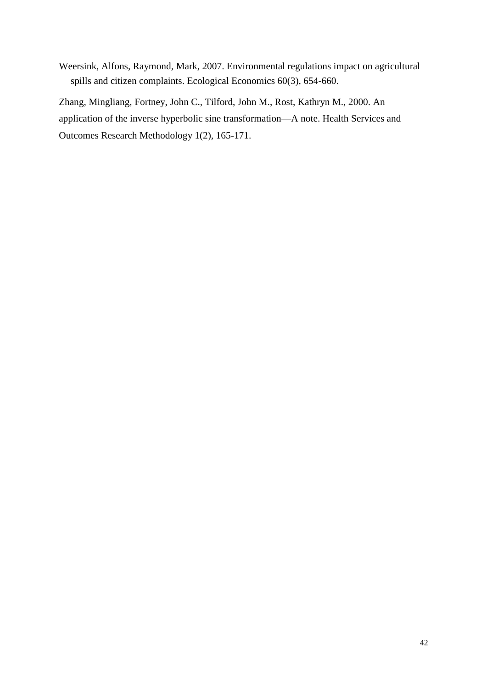Weersink, Alfons, Raymond, Mark, 2007. Environmental regulations impact on agricultural spills and citizen complaints. Ecological Economics 60(3), 654-660.

Zhang, Mingliang, Fortney, John C., Tilford, John M., Rost, Kathryn M., 2000. An application of the inverse hyperbolic sine transformation—A note. [Health Services and](http://link.springer.com/journal/10742)  [Outcomes Research Methodology](http://link.springer.com/journal/10742) 1(2), 165-171.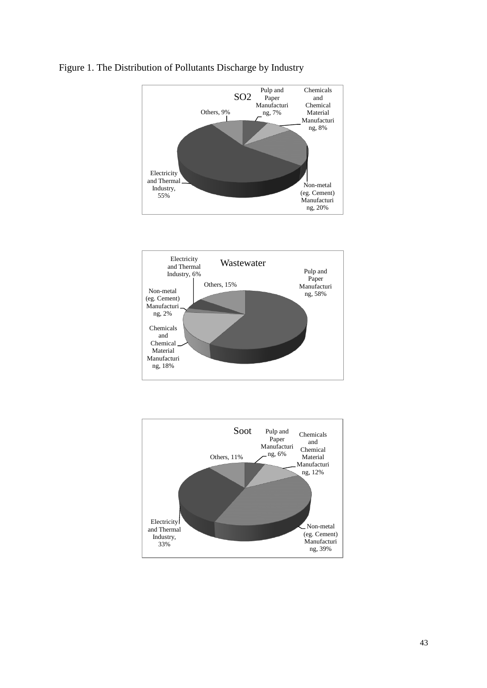

### Figure 1. The Distribution of Pollutants Discharge by Industry

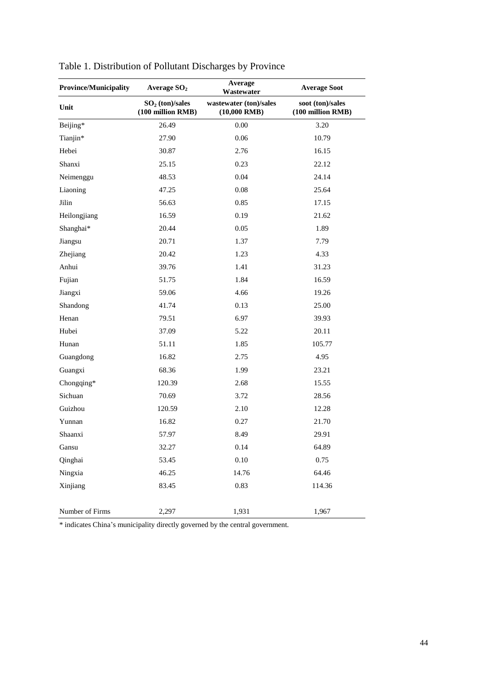| <b>Province/Municipality</b> | Average $SO2$                          | Average<br>Wastewater                    | <b>Average Soot</b>                   |
|------------------------------|----------------------------------------|------------------------------------------|---------------------------------------|
| Unit                         | $SO2$ (ton)/sales<br>(100 million RMB) | wastewater (ton)/sales<br>$(10,000$ RMB) | soot (ton)/sales<br>(100 million RMB) |
| Beijing*                     | 26.49                                  | 0.00                                     | 3.20                                  |
| Tianjin*                     | 27.90                                  | $0.06\,$                                 | 10.79                                 |
| Hebei                        | 30.87                                  | 2.76                                     | 16.15                                 |
| Shanxi                       | 25.15                                  | 0.23                                     | 22.12                                 |
| Neimenggu                    | 48.53                                  | 0.04                                     | 24.14                                 |
| Liaoning                     | 47.25                                  | 0.08                                     | 25.64                                 |
| Jilin                        | 56.63                                  | 0.85                                     | 17.15                                 |
| Heilongjiang                 | 16.59                                  | 0.19                                     | 21.62                                 |
| Shanghai*                    | 20.44                                  | 0.05                                     | 1.89                                  |
| Jiangsu                      | 20.71                                  | 1.37                                     | 7.79                                  |
| Zhejiang                     | 20.42                                  | 1.23                                     | 4.33                                  |
| Anhui                        | 39.76                                  | 1.41                                     | 31.23                                 |
| Fujian                       | 51.75                                  | 1.84                                     | 16.59                                 |
| Jiangxi                      | 59.06                                  | 4.66                                     | 19.26                                 |
| Shandong                     | 41.74                                  | 0.13                                     | 25.00                                 |
| Henan                        | 79.51                                  | 6.97                                     | 39.93                                 |
| Hubei                        | 37.09                                  | 5.22                                     | 20.11                                 |
| Hunan                        | 51.11                                  | 1.85                                     | 105.77                                |
| Guangdong                    | 16.82                                  | 2.75                                     | 4.95                                  |
| Guangxi                      | 68.36                                  | 1.99                                     | 23.21                                 |
| Chongqing*                   | 120.39                                 | 2.68                                     | 15.55                                 |
| Sichuan                      | 70.69                                  | 3.72                                     | 28.56                                 |
| Guizhou                      | 120.59                                 | 2.10                                     | 12.28                                 |
| Yunnan                       | 16.82                                  | 0.27                                     | 21.70                                 |
| Shaanxi                      | 57.97                                  | 8.49                                     | 29.91                                 |
| Gansu                        | 32.27                                  | 0.14                                     | 64.89                                 |
| Qinghai                      | 53.45                                  | $0.10\,$                                 | 0.75                                  |
| Ningxia                      | 46.25                                  | 14.76                                    | 64.46                                 |
| Xinjiang                     | 83.45                                  | 0.83                                     | 114.36                                |
| Number of Firms              | 2,297                                  | 1,931                                    | 1,967                                 |

Table 1. Distribution of Pollutant Discharges by Province

\* indicates China's municipality directly governed by the central government.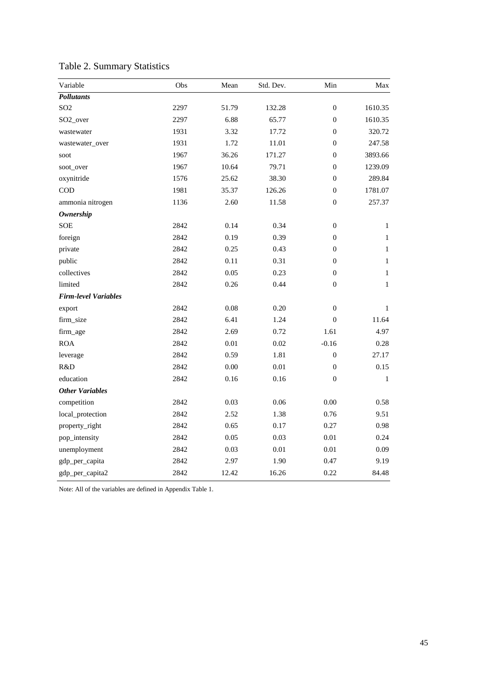| Variable                    | Obs  | Mean  | Std. Dev. | Min              | Max          |
|-----------------------------|------|-------|-----------|------------------|--------------|
| <b>Pollutants</b>           |      |       |           |                  |              |
| SO <sub>2</sub>             | 2297 | 51.79 | 132.28    | $\boldsymbol{0}$ | 1610.35      |
| SO <sub>2_over</sub>        | 2297 | 6.88  | 65.77     | $\boldsymbol{0}$ | 1610.35      |
| wastewater                  | 1931 | 3.32  | 17.72     | $\theta$         | 320.72       |
| wastewater_over             | 1931 | 1.72  | 11.01     | $\boldsymbol{0}$ | 247.58       |
| soot                        | 1967 | 36.26 | 171.27    | $\boldsymbol{0}$ | 3893.66      |
| soot_over                   | 1967 | 10.64 | 79.71     | $\boldsymbol{0}$ | 1239.09      |
| oxynitride                  | 1576 | 25.62 | 38.30     | $\boldsymbol{0}$ | 289.84       |
| <b>COD</b>                  | 1981 | 35.37 | 126.26    | $\overline{0}$   | 1781.07      |
| ammonia nitrogen            | 1136 | 2.60  | 11.58     | $\boldsymbol{0}$ | 257.37       |
| <b>Ownership</b>            |      |       |           |                  |              |
| <b>SOE</b>                  | 2842 | 0.14  | 0.34      | $\boldsymbol{0}$ | $\mathbf{1}$ |
| foreign                     | 2842 | 0.19  | 0.39      | $\boldsymbol{0}$ | $\mathbf{1}$ |
| private                     | 2842 | 0.25  | 0.43      | $\boldsymbol{0}$ | $\mathbf{1}$ |
| public                      | 2842 | 0.11  | 0.31      | $\mathbf{0}$     | $\mathbf{1}$ |
| collectives                 | 2842 | 0.05  | 0.23      | $\boldsymbol{0}$ | $\mathbf{1}$ |
| limited                     | 2842 | 0.26  | 0.44      | $\mathbf{0}$     | $\mathbf{1}$ |
| <b>Firm-level Variables</b> |      |       |           |                  |              |
| export                      | 2842 | 0.08  | 0.20      | $\boldsymbol{0}$ | $\mathbf{1}$ |
| firm_size                   | 2842 | 6.41  | 1.24      | $\theta$         | 11.64        |
| firm_age                    | 2842 | 2.69  | 0.72      | 1.61             | 4.97         |
| <b>ROA</b>                  | 2842 | 0.01  | 0.02      | $-0.16$          | 0.28         |
| leverage                    | 2842 | 0.59  | 1.81      | $\boldsymbol{0}$ | 27.17        |
| R&D                         | 2842 | 0.00  | 0.01      | $\boldsymbol{0}$ | 0.15         |
| education                   | 2842 | 0.16  | 0.16      | $\boldsymbol{0}$ | $\mathbf{1}$ |
| <b>Other Variables</b>      |      |       |           |                  |              |
| competition                 | 2842 | 0.03  | 0.06      | 0.00             | 0.58         |
| local_protection            | 2842 | 2.52  | 1.38      | 0.76             | 9.51         |
| property_right              | 2842 | 0.65  | 0.17      | 0.27             | 0.98         |
| pop_intensity               | 2842 | 0.05  | 0.03      | $0.01\,$         | 0.24         |
| unemployment                | 2842 | 0.03  | 0.01      | 0.01             | 0.09         |
| gdp_per_capita              | 2842 | 2.97  | 1.90      | 0.47             | 9.19         |
| gdp_per_capita2             | 2842 | 12.42 | 16.26     | 0.22             | 84.48        |

Table 2. Summary Statistics

Note: All of the variables are defined in Appendix Table 1.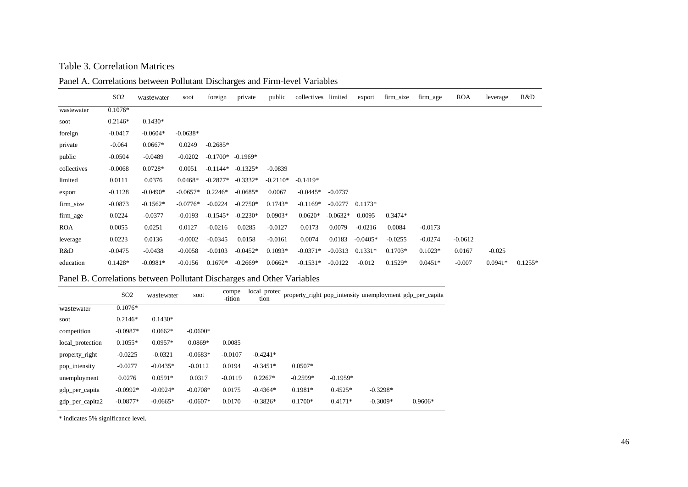### Table 3. Correlation Matrices

Panel A. Correlations between Pollutant Discharges and Firm-level Variables

|             | SO <sub>2</sub> | wastewater | soot       | foreign             | private    | public     | collectives limited |            | export     | firm_size | firm_age  | <b>ROA</b> | leverage  | R&D       |
|-------------|-----------------|------------|------------|---------------------|------------|------------|---------------------|------------|------------|-----------|-----------|------------|-----------|-----------|
| wastewater  | $0.1076*$       |            |            |                     |            |            |                     |            |            |           |           |            |           |           |
| soot        | $0.2146*$       | $0.1430*$  |            |                     |            |            |                     |            |            |           |           |            |           |           |
| foreign     | $-0.0417$       | $-0.0604*$ | $-0.0638*$ |                     |            |            |                     |            |            |           |           |            |           |           |
| private     | $-0.064$        | $0.0667*$  | 0.0249     | $-0.2685*$          |            |            |                     |            |            |           |           |            |           |           |
| public      | $-0.0504$       | $-0.0489$  | $-0.0202$  | $-0.1700* -0.1969*$ |            |            |                     |            |            |           |           |            |           |           |
| collectives | $-0.0068$       | $0.0728*$  | 0.0051     | $-0.1144*$          | $-0.1325*$ | $-0.0839$  |                     |            |            |           |           |            |           |           |
| limited     | 0.0111          | 0.0376     | $0.0468*$  | $-0.2877*$          | $-0.3332*$ | $-0.2110*$ | $-0.1419*$          |            |            |           |           |            |           |           |
| export      | $-0.1128$       | $-0.0490*$ | $-0.0657*$ | $0.2246*$           | $-0.0685*$ | 0.0067     | $-0.0445*$          | $-0.0737$  |            |           |           |            |           |           |
| firm_size   | $-0.0873$       | $-0.1562*$ | $-0.0776*$ | $-0.0224$           | $-0.2750*$ | $0.1743*$  | $-0.1169*$          | $-0.0277$  | $0.1173*$  |           |           |            |           |           |
| firm_age    | 0.0224          | $-0.0377$  | $-0.0193$  | $-0.1545*$          | $-0.2230*$ | $0.0903*$  | $0.0620*$           | $-0.0632*$ | 0.0095     | $0.3474*$ |           |            |           |           |
| <b>ROA</b>  | 0.0055          | 0.0251     | 0.0127     | $-0.0216$           | 0.0285     | $-0.0127$  | 0.0173              | 0.0079     | $-0.0216$  | 0.0084    | $-0.0173$ |            |           |           |
| leverage    | 0.0223          | 0.0136     | $-0.0002$  | $-0.0345$           | 0.0158     | $-0.0161$  | 0.0074              | 0.0183     | $-0.0405*$ | $-0.0255$ | $-0.0274$ | $-0.0612$  |           |           |
| R&D         | $-0.0475$       | $-0.0438$  | $-0.0058$  | $-0.0103$           | $-0.0452*$ | $0.1093*$  | $-0.0371*$          | $-0.0313$  | $0.1331*$  | $0.1703*$ | $0.1023*$ | 0.0167     | $-0.025$  |           |
| education   | $0.1428*$       | $-0.0981*$ | $-0.0156$  | $0.1670*$           | $-0.2669*$ | $0.0662*$  | $-0.1531*$          | $-0.0122$  | $-0.012$   | $0.1529*$ | $0.0451*$ | $-0.007$   | $0.0941*$ | $0.1255*$ |

Panel B. Correlations between Pollutant Discharges and Other Variables

|                  | SO <sub>2</sub> | wastewater | soot       | compe<br>-tition | local_protec<br>tion |            |            | property_right pop_intensity unemployment gdp_per_capita |           |
|------------------|-----------------|------------|------------|------------------|----------------------|------------|------------|----------------------------------------------------------|-----------|
| wastewater       | $0.1076*$       |            |            |                  |                      |            |            |                                                          |           |
| soot             | $0.2146*$       | $0.1430*$  |            |                  |                      |            |            |                                                          |           |
| competition      | $-0.0987*$      | $0.0662*$  | $-0.0600*$ |                  |                      |            |            |                                                          |           |
| local_protection | $0.1055*$       | $0.0957*$  | $0.0869*$  | 0.0085           |                      |            |            |                                                          |           |
| property_right   | $-0.0225$       | $-0.0321$  | $-0.0683*$ | $-0.0107$        | $-0.4241*$           |            |            |                                                          |           |
| pop_intensity    | $-0.0277$       | $-0.0435*$ | $-0.0112$  | 0.0194           | $-0.3451*$           | $0.0507*$  |            |                                                          |           |
| unemployment     | 0.0276          | $0.0591*$  | 0.0317     | $-0.0119$        | $0.2267*$            | $-0.2599*$ | $-0.1959*$ |                                                          |           |
| gdp_per_capita   | $-0.0992*$      | $-0.0924*$ | $-0.0708*$ | 0.0175           | $-0.4364*$           | $0.1981*$  | $0.4525*$  | $-0.3298*$                                               |           |
| gdp_per_capita2  | $-0.0877*$      | $-0.0665*$ | $-0.0607*$ | 0.0170           | $-0.3826*$           | $0.1700*$  | $0.4171*$  | $-0.3009*$                                               | $0.9606*$ |

\* indicates 5% significance level.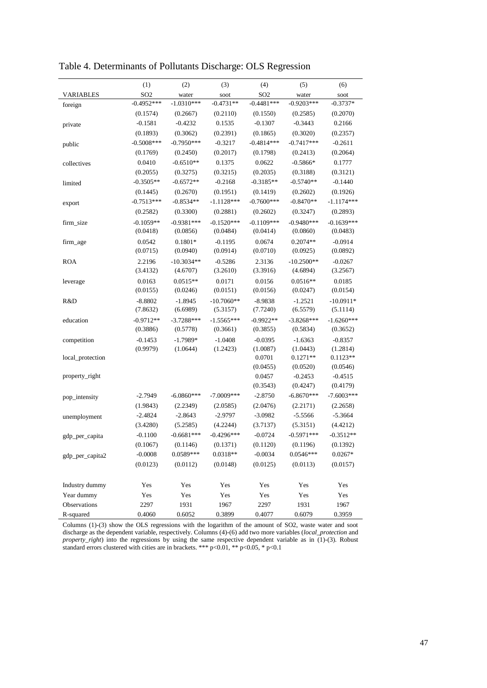|                  | (1)             | (2)          | (3)          | (4)             | (5)          | (6)          |
|------------------|-----------------|--------------|--------------|-----------------|--------------|--------------|
| <b>VARIABLES</b> | SO <sub>2</sub> | water        | soot         | SO <sub>2</sub> | water        | soot         |
| foreign          | $-0.4952***$    | $-1.0310***$ | $-0.4731**$  | $-0.4481***$    | $-0.9203***$ | $-0.3737*$   |
|                  | (0.1574)        | (0.2667)     | (0.2110)     | (0.1550)        | (0.2585)     | (0.2070)     |
| private          | $-0.1581$       | $-0.4232$    | 0.1535       | $-0.1307$       | $-0.3443$    | 0.2166       |
|                  | (0.1893)        | (0.3062)     | (0.2391)     | (0.1865)        | (0.3020)     | (0.2357)     |
| public           | $-0.5008***$    | $-0.7950***$ | $-0.3217$    | $-0.4814***$    | $-0.7417***$ | $-0.2611$    |
|                  | (0.1769)        | (0.2450)     | (0.2017)     | (0.1798)        | (0.2413)     | (0.2064)     |
| collectives      | 0.0410          | $-0.6510**$  | 0.1375       | 0.0622          | $-0.5866*$   | 0.1777       |
|                  | (0.2055)        | (0.3275)     | (0.3215)     | (0.2035)        | (0.3188)     | (0.3121)     |
| limited          | $-0.3505**$     | $-0.6572**$  | $-0.2168$    | $-0.3185**$     | $-0.5740**$  | $-0.1440$    |
|                  | (0.1445)        | (0.2670)     | (0.1951)     | (0.1419)        | (0.2602)     | (0.1926)     |
| export           | $-0.7513***$    | $-0.8534**$  | $-1.1128***$ | $-0.7600***$    | $-0.8470**$  | $-1.1174***$ |
|                  | (0.2582)        | (0.3300)     | (0.2881)     | (0.2602)        | (0.3247)     | (0.2893)     |
| firm_size        | $-0.1059**$     | $-0.9381***$ | $-0.1520***$ | $-0.1109***$    | $-0.9480***$ | $-0.1639***$ |
|                  | (0.0418)        | (0.0856)     | (0.0484)     | (0.0414)        | (0.0860)     | (0.0483)     |
| firm_age         | 0.0542          | $0.1801*$    | $-0.1195$    | 0.0674          | $0.2074**$   | $-0.0914$    |
|                  | (0.0715)        | (0.0940)     | (0.0914)     | (0.0710)        | (0.0925)     | (0.0892)     |
| <b>ROA</b>       | 2.2196          | $-10.3034**$ | $-0.5286$    | 2.3136          | $-10.2500**$ | $-0.0267$    |
|                  | (3.4132)        | (4.6707)     | (3.2610)     | (3.3916)        | (4.6894)     | (3.2567)     |
| leverage         | 0.0163          | $0.0515**$   | 0.0171       | 0.0156          | $0.0516**$   | 0.0185       |
|                  | (0.0155)        | (0.0246)     | (0.0151)     | (0.0156)        | (0.0247)     | (0.0154)     |
| R&D              | $-8.8802$       | $-1.8945$    | $-10.7060**$ | $-8.9838$       | $-1.2521$    | $-10.0911*$  |
|                  | (7.8632)        | (6.6989)     | (5.3157)     | (7.7240)        | (6.5579)     | (5.1114)     |
| education        | $-0.9712**$     | $-3.7288***$ | $-1.5565***$ | $-0.9922**$     | $-3.8268***$ | $-1.6260***$ |
|                  | (0.3886)        | (0.5778)     | (0.3661)     | (0.3855)        | (0.5834)     | (0.3652)     |
| competition      | $-0.1453$       | $-1.7989*$   | $-1.0408$    | $-0.0395$       | $-1.6363$    | $-0.8357$    |
|                  | (0.9979)        | (1.0644)     | (1.2423)     | (1.0087)        | (1.0443)     | (1.2814)     |
| local_protection |                 |              |              | 0.0701          | $0.1271**$   | $0.1123**$   |
|                  |                 |              |              | (0.0455)        | (0.0520)     | (0.0546)     |
| property_right   |                 |              |              | 0.0457          | $-0.2453$    | $-0.4515$    |
|                  |                 |              |              | (0.3543)        | (0.4247)     | (0.4179)     |
| pop_intensity    | $-2.7949$       | $-6.0860***$ | $-7.0009***$ | $-2.8750$       | $-6.8670***$ | $-7.6003***$ |
|                  | (1.9843)        | (2.2349)     | (2.0585)     | (2.0476)        | (2.2171)     | (2.2658)     |
| unemployment     | $-2.4824$       | $-2.8643$    | $-2.9797$    | $-3.0982$       | $-5.5566$    | $-5.3664$    |
|                  | (3.4280)        | (5.2585)     | (4.2244)     | (3.7137)        | (5.3151)     | (4.4212)     |
| gdp_per_capita   | $-0.1100$       | $-0.6681***$ | $-0.4296***$ | $-0.0724$       | $-0.5971***$ | $-0.3512**$  |
|                  | (0.1067)        | (0.1146)     | (0.1371)     | (0.1120)        | (0.1196)     | (0.1392)     |
| gdp_per_capita2  | $-0.0008$       | 0.0589***    | $0.0318**$   | $-0.0034$       | $0.0546***$  | $0.0267*$    |
|                  | (0.0123)        | (0.0112)     | (0.0148)     | (0.0125)        | (0.0113)     | (0.0157)     |
|                  |                 |              |              |                 |              |              |
| Industry dummy   | Yes             | Yes          | Yes          | Yes             | Yes          | Yes          |
| Year dummy       | Yes             | Yes          | Yes          | Yes             | Yes          | Yes          |
| Observations     | 2297            | 1931         | 1967         | 2297            | 1931         | 1967         |
| R-squared        | 0.4060          | 0.6052       | 0.3899       | 0.4077          | 0.6079       | 0.3959       |

Table 4. Determinants of Pollutants Discharge: OLS Regression

Columns (1)-(3) show the OLS regressions with the logarithm of the amount of SO2, waste water and soot discharge as the dependent variable, respectively. Columns (4)-(6) add two more variables (*local\_protection* and *property\_right*) into the regressions by using the same respective dependent variable as in (1)-(3). Robust standard errors clustered with cities are in brackets. \*\*\* p<0.01, \*\* p<0.05, \* p<0.1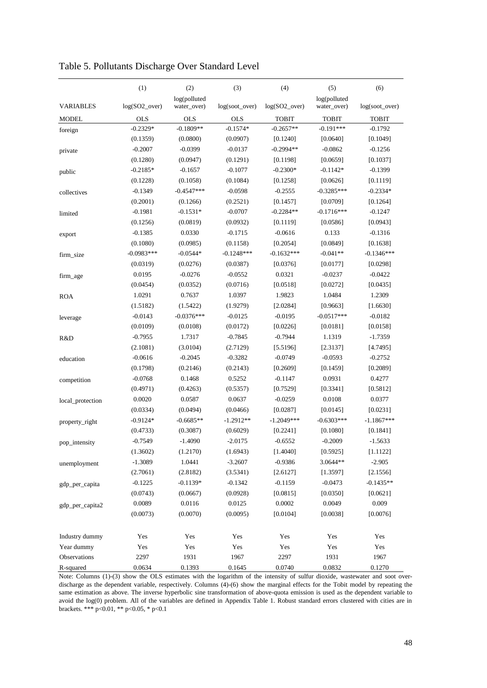|                  | (1)           | (2)                         | (3)            | (4)           | (5)                         | (6)            |
|------------------|---------------|-----------------------------|----------------|---------------|-----------------------------|----------------|
| <b>VARIABLES</b> | log(SO2_over) | log(polluted<br>water_over) | log(soot_over) | log(SO2_over) | log(polluted<br>water_over) | log(soot_over) |
| <b>MODEL</b>     | <b>OLS</b>    | <b>OLS</b>                  | <b>OLS</b>     | <b>TOBIT</b>  | <b>TOBIT</b>                | <b>TOBIT</b>   |
| foreign          | $-0.2329*$    | $-0.1809**$                 | $-0.1574*$     | $-0.2657**$   | $-0.191***$                 | $-0.1792$      |
|                  | (0.1359)      | (0.0800)                    | (0.0907)       | [0.1240]      | [0.0640]                    | [0.1049]       |
| private          | $-0.2007$     | $-0.0399$                   | $-0.0137$      | $-0.2994**$   | $-0.0862$                   | $-0.1256$      |
|                  | (0.1280)      | (0.0947)                    | (0.1291)       | [0.1198]      | [0.0659]                    | [0.1037]       |
| public           | $-0.2185*$    | $-0.1657$                   | $-0.1077$      | $-0.2300*$    | $-0.1142*$                  | $-0.1399$      |
|                  | (0.1228)      | (0.1058)                    | (0.1084)       | [0.1258]      | [0.0626]                    | [0.1119]       |
| collectives      | $-0.1349$     | $-0.4547***$                | $-0.0598$      | $-0.2555$     | $-0.3285***$                | $-0.2334*$     |
|                  | (0.2001)      | (0.1266)                    | (0.2521)       | [0.1457]      | [0.0709]                    | [0.1264]       |
| limited          | $-0.1981$     | $-0.1531*$                  | $-0.0707$      | $-0.2284**$   | $-0.1716***$                | $-0.1247$      |
|                  | (0.1256)      | (0.0819)                    | (0.0932)       | [0.1119]      | [0.0586]                    | [0.0943]       |
| export           | $-0.1385$     | 0.0330                      | $-0.1715$      | $-0.0616$     | 0.133                       | $-0.1316$      |
|                  | (0.1080)      | (0.0985)                    | (0.1158)       | [0.2054]      | [0.0849]                    | [0.1638]       |
| firm_size        | $-0.0983***$  | $-0.0544*$                  | $-0.1248***$   | $-0.1632***$  | $-0.041**$                  | $-0.1346***$   |
|                  | (0.0319)      | (0.0276)                    | (0.0387)       | [0.0376]      | [0.0177]                    | [0.0298]       |
| firm_age         | 0.0195        | $-0.0276$                   | $-0.0552$      | 0.0321        | $-0.0237$                   | $-0.0422$      |
|                  | (0.0454)      | (0.0352)                    | (0.0716)       | [0.0518]      | [0.0272]                    | [0.0435]       |
| <b>ROA</b>       | 1.0291        | 0.7637                      | 1.0397         | 1.9823        | 1.0484                      | 1.2309         |
|                  | (1.5182)      | (1.5422)                    | (1.9279)       | [2.0284]      | [0.9663]                    | [1.6630]       |
| leverage         | $-0.0143$     | $-0.0376***$                | $-0.0125$      | $-0.0195$     | $-0.0517***$                | $-0.0182$      |
|                  | (0.0109)      | (0.0108)                    | (0.0172)       | [0.0226]      | [0.0181]                    | [0.0158]       |
| R&D              | $-0.7955$     | 1.7317                      | $-0.7845$      | $-0.7944$     | 1.1319                      | $-1.7359$      |
|                  | (2.1081)      | (3.0104)                    | (2.7129)       | [5.5196]      | [2.3137]                    | [4.7495]       |
| education        | $-0.0616$     | $-0.2045$                   | $-0.3282$      | $-0.0749$     | $-0.0593$                   | $-0.2752$      |
|                  | (0.1798)      | (0.2146)                    | (0.2143)       | [0.2609]      | [0.1459]                    | [0.2089]       |
| competition      | $-0.0768$     | 0.1468                      | 0.5252         | $-0.1147$     | 0.0931                      | 0.4277         |
|                  | (0.4971)      | (0.4263)                    | (0.5357)       | [0.7529]      | [0.3341]                    | [0.5812]       |
| local_protection | 0.0020        | 0.0587                      | 0.0637         | $-0.0259$     | 0.0108                      | 0.0377         |
|                  | (0.0334)      | (0.0494)                    | (0.0466)       | [0.0287]      | [0.0145]                    | [0.0231]       |
| property_right   | $-0.9124*$    | $-0.6685**$                 | -1.2912**      | $-1.2049***$  | $-0.6303***$                | $-1.1867***$   |
|                  | (0.4733)      | (0.3087)                    | (0.6029)       | [0.2241]      | [0.1080]                    | [0.1841]       |
| pop_intensity    | $-0.7549$     | $-1.4090$                   | $-2.0175$      | $-0.6552$     | $-0.2009$                   | $-1.5633$      |
|                  | (1.3602)      | (1.2170)                    | (1.6943)       | [1.4040]      | [0.5925]                    | [1.1122]       |
| unemployment     | $-1.3089$     | 1.0441                      | $-3.2607$      | $-0.9386$     | 3.0644**                    | $-2.905$       |
|                  | (2.7061)      | (2.8182)                    | (3.5341)       | [2.6127]      | [1.3597]                    | [2.1556]       |
| gdp_per_capita   | $-0.1225$     | $-0.1139*$                  | $-0.1342$      | $-0.1159$     | $-0.0473$                   | $-0.1435**$    |
|                  | (0.0743)      | (0.0667)                    | (0.0928)       | [0.0815]      | [0.0350]                    | [0.0621]       |
| gdp_per_capita2  | 0.0089        | 0.0116                      | 0.0125         | 0.0002        | 0.0049                      | 0.009          |
|                  | (0.0073)      | (0.0070)                    | (0.0095)       | [0.0104]      | [0.0038]                    | [0.0076]       |
| Industry dummy   | Yes           | Yes                         | Yes            | Yes           | Yes                         | Yes            |
| Year dummy       | Yes           | Yes                         | Yes            | Yes           | Yes                         | Yes            |
| Observations     | 2297          | 1931                        | 1967           | 2297          | 1931                        | 1967           |
| R-squared        | 0.0634        | 0.1393                      | 0.1645         | 0.0740        | 0.0832                      | 0.1270         |

Table 5. Pollutants Discharge Over Standard Level

Note: Columns (1)-(3) show the OLS estimates with the logarithm of the intensity of sulfur dioxide, wastewater and soot overdischarge as the dependent variable, respectively. Columns (4)-(6) show the marginal effects for the Tobit model by repeating the same estimation as above. The inverse hyperbolic sine transformation of above-quota emission is used as the dependent variable to avoid the log(0) problem. All of the variables are defined in Appendix Table 1. Robust standard errors clustered with cities are in brackets. \*\*\* p<0.01, \*\* p<0.05, \* p<0.1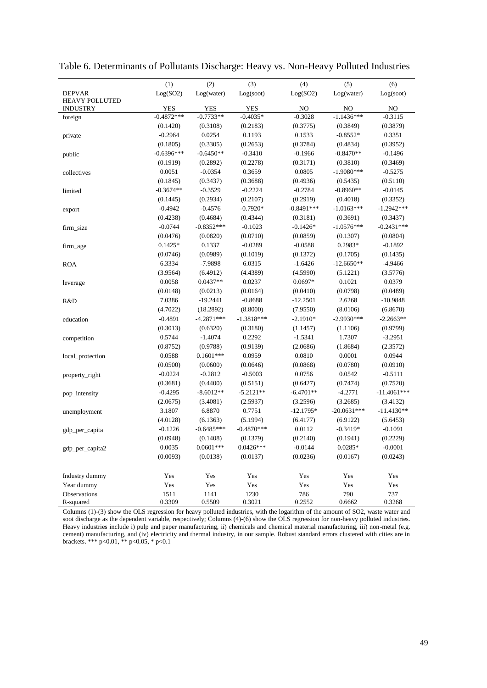|                       | (1)          | (2)          | (3)          | (4)          | (5)           | (6)           |
|-----------------------|--------------|--------------|--------------|--------------|---------------|---------------|
| <b>DEPVAR</b>         | Log(SO2)     | Log(water)   | Log(soot)    | Log(SO2)     | Log(water)    | Log(soot)     |
| <b>HEAVY POLLUTED</b> |              |              |              |              |               |               |
| <b>INDUSTRY</b>       | YES          | YES          | YES          | NO           | NO            | NO            |
| foreign               | $-0.4872***$ | $-0.7733**$  | $-0.4035*$   | $-0.3028$    | $-1.1436***$  | $-0.3115$     |
|                       | (0.1420)     | (0.3108)     | (0.2183)     | (0.3775)     | (0.3849)      | (0.3879)      |
| private               | $-0.2964$    | 0.0254       | 0.1193       | 0.1533       | $-0.8552*$    | 0.3351        |
|                       | (0.1805)     | (0.3305)     | (0.2653)     | (0.3784)     | (0.4834)      | (0.3952)      |
| public                | $-0.6396***$ | $-0.6450**$  | $-0.3410$    | $-0.1966$    | $-0.8470**$   | $-0.1496$     |
|                       | (0.1919)     | (0.2892)     | (0.2278)     | (0.3171)     | (0.3810)      | (0.3469)      |
| collectives           | 0.0051       | $-0.0354$    | 0.3659       | 0.0805       | $-1.9080***$  | $-0.5275$     |
|                       | (0.1845)     | (0.3437)     | (0.3688)     | (0.4936)     | (0.5435)      | (0.5110)      |
| limited               | $-0.3674**$  | $-0.3529$    | $-0.2224$    | $-0.2784$    | $-0.8960**$   | $-0.0145$     |
|                       | (0.1445)     | (0.2934)     | (0.2107)     | (0.2919)     | (0.4018)      | (0.3352)      |
| export                | $-0.4942$    | $-0.4576$    | $-0.7920*$   | $-0.8491***$ | $-1.0163***$  | $-1.2942***$  |
|                       | (0.4238)     | (0.4684)     | (0.4344)     | (0.3181)     | (0.3691)      | (0.3437)      |
| firm_size             | $-0.0744$    | $-0.8352***$ | $-0.1023$    | $-0.1426*$   | $-1.0576***$  | $-0.2431***$  |
|                       | (0.0476)     | (0.0820)     | (0.0710)     | (0.0859)     | (0.1307)      | (0.0804)      |
| firm_age              | $0.1425*$    | 0.1337       | $-0.0289$    | $-0.0588$    | 0.2983*       | $-0.1892$     |
|                       | (0.0746)     | (0.0989)     | (0.1019)     | (0.1372)     | (0.1705)      | (0.1435)      |
| <b>ROA</b>            | 6.3334       | $-7.9898$    | 6.0315       | $-1.6426$    | $-12.6650**$  | $-4.9466$     |
|                       | (3.9564)     | (6.4912)     | (4.4389)     | (4.5990)     | (5.1221)      | (3.5776)      |
| leverage              | 0.0058       | $0.0437**$   | 0.0237       | 0.0697*      | 0.1021        | 0.0379        |
|                       | (0.0148)     | (0.0213)     | (0.0164)     | (0.0410)     | (0.0798)      | (0.0489)      |
| R&D                   | 7.0386       | $-19.2441$   | $-0.8688$    | $-12.2501$   | 2.6268        | $-10.9848$    |
|                       | (4.7022)     | (18.2892)    | (8.8000)     | (7.9550)     | (8.0106)      | (6.8670)      |
| education             | $-0.4891$    | $-4.2871***$ | $-1.3818***$ | $-2.1910*$   | $-2.9930***$  | $-2.2663**$   |
|                       | (0.3013)     | (0.6320)     | (0.3180)     | (1.1457)     | (1.1106)      | (0.9799)      |
| competition           | 0.5744       | $-1.4074$    | 0.2292       | $-1.5341$    | 1.7307        | $-3.2951$     |
|                       | (0.8752)     | (0.9788)     | (0.9139)     | (2.0686)     | (1.8684)      | (2.3572)      |
| local_protection      | 0.0588       | $0.1601***$  | 0.0959       | 0.0810       | 0.0001        | 0.0944        |
|                       | (0.0500)     | (0.0600)     | (0.0646)     | (0.0868)     | (0.0780)      | (0.0910)      |
| property_right        | $-0.0224$    | $-0.2812$    | $-0.5003$    | 0.0756       | 0.0542        | $-0.5111$     |
|                       | (0.3681)     | (0.4400)     | (0.5151)     | (0.6427)     | (0.7474)      | (0.7520)      |
| pop_intensity         | $-0.4295$    | $-8.6012**$  | $-5.2121**$  | $-6.4701**$  | $-4.2771$     | $-11.4061***$ |
|                       | (2.0675)     | (3.4081)     | (2.5937)     | (3.2596)     | (3.2685)      | (3.4132)      |
| unemployment          | 3.1807       | 6.8870       | 0.7751       | $-12.1795*$  | $-20.0631***$ | $-11.4130**$  |
|                       | (4.0128)     | (6.1363)     | (5.1994)     | (6.4177)     | (6.9122)      | (5.6453)      |
| gdp_per_capita        | $-0.1226$    | $-0.6485***$ | $-0.4870***$ | 0.0112       | $-0.3419*$    | $-0.1091$     |
|                       | (0.0948)     | (0.1408)     | (0.1379)     | (0.2140)     | (0.1941)      | (0.2229)      |
| gdp_per_capita2       | 0.0035       | $0.0601***$  | $0.0426***$  | $-0.0144$    | $0.0285*$     | $-0.0001$     |
|                       | (0.0093)     | (0.0138)     | (0.0137)     | (0.0236)     | (0.0167)      | (0.0243)      |
|                       |              |              |              |              |               |               |
| Industry dummy        | Yes          | Yes          | Yes          | Yes          | Yes           | Yes           |
| Year dummy            | Yes          | Yes          | Yes          | Yes          | Yes           | Yes           |
| Observations          | 1511         | 1141         | 1230         | 786          | 790           | 737           |
| R-squared             | 0.3309       | 0.5509       | 0.3021       | 0.2552       | 0.6662        | 0.3268        |

Table 6. Determinants of Pollutants Discharge: Heavy vs. Non-Heavy Polluted Industries

Columns (1)-(3) show the OLS regression for heavy polluted industries, with the logarithm of the amount of SO2, waste water and soot discharge as the dependent variable, respectively; Columns (4)-(6) show the OLS regression for non-heavy polluted industries. Heavy industries include i) pulp and paper manufacturing, ii) chemicals and chemical material manufacturing, iii) non-metal (e.g. cement) manufacturing, and (iv) electricity and thermal industry, in our sample. Robust standard errors clustered with cities are in brackets. \*\*\* p<0.01, \*\* p<0.05, \* p<0.1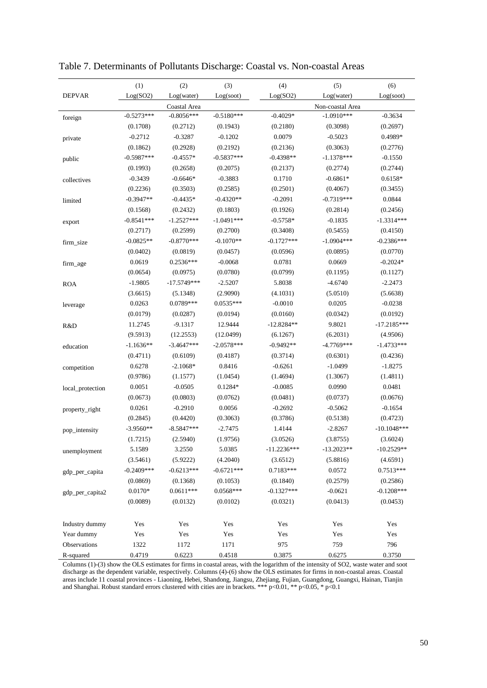|                  | (1)          | (2)           | (3)          | (4)           | (5)              | (6)           |
|------------------|--------------|---------------|--------------|---------------|------------------|---------------|
| <b>DEPVAR</b>    | Log(SO2)     | Log(water)    | Log(soot)    | Log(SO2)      | Log(water)       | Log(soot)     |
|                  |              | Coastal Area  |              |               | Non-coastal Area |               |
| foreign          | $-0.5273***$ | $-0.8056***$  | $-0.5180***$ | $-0.4029*$    | $-1.0910***$     | $-0.3634$     |
|                  | (0.1708)     | (0.2712)      | (0.1943)     | (0.2180)      | (0.3098)         | (0.2697)      |
| private          | $-0.2712$    | $-0.3287$     | $-0.1202$    | 0.0079        | $-0.5023$        | 0.4989*       |
|                  | (0.1862)     | (0.2928)      | (0.2192)     | (0.2136)      | (0.3063)         | (0.2776)      |
| public           | $-0.5987***$ | $-0.4557*$    | $-0.5837***$ | $-0.4398**$   | $-1.1378***$     | $-0.1550$     |
|                  | (0.1993)     | (0.2658)      | (0.2075)     | (0.2137)      | (0.2774)         | (0.2744)      |
| collectives      | $-0.3439$    | $-0.6646*$    | $-0.3883$    | 0.1710        | $-0.6861*$       | 0.6158*       |
|                  | (0.2236)     | (0.3503)      | (0.2585)     | (0.2501)      | (0.4067)         | (0.3455)      |
| limited          | $-0.3947**$  | $-0.4435*$    | $-0.4320**$  | $-0.2091$     | $-0.7319***$     | 0.0844        |
|                  | (0.1568)     | (0.2432)      | (0.1803)     | (0.1926)      | (0.2814)         | (0.2456)      |
| export           | $-0.8541***$ | $-1.2527***$  | $-1.0491***$ | $-0.5758*$    | $-0.1835$        | $-1.3314***$  |
|                  | (0.2717)     | (0.2599)      | (0.2700)     | (0.3408)      | (0.5455)         | (0.4150)      |
| firm_size        | $-0.0825**$  | $-0.8770***$  | $-0.1070**$  | $-0.1727***$  | $-1.0904***$     | $-0.2386***$  |
|                  | (0.0402)     | (0.0819)      | (0.0457)     | (0.0596)      | (0.0895)         | (0.0770)      |
| firm_age         | 0.0619       | $0.2536***$   | $-0.0068$    | 0.0781        | 0.0669           | $-0.2024*$    |
|                  | (0.0654)     | (0.0975)      | (0.0780)     | (0.0799)      | (0.1195)         | (0.1127)      |
| <b>ROA</b>       | $-1.9805$    | $-17.5749***$ | $-2.5207$    | 5.8038        | $-4.6740$        | $-2.2473$     |
|                  | (3.6615)     | (5.1348)      | (2.9090)     | (4.1031)      | (5.0510)         | (5.6638)      |
| leverage         | 0.0263       | $0.0789***$   | $0.0535***$  | $-0.0010$     | 0.0205           | $-0.0238$     |
|                  | (0.0179)     | (0.0287)      | (0.0194)     | (0.0160)      | (0.0342)         | (0.0192)      |
| R&D              | 11.2745      | $-9.1317$     | 12.9444      | $-12.8284**$  | 9.8021           | $-17.2185***$ |
|                  | (9.5913)     | (12.2553)     | (12.0499)    | (6.1267)      | (6.2031)         | (4.9506)      |
| education        | $-1.1636**$  | $-3.4647***$  | $-2.0578***$ | $-0.9492**$   | $-4.7769***$     | $-1.4733***$  |
|                  | (0.4711)     | (0.6109)      | (0.4187)     | (0.3714)      | (0.6301)         | (0.4236)      |
| competition      | 0.6278       | $-2.1068*$    | 0.8416       | $-0.6261$     | $-1.0499$        | $-1.8275$     |
|                  | (0.9786)     | (1.1577)      | (1.0454)     | (1.4694)      | (1.3067)         | (1.4811)      |
| local_protection | 0.0051       | $-0.0505$     | $0.1284*$    | $-0.0085$     | 0.0990           | 0.0481        |
|                  | (0.0673)     | (0.0803)      | (0.0762)     | (0.0481)      | (0.0737)         | (0.0676)      |
| property_right   | 0.0261       | $-0.2910$     | 0.0056       | $-0.2692$     | $-0.5062$        | $-0.1654$     |
|                  | (0.2845)     | (0.4420)      | (0.3063)     | (0.3786)      | (0.5138)         | (0.4723)      |
| pop_intensity    | $-3.9560**$  | $-8.5847***$  | $-2.7475$    | 1.4144        | $-2.8267$        | $-10.1048***$ |
|                  | (1.7215)     | (2.5940)      | (1.9756)     | (3.0526)      | (3.8755)         | (3.6024)      |
| unemployment     | 5.1589       | 3.2550        | 5.0385       | $-11.2236***$ | $-13.2023**$     | $-10.2529**$  |
|                  | (3.5461)     | (5.9222)      | (4.2040)     | (3.6512)      | (5.8816)         | (4.6591)      |
| gdp_per_capita   | $-0.2409***$ | $-0.6213***$  | $-0.6721***$ | $0.7183***$   | 0.0572           | $0.7513***$   |
|                  | (0.0869)     | (0.1368)      | (0.1053)     | (0.1840)      | (0.2579)         | (0.2586)      |
| gdp_per_capita2  | $0.0170*$    | $0.0611***$   | $0.0568***$  | $-0.1327***$  | $-0.0621$        | $-0.1208***$  |
|                  | (0.0089)     | (0.0132)      | (0.0102)     | (0.0321)      | (0.0413)         | (0.0453)      |
| Industry dummy   | Yes          | Yes           | Yes          | Yes           | Yes              | Yes           |
| Year dummy       | Yes          | Yes           | Yes          | Yes           | Yes              | Yes           |
| Observations     | 1322         | 1172          | 1171         | 975           | 759              | 796           |
| R-squared        | 0.4719       | 0.6223        | 0.4518       | 0.3875        | 0.6275           | 0.3750        |

Table 7. Determinants of Pollutants Discharge: Coastal vs. Non-coastal Areas

Columns (1)-(3) show the OLS estimates for firms in coastal areas, with the logarithm of the intensity of SO2, waste water and soot discharge as the dependent variable, respectively. Columns (4)-(6) show the OLS estimates for firms in non-coastal areas. Coastal areas include 11 coastal provinces - Liaoning, Hebei, Shandong, Jiangsu, Zhejiang, Fujian, Guangdong, Guangxi, Hainan, Tianjin and Shanghai. Robust standard errors clustered with cities are in brackets. \*\*\*  $p<0.01$ , \*\*  $p<0.05$ , \*  $p<0.1$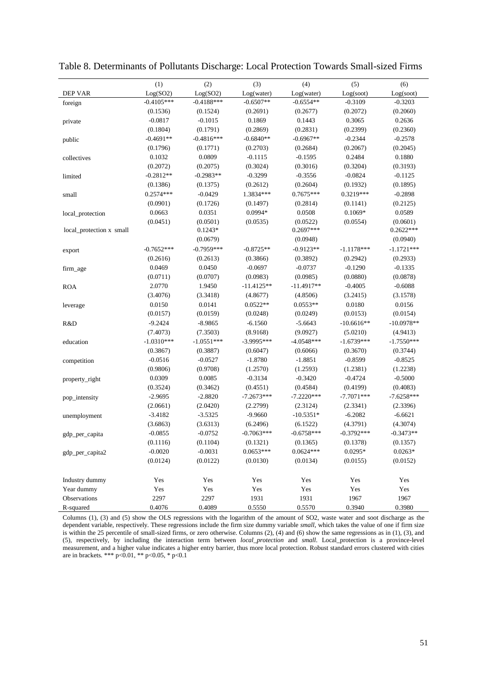|                          | (1)          | (2)          | (3)          | (4)          | (5)          | (6)          |
|--------------------------|--------------|--------------|--------------|--------------|--------------|--------------|
| <b>DEP VAR</b>           | Log(SO2)     | Log(SO2)     | Log(water)   | Log(water)   | Log(soot)    | Log(soot)    |
| foreign                  | $-0.4105***$ | $-0.4188***$ | $-0.6507**$  | $-0.6554**$  | $-0.3109$    | $-0.3203$    |
|                          | (0.1536)     | (0.1524)     | (0.2691)     | (0.2677)     | (0.2072)     | (0.2060)     |
| private                  | $-0.0817$    | $-0.1015$    | 0.1869       | 0.1443       | 0.3065       | 0.2636       |
|                          | (0.1804)     | (0.1791)     | (0.2869)     | (0.2831)     | (0.2399)     | (0.2360)     |
| public                   | $-0.4691**$  | $-0.4816***$ | $-0.6840**$  | $-0.6967**$  | $-0.2344$    | $-0.2578$    |
|                          | (0.1796)     | (0.1771)     | (0.2703)     | (0.2684)     | (0.2067)     | (0.2045)     |
| collectives              | 0.1032       | 0.0809       | $-0.1115$    | $-0.1595$    | 0.2484       | 0.1880       |
|                          | (0.2072)     | (0.2075)     | (0.3024)     | (0.3016)     | (0.3204)     | (0.3193)     |
| limited                  | $-0.2812**$  | $-0.2983**$  | $-0.3299$    | $-0.3556$    | $-0.0824$    | $-0.1125$    |
|                          | (0.1386)     | (0.1375)     | (0.2612)     | (0.2604)     | (0.1932)     | (0.1895)     |
| small                    | $0.2574***$  | $-0.0429$    | 1.3834***    | $0.7675***$  | $0.3219***$  | $-0.2898$    |
|                          | (0.0901)     | (0.1726)     | (0.1497)     | (0.2814)     | (0.1141)     | (0.2125)     |
| local_protection         | 0.0663       | 0.0351       | 0.0994*      | 0.0508       | $0.1069*$    | 0.0589       |
|                          | (0.0451)     | (0.0501)     | (0.0535)     | (0.0522)     | (0.0554)     | (0.0601)     |
| local_protection x small |              | $0.1243*$    |              | 0.2697***    |              | $0.2622***$  |
|                          |              | (0.0679)     |              | (0.0948)     |              | (0.0940)     |
| export                   | $-0.7652***$ | $-0.7959***$ | $-0.8725**$  | $-0.9123**$  | $-1.1178***$ | $-1.1721***$ |
|                          | (0.2616)     | (0.2613)     | (0.3866)     | (0.3892)     | (0.2942)     | (0.2933)     |
| firm_age                 | 0.0469       | 0.0450       | $-0.0697$    | $-0.0737$    | $-0.1290$    | $-0.1335$    |
|                          | (0.0711)     | (0.0707)     | (0.0983)     | (0.0985)     | (0.0880)     | (0.0878)     |
| <b>ROA</b>               | 2.0770       | 1.9450       | $-11.4125**$ | $-11.4917**$ | $-0.4005$    | $-0.6088$    |
|                          | (3.4076)     | (3.3418)     | (4.8677)     | (4.8506)     | (3.2415)     | (3.1578)     |
| leverage                 | 0.0150       | 0.0141       | $0.0522**$   | $0.0553**$   | 0.0180       | 0.0156       |
|                          | (0.0157)     | (0.0159)     | (0.0248)     | (0.0249)     | (0.0153)     | (0.0154)     |
| R&D                      | $-9.2424$    | $-8.9865$    | $-6.1560$    | $-5.6643$    | $-10.6616**$ | $-10.0978**$ |
|                          | (7.4073)     | (7.3503)     | (8.9168)     | (9.0927)     | (5.0210)     | (4.9413)     |
| education                | $-1.0310***$ | $-1.0551***$ | $-3.9995***$ | $-4.0548***$ | $-1.6739***$ | $-1.7550***$ |
|                          | (0.3867)     | (0.3887)     | (0.6047)     | (0.6066)     | (0.3670)     | (0.3744)     |
| competition              | $-0.0516$    | $-0.0527$    | $-1.8780$    | $-1.8851$    | $-0.8599$    | $-0.8525$    |
|                          | (0.9806)     | (0.9708)     | (1.2570)     | (1.2593)     | (1.2381)     | (1.2238)     |
| property_right           | 0.0309       | 0.0085       | $-0.3134$    | $-0.3420$    | $-0.4724$    | $-0.5000$    |
|                          | (0.3524)     | (0.3462)     | (0.4551)     | (0.4584)     | (0.4199)     | (0.4083)     |
| pop_intensity            | $-2.9695$    | $-2.8820$    | $-7.2673***$ | $-7.2220***$ | $-7.7071***$ | $-7.6258***$ |
|                          | (2.0661)     | (2.0420)     | (2.2799)     | (2.3124)     | (2.3341)     | (2.3396)     |
| unemployment             | $-3.4182$    | $-3.5325$    | $-9.9660$    | $-10.5351*$  | $-6.2082$    | $-6.6621$    |
|                          | (3.6863)     | (3.6313)     | (6.2496)     | (6.1522)     | (4.3791)     | (4.3074)     |
| gdp_per_capita           | $-0.0855$    | $-0.0752$    | $-0.7063***$ | $-0.6758***$ | $-0.3792***$ | $-0.3473**$  |
|                          | (0.1116)     | (0.1104)     | (0.1321)     | (0.1365)     | (0.1378)     | (0.1357)     |
| gdp_per_capita2          | $-0.0020$    | $-0.0031$    | $0.0653***$  | $0.0624***$  | $0.0295*$    | $0.0263*$    |
|                          | (0.0124)     | (0.0122)     | (0.0130)     | (0.0134)     | (0.0155)     | (0.0152)     |
| Industry dummy           | Yes          | Yes          | Yes          | Yes          | Yes          | Yes          |
| Year dummy               | Yes          | Yes          | Yes          | Yes          | Yes          | Yes          |
| Observations             | 2297         | 2297         | 1931         | 1931         | 1967         | 1967         |
| R-squared                | 0.4076       | 0.4089       | 0.5550       | 0.5570       | 0.3940       | 0.3980       |

Table 8. Determinants of Pollutants Discharge: Local Protection Towards Small-sized Firms

Columns (1), (3) and (5) show the OLS regressions with the logarithm of the amount of SO2, waste water and soot discharge as the dependent variable, respectively. These regressions include the firm size dummy variable *small,* which takes the value of one if firm size is within the 25 percentile of small-sized firms, or zero otherwise. Columns (2), (4) and (6) show the same regressions as in (1), (3), and (5), respectively, by including the interaction term between *local\_protection* and *small*. Local\_protection is a province-level measurement, and a higher value indicates a higher entry barrier, thus more local protection. Robust standard errors clustered with cities are in brackets. \*\*\* p<0.01, \*\* p<0.05, \* p<0.1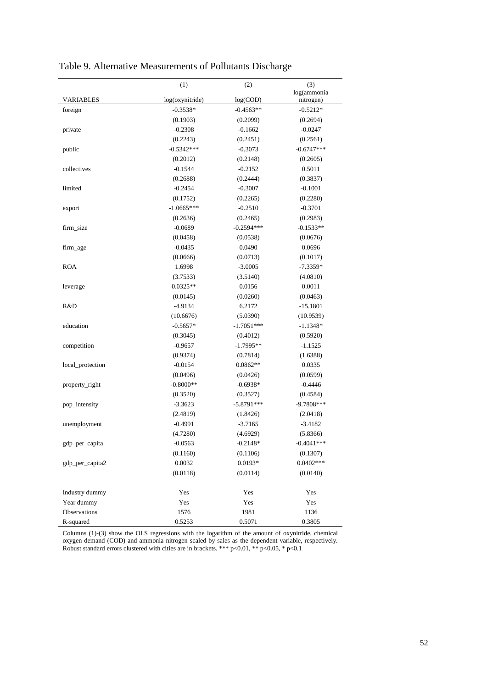|                  | (1)             | (2)          | (3)           |
|------------------|-----------------|--------------|---------------|
|                  |                 |              | log(ammonia   |
| <b>VARIABLES</b> | log(oxynitride) | log(COD)     | nitrogen)     |
| foreign          | $-0.3538*$      | $-0.4563**$  | $-0.5212*$    |
|                  | (0.1903)        | (0.2099)     | (0.2694)      |
| private          | $-0.2308$       | $-0.1662$    | $-0.0247$     |
|                  | (0.2243)        | (0.2451)     | (0.2561)      |
| public           | $-0.5342***$    | $-0.3073$    | $-0.6747***$  |
|                  | (0.2012)        | (0.2148)     | (0.2605)      |
| collectives      | $-0.1544$       | $-0.2152$    | 0.5011        |
|                  | (0.2688)        | (0.2444)     | (0.3837)      |
| limited          | $-0.2454$       | $-0.3007$    | $-0.1001$     |
|                  | (0.1752)        | (0.2265)     | (0.2280)      |
| export           | $-1.0665***$    | $-0.2510$    | $-0.3701$     |
|                  | (0.2636)        | (0.2465)     | (0.2983)      |
| firm_size        | $-0.0689$       | $-0.2594***$ | $-0.1533**$   |
|                  | (0.0458)        | (0.0538)     | (0.0676)      |
| firm_age         | $-0.0435$       | 0.0490       | 0.0696        |
|                  | (0.0666)        | (0.0713)     | (0.1017)      |
| <b>ROA</b>       | 1.6998          | $-3.0005$    | $-7.3359*$    |
|                  | (3.7533)        | (3.5140)     | (4.0810)      |
| leverage         | $0.0325**$      | 0.0156       | 0.0011        |
|                  | (0.0145)        | (0.0260)     | (0.0463)      |
| R&D              | $-4.9134$       | 6.2172       | $-15.1801$    |
|                  | (10.6676)       | (5.0390)     | (10.9539)     |
| education        | $-0.5657*$      | $-1.7051***$ | $-1.1348*$    |
|                  | (0.3045)        | (0.4012)     | (0.5920)      |
| competition      | $-0.9657$       | $-1.7995**$  | $-1.1525$     |
|                  | (0.9374)        | (0.7814)     | (1.6388)      |
| local_protection | $-0.0154$       | $0.0862**$   | 0.0335        |
|                  | (0.0496)        | (0.0426)     | (0.0599)      |
| property_right   | $-0.8000**$     | $-0.6938*$   | $-0.4446$     |
|                  | (0.3520)        | (0.3527)     | (0.4584)      |
| pop_intensity    | $-3.3623$       | $-5.8791***$ | $-9.7808***$  |
|                  | (2.4819)        | (1.8426)     | (2.0418)      |
| unemployment     | $-0.4991$       | $-3.7165$    | $-3.4182$     |
|                  | (4.7280)        | (4.6929)     | (5.8366)      |
| gdp_per_capita   | $-0.0563$       | $-0.2148*$   | $-0.4041$ *** |
|                  | (0.1160)        | (0.1106)     | (0.1307)      |
| gdp_per_capita2  | 0.0032          | $0.0193*$    | $0.0402***$   |
|                  | (0.0118)        | (0.0114)     | (0.0140)      |
|                  |                 |              |               |
| Industry dummy   | Yes             | Yes          | Yes           |
| Year dummy       | Yes             | Yes          | Yes           |
| Observations     | 1576            | 1981         | 1136          |
| R-squared        | 0.5253          | 0.5071       | 0.3805        |

Table 9. Alternative Measurements of Pollutants Discharge

Columns (1)-(3) show the OLS regressions with the logarithm of the amount of oxynitride, chemical oxygen demand (COD) and ammonia nitrogen scaled by sales as the dependent variable, respectively. Robust standard errors clustered with cities are in brackets. \*\*\*  $p<0.01$ , \*\*  $p<0.05$ , \*  $p<0.1$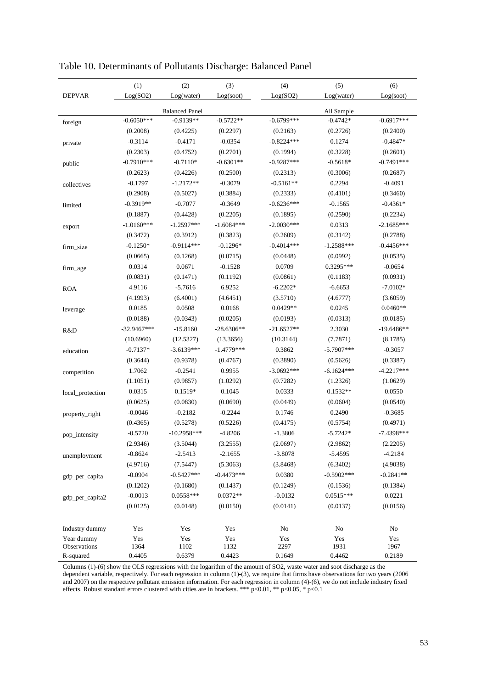|                            | (1)           | (2)                   | (3)          | (4)          | (5)          | (6)          |
|----------------------------|---------------|-----------------------|--------------|--------------|--------------|--------------|
| <b>DEPVAR</b>              | Log(SO2)      | Log(water)            | Log(soot)    | Log(SO2)     | Log(water)   | Log(soot)    |
|                            |               | <b>Balanced Panel</b> |              |              | All Sample   |              |
| foreign                    | $-0.6050***$  | $-0.9139**$           | $-0.5722**$  | $-0.6799***$ | $-0.4742*$   | $-0.6917***$ |
|                            | (0.2008)      | (0.4225)              | (0.2297)     | (0.2163)     | (0.2726)     | (0.2400)     |
| private                    | $-0.3114$     | $-0.4171$             | $-0.0354$    | $-0.8224***$ | 0.1274       | $-0.4847*$   |
|                            | (0.2303)      | (0.4752)              | (0.2701)     | (0.1994)     | (0.3228)     | (0.2601)     |
| public                     | $-0.7910***$  | $-0.7110*$            | $-0.6301**$  | $-0.9287***$ | $-0.5618*$   | $-0.7491***$ |
|                            | (0.2623)      | (0.4226)              | (0.2500)     | (0.2313)     | (0.3006)     | (0.2687)     |
| collectives                | $-0.1797$     | $-1.2172**$           | $-0.3079$    | $-0.5161**$  | 0.2294       | $-0.4091$    |
|                            | (0.2908)      | (0.5027)              | (0.3884)     | (0.2333)     | (0.4101)     | (0.3460)     |
| limited                    | $-0.3919**$   | $-0.7077$             | $-0.3649$    | $-0.6236***$ | $-0.1565$    | $-0.4361*$   |
|                            | (0.1887)      | (0.4428)              | (0.2205)     | (0.1895)     | (0.2590)     | (0.2234)     |
| export                     | $-1.0160***$  | $-1.2597***$          | $-1.6084***$ | $-2.0030***$ | 0.0313       | $-2.1685***$ |
|                            | (0.3472)      | (0.3912)              | (0.3823)     | (0.2609)     | (0.3142)     | (0.2788)     |
| firm_size                  | $-0.1250*$    | $-0.9114***$          | $-0.1296*$   | $-0.4014***$ | $-1.2588***$ | $-0.4456***$ |
|                            | (0.0665)      | (0.1268)              | (0.0715)     | (0.0448)     | (0.0992)     | (0.0535)     |
| firm_age                   | 0.0314        | 0.0671                | $-0.1528$    | 0.0709       | $0.3295***$  | $-0.0654$    |
|                            | (0.0831)      | (0.1471)              | (0.1192)     | (0.0861)     | (0.1183)     | (0.0931)     |
| <b>ROA</b>                 | 4.9116        | $-5.7616$             | 6.9252       | $-6.2202*$   | $-6.6653$    | $-7.0102*$   |
|                            | (4.1993)      | (6.4001)              | (4.6451)     | (3.5710)     | (4.6777)     | (3.6059)     |
| leverage                   | 0.0185        | 0.0508                | 0.0168       | $0.0429**$   | 0.0245       | $0.0460**$   |
|                            | (0.0188)      | (0.0343)              | (0.0205)     | (0.0193)     | (0.0313)     | (0.0185)     |
| R&D                        | $-32.9467***$ | $-15.8160$            | $-28.6306**$ | $-21.6527**$ | 2.3030       | $-19.6486**$ |
|                            | (10.6960)     | (12.5327)             | (13.3656)    | (10.3144)    | (7.7871)     | (8.1785)     |
| education                  | $-0.7137*$    | $-3.6139***$          | $-1.4779***$ | 0.3862       | $-5.7907***$ | $-0.3057$    |
|                            | (0.3644)      | (0.9378)              | (0.4767)     | (0.3890)     | (0.5626)     | (0.3387)     |
| competition                | 1.7062        | $-0.2541$             | 0.9955       | $-3.0692***$ | $-6.1624***$ | $-4.2217***$ |
|                            | (1.1051)      | (0.9857)              | (1.0292)     | (0.7282)     | (1.2326)     | (1.0629)     |
| local_protection           | 0.0315        | $0.1519*$             | 0.1045       | 0.0333       | $0.1532**$   | 0.0550       |
|                            | (0.0625)      | (0.0830)              | (0.0690)     | (0.0449)     | (0.0604)     | (0.0540)     |
| property_right             | $-0.0046$     | $-0.2182$             | $-0.2244$    | 0.1746       | 0.2490       | $-0.3685$    |
|                            | (0.4365)      | (0.5278)              | (0.5226)     | (0.4175)     | (0.5754)     | (0.4971)     |
| pop_intensity              | $-0.5720$     | $-10.2958***$         | $-4.8206$    | $-1.3806$    | $-5.7242*$   | $-7.4398***$ |
|                            | (2.9346)      | (3.5044)              | (3.2555)     | (2.0697)     | (2.9862)     | (2.2205)     |
| unemployment               | $-0.8624$     | $-2.5413$             | $-2.1655$    | $-3.8078$    | $-5.4595$    | $-4.2184$    |
|                            | (4.9716)      | (7.5447)              | (5.3063)     | (3.8468)     | (6.3402)     | (4.9038)     |
| gdp_per_capita             | $-0.0904$     | $-0.5427***$          | $-0.4473***$ | 0.0380       | $-0.5902***$ | $-0.2841**$  |
|                            | (0.1202)      | (0.1680)              | (0.1437)     | (0.1249)     | (0.1536)     | (0.1384)     |
| gdp_per_capita2            | $-0.0013$     | $0.0558***$           | $0.0372**$   | $-0.0132$    | $0.0515***$  | 0.0221       |
|                            | (0.0125)      | (0.0148)              | (0.0150)     | (0.0141)     | (0.0137)     | (0.0156)     |
|                            |               |                       |              |              |              |              |
| Industry dummy             | Yes           | Yes                   | Yes          | No           | No           | No           |
| Year dummy<br>Observations | Yes<br>1364   | Yes<br>1102           | Yes<br>1132  | Yes<br>2297  | Yes<br>1931  | Yes<br>1967  |
| R-squared                  | 0.4405        | 0.6379                | 0.4423       | 0.1649       | 0.4462       | 0.2189       |

Table 10. Determinants of Pollutants Discharge: Balanced Panel

Columns (1)-(6) show the OLS regressions with the logarithm of the amount of SO2, waste water and soot discharge as the dependent variable, respectively. For each regression in column (1)-(3), we require that firms have observations for two years (2006 and 2007) on the respective pollutant emission information. For each regression in column (4)-(6), we do not include industry fixed effects. Robust standard errors clustered with cities are in brackets. \*\*\*  $p<0.01$ , \*\*  $p<0.05$ , \*  $p<0.1$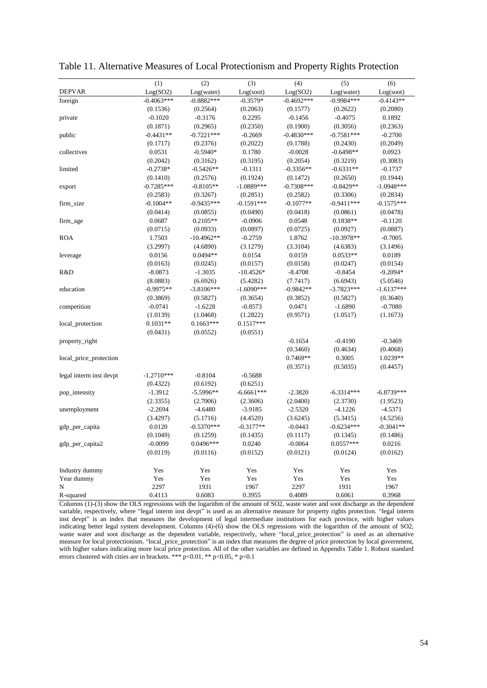|                         | (1)          | (2)          | (3)          | (4)          | (5)          | (6)          |
|-------------------------|--------------|--------------|--------------|--------------|--------------|--------------|
| <b>DEPVAR</b>           | Log(SO2)     | Log(water)   | Log(soot)    | Log(SO2)     | Log(water)   | Log(soot)    |
| foreign                 | $-0.4063***$ | $-0.8882***$ | $-0.3579*$   | $-0.4692***$ | $-0.9984***$ | $-0.4143**$  |
|                         | (0.1536)     | (0.2564)     | (0.2063)     | (0.1577)     | (0.2622)     | (0.2080)     |
| private                 | $-0.1020$    | $-0.3176$    | 0.2295       | $-0.1456$    | $-0.4075$    | 0.1892       |
|                         | (0.1871)     | (0.2965)     | (0.2350)     | (0.1900)     | (0.3056)     | (0.2363)     |
| public                  | $-0.4431**$  | $-0.7221***$ | $-0.2669$    | $-0.4830***$ | $-0.7581***$ | $-0.2700$    |
|                         | (0.1717)     | (0.2376)     | (0.2022)     | (0.1788)     | (0.2430)     | (0.2049)     |
| collectives             | 0.0531       | $-0.5940*$   | 0.1780       | $-0.0028$    | $-0.6498**$  | 0.0923       |
|                         | (0.2042)     | (0.3162)     | (0.3195)     | (0.2054)     | (0.3219)     | (0.3083)     |
| limited                 | $-0.2738*$   | $-0.5426**$  | $-0.1311$    | $-0.3356**$  | $-0.6331**$  | $-0.1737$    |
|                         | (0.1410)     | (0.2576)     | (0.1924)     | (0.1472)     | (0.2650)     | (0.1944)     |
| export                  | $-0.7285***$ | $-0.8105**$  | $-1.0889***$ | $-0.7308***$ | $-0.8429**$  | $-1.0948***$ |
|                         | (0.2583)     | (0.3267)     | (0.2851)     | (0.2582)     | (0.3306)     | (0.2834)     |
| firm_size               | $-0.1004**$  | $-0.9435***$ | $-0.1591***$ | $-0.1077**$  | $-0.9411***$ | $-0.1575***$ |
|                         | (0.0414)     | (0.0855)     | (0.0490)     | (0.0418)     | (0.0861)     | (0.0478)     |
| firm_age                | 0.0687       | $0.2105**$   | $-0.0906$    | 0.0548       | $0.1838**$   | $-0.1120$    |
|                         | (0.0715)     | (0.0933)     | (0.0897)     | (0.0725)     | (0.0927)     | (0.0887)     |
| <b>ROA</b>              | 1.7503       | $-10.4962**$ | $-0.2759$    | 1.8762       | $-10.3978**$ | $-0.7005$    |
|                         | (3.2997)     | (4.6890)     | (3.1279)     | (3.3104)     | (4.6383)     | (3.1496)     |
| leverage                | 0.0156       | $0.0494**$   | 0.0154       | 0.0159       | $0.0533**$   | 0.0189       |
|                         | (0.0163)     | (0.0245)     | (0.0157)     | (0.0158)     | (0.0247)     | (0.0154)     |
| R&D                     | $-8.0873$    | $-1.3035$    | $-10.4526*$  | $-8.4708$    | $-0.8454$    | $-9.2094*$   |
|                         | (8.0883)     | (6.6926)     | (5.4282)     | (7.7417)     | (6.6943)     | (5.0546)     |
| education               | $-0.9975**$  | $-3.8106***$ | $-1.6090***$ | $-0.9842**$  | $-3.7823***$ | $-1.6137***$ |
|                         | (0.3869)     | (0.5827)     | (0.3654)     | (0.3852)     | (0.5827)     | (0.3640)     |
| competition             | $-0.0741$    | $-1.6228$    | $-0.8573$    | 0.0471       | $-1.6890$    | $-0.7080$    |
|                         | (1.0139)     | (1.0468)     | (1.2822)     | (0.9571)     | (1.0517)     | (1.1673)     |
| local_protection        | $0.1031**$   | $0.1663***$  | $0.1517***$  |              |              |              |
|                         | (0.0431)     | (0.0552)     | (0.0551)     |              |              |              |
| property_right          |              |              |              | $-0.1654$    | $-0.4190$    | $-0.3469$    |
|                         |              |              |              | (0.3460)     | (0.4634)     | (0.4068)     |
| local_price_protection  |              |              |              | 0.7469**     | 0.3005       | 1.0239**     |
|                         |              |              |              | (0.3571)     | (0.5035)     | (0.4457)     |
| legal interm inst devpt | $-1.2710***$ | $-0.8104$    | $-0.5688$    |              |              |              |
|                         | (0.4322)     | (0.6192)     | (0.6251)     |              |              |              |
| pop_intensity           | $-1.3912$    | $-5.5996**$  | $-6.6661***$ | $-2.3820$    | $-6.3314***$ | $-6.8739***$ |
|                         | (2.3355)     | (2.7006)     | (2.3606)     | (2.0400)     | (2.3730)     | (1.9523)     |
| unemployment            | $-2.2694$    | $-4.6480$    | $-3.9185$    | $-2.5320$    | $-4.1226$    | $-4.5371$    |
|                         | (3.4297)     | (5.1716)     | (4.4520)     | (3.6245)     | (5.3415)     | (4.5256)     |
| gdp_per_capita          | 0.0120       | $-0.5370***$ | $-0.3177**$  | $-0.0443$    | $-0.6234***$ | $-0.3041**$  |
|                         | (0.1049)     | (0.1259)     | (0.1435)     | (0.1117)     | (0.1345)     | (0.1486)     |
| gdp_per_capita2         | $-0.0099$    | $0.0496***$  | 0.0240       | $-0.0064$    | $0.0557***$  | 0.0216       |
|                         | (0.0119)     | (0.0116)     | (0.0152)     | (0.0121)     | (0.0124)     | (0.0162)     |
|                         |              |              |              |              |              |              |
| Industry dummy          | Yes          | Yes          | Yes          | Yes          | Yes          | Yes          |
| Year dummy              | Yes          | Yes          | Yes          | Yes          | Yes          | Yes          |
| N                       | 2297         | 1931         | 1967         | 2297         | 1931         | 1967         |
| R-squared               | 0.4113       | 0.6083       | 0.3955       | 0.4089       | 0.6061       | 0.3968       |

Table 11. Alternative Measures of Local Protectionism and Property Rights Protection

Columns (1)-(3) show the OLS regressions with the logarithm of the amount of SO2, waste water and soot discharge as the dependent variable, respectively, where "legal interm inst devpt" is used as an alternative measure for property rights protection. "legal interm inst devpt" is an index that measures the development of legal intermediate institutions for each province, with higher values indicating better legal system development. Columns (4)-(6) show the OLS regressions with the logarithm of the amount of SO2, waste water and soot discharge as the dependent variable, respectively, where "local\_price\_protection" is used as an alternative measure for local protectionism. "local\_price\_protection" is an index that measures the degree of price protection by local government, with higher values indicating more local price protection. All of the other variables are defined in Appendix Table 1. Robust standard errors clustered with cities are in brackets. \*\*\* p<0.01, \*\* p<0.05, \* p<0.1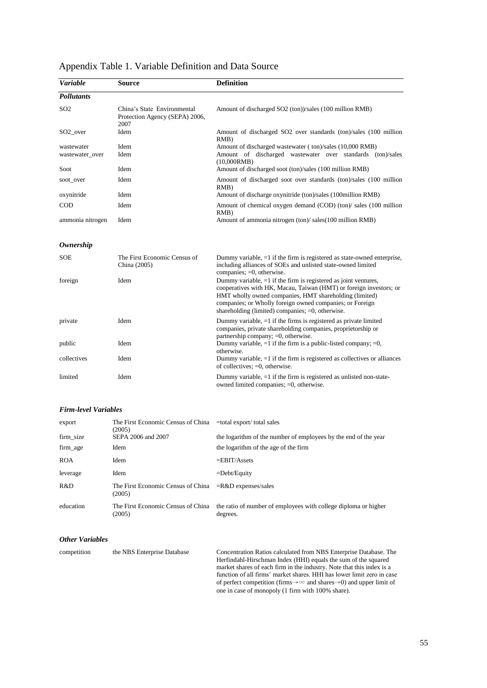| <b>Variable</b>      | Source                                                                | <b>Definition</b>                                                                                                                                                                                                                                                                                                  |
|----------------------|-----------------------------------------------------------------------|--------------------------------------------------------------------------------------------------------------------------------------------------------------------------------------------------------------------------------------------------------------------------------------------------------------------|
| <b>Pollutants</b>    |                                                                       |                                                                                                                                                                                                                                                                                                                    |
| SO <sub>2</sub>      | China's State Environmental<br>Protection Agency (SEPA) 2006,<br>2007 | Amount of discharged SO2 (ton))/sales (100 million RMB)                                                                                                                                                                                                                                                            |
| SO <sub>2_over</sub> | Idem                                                                  | Amount of discharged SO2 over standards (ton)/sales (100 million<br>RMB)                                                                                                                                                                                                                                           |
| wastewater           | Idem                                                                  | Amount of discharged wastewater (ton)/sales (10,000 RMB)                                                                                                                                                                                                                                                           |
| wastewater_over      | Idem                                                                  | Amount of discharged wastewater over standards (ton)/sales<br>(10,000RMB)                                                                                                                                                                                                                                          |
| Soot                 | Idem                                                                  | Amount of discharged soot (ton)/sales (100 million RMB)                                                                                                                                                                                                                                                            |
| soot_over            | Idem                                                                  | Amount of discharged soot over standards (ton)/sales (100 million<br>RMB)                                                                                                                                                                                                                                          |
| oxynitride           | Idem                                                                  | Amount of discharge oxynitride (ton)/sales (100million RMB)                                                                                                                                                                                                                                                        |
| COD                  | Idem                                                                  | Amount of chemical oxygen demand (COD) (ton) sales (100 million<br>RMB)                                                                                                                                                                                                                                            |
| ammonia nitrogen     | Idem                                                                  | Amount of ammonia nitrogen (ton)/ sales(100 million RMB)                                                                                                                                                                                                                                                           |
| <b>Ownership</b>     |                                                                       |                                                                                                                                                                                                                                                                                                                    |
| <b>SOE</b>           | The First Economic Census of<br>China (2005)                          | Dummy variable, $=1$ if the firm is registered as state-owned enterprise,<br>including alliances of SOEs and unlisted state-owned limited<br>companies; $=0$ , otherwise.                                                                                                                                          |
| foreign              | Idem                                                                  | Dummy variable, =1 if the firm is registered as joint ventures,<br>cooperatives with HK, Macau, Taiwan (HMT) or foreign investors; or<br>HMT wholly owned companies, HMT shareholding (limited)<br>companies; or Wholly foreign owned companies; or Foreign<br>shareholding (limited) companies; $=0$ , otherwise. |
| private              | Idem                                                                  | Dummy variable, $=1$ if the firms is registered as private limited<br>companies, private shareholding companies, proprietorship or<br>partnership company; =0, otherwise.                                                                                                                                          |
| public               | Idem                                                                  | Dummy variable, $=1$ if the firm is a public-listed company; $=0$ ,<br>otherwise.                                                                                                                                                                                                                                  |
| collectives          | Idem                                                                  | Dummy variable, $=1$ if the firm is registered as collectives or alliances<br>of collectives; $=0$ , otherwise.                                                                                                                                                                                                    |
| limited              | Idem                                                                  | Dummy variable, $=1$ if the firm is registered as unlisted non-state-<br>owned limited companies; =0, otherwise.                                                                                                                                                                                                   |
|                      |                                                                       |                                                                                                                                                                                                                                                                                                                    |

## Appendix Table 1. Variable Definition and Data Source

#### *Firm-level Variables*

| export     | The First Economic Census of China<br>(2005) | $=$ total export/total sales                                                |
|------------|----------------------------------------------|-----------------------------------------------------------------------------|
| firm size  | SEPA 2006 and 2007                           | the logarithm of the number of employees by the end of the year             |
| firm_age   | <b>Idem</b>                                  | the logarithm of the age of the firm                                        |
| <b>ROA</b> | <b>Idem</b>                                  | $=$ EBIT/Assets                                                             |
| leverage   | Idem                                         | $=$ Debt/Equity                                                             |
| R&D        | The First Economic Census of China<br>(2005) | $=R&D$ expenses/sales                                                       |
| education  | The First Economic Census of China<br>(2005) | the ratio of number of employees with college diploma or higher<br>degrees. |

#### *Other Variables*

| competition | the NBS Enterprise Database | Concentration Ratios calculated from NBS Enterprise Database. The                                 |
|-------------|-----------------------------|---------------------------------------------------------------------------------------------------|
|             |                             | Herfindahl-Hirschman Index (HHI) equals the sum of the squared                                    |
|             |                             | market shares of each firm in the industry. Note that this index is a                             |
|             |                             | function of all firms' market shares. HHI has lower limit zero in case                            |
|             |                             | of perfect competition (firms $\rightarrow \infty$ and shares $\rightarrow$ 0) and upper limit of |
|             |                             | one in case of monopoly (1 firm with 100% share).                                                 |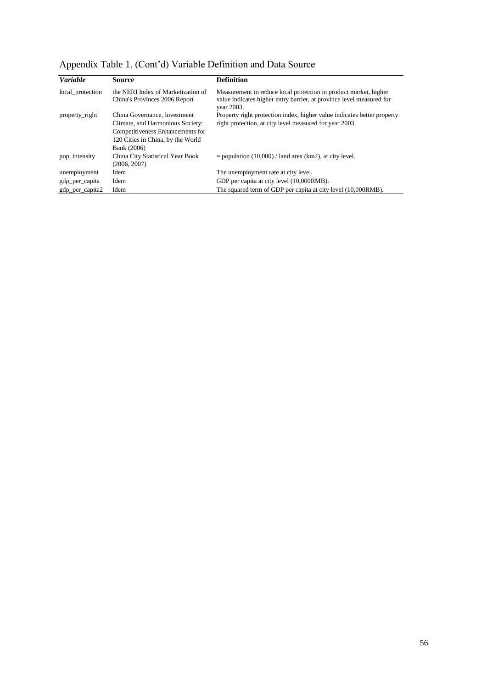|  | Appendix Table 1. (Cont'd) Variable Definition and Data Source |  |  |
|--|----------------------------------------------------------------|--|--|
|  |                                                                |  |  |

| <b>Variable</b>  | Source                                                              | <b>Definition</b>                                                                                                                                      |
|------------------|---------------------------------------------------------------------|--------------------------------------------------------------------------------------------------------------------------------------------------------|
| local_protection | the NERI Index of Marketization of<br>China's Provinces 2006 Report | Measurement to reduce local protection in product market, higher<br>value indicates higher entry barrier, at province level measured for<br>year 2003. |
| property_right   | China Governance, Investment                                        | Property right protection index, higher value indicates better property                                                                                |
|                  | Climate, and Harmonious Society:                                    | right protection, at city level measured for year 2003.                                                                                                |
|                  | Competitiveness Enhancements for                                    |                                                                                                                                                        |
|                  | 120 Cities in China, by the World                                   |                                                                                                                                                        |
|                  | Bank (2006)                                                         |                                                                                                                                                        |
| pop_intensity    | China City Statistical Year Book                                    | $=$ population (10,000) / land area (km2), at city level.                                                                                              |
|                  | (2006, 2007)                                                        |                                                                                                                                                        |
| unemployment     | Idem                                                                | The unemployment rate at city level.                                                                                                                   |
| gdp_per_capita   | Idem                                                                | GDP per capita at city level (10,000RMB).                                                                                                              |
| gdp_per_capita2  | Idem                                                                | The squared term of GDP per capita at city level (10,000RMB).                                                                                          |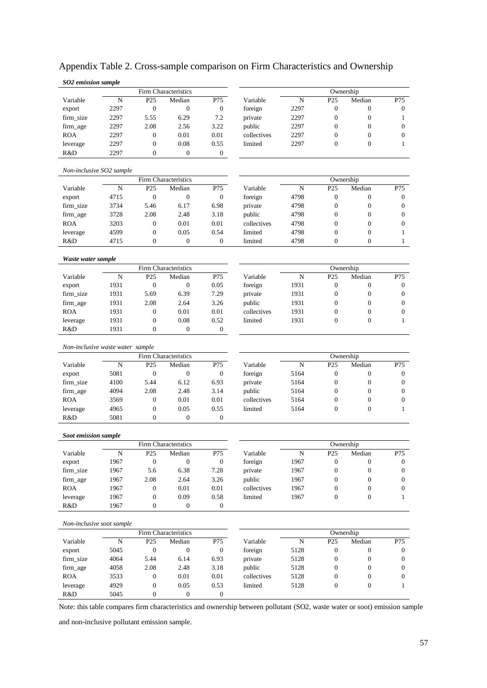| SO2 emission sample              |              |                                      |                          |                          |             |             |                  |                  |                  |
|----------------------------------|--------------|--------------------------------------|--------------------------|--------------------------|-------------|-------------|------------------|------------------|------------------|
|                                  |              |                                      | Firm Characteristics     |                          |             |             |                  | Ownership        |                  |
| Variable                         | N            | P <sub>25</sub>                      | Median                   | P75                      | Variable    | $\mathbf N$ | P <sub>25</sub>  | Median           | P75              |
| export                           | 2297         | $\mathbf{0}$                         | $\mathbf{0}$             | $\mathbf{0}$             | foreign     | 2297        | $\boldsymbol{0}$ | $\mathbf{0}$     | $\boldsymbol{0}$ |
| firm_size                        | 2297         | 5.55                                 | 6.29                     | 7.2                      | private     | 2297        | $\boldsymbol{0}$ | $\boldsymbol{0}$ | $\mathbf{1}$     |
| firm_age                         | 2297         | 2.08                                 | 2.56                     | 3.22                     | public      | 2297        | $\mathbf{0}$     | $\boldsymbol{0}$ | $\mathbf{0}$     |
| <b>ROA</b>                       | 2297         | $\mathbf{0}$                         | 0.01                     | 0.01                     | collectives | 2297        | $\mathbf{0}$     | $\mathbf{0}$     | $\mathbf{0}$     |
| leverage                         | 2297         | $\boldsymbol{0}$                     | 0.08                     | 0.55                     | limited     | 2297        | $\mathbf{0}$     | $\mathbf{0}$     | 1                |
| R&D                              | 2297         | $\mathbf{0}$                         | $\mathbf{0}$             | $\mathbf{0}$             |             |             |                  |                  |                  |
| Non-inclusive SO2 sample         |              |                                      |                          |                          |             |             |                  |                  |                  |
|                                  |              |                                      | Firm Characteristics     |                          |             |             |                  | Ownership        |                  |
| Variable                         | N            | P <sub>25</sub>                      | Median                   | P75                      | Variable    | N           | P <sub>25</sub>  | Median           | P75              |
| export                           | 4715         | $\mathbf{0}$                         | $\boldsymbol{0}$         | $\mathbf{0}$             | foreign     | 4798        | $\boldsymbol{0}$ | $\boldsymbol{0}$ | $\boldsymbol{0}$ |
| firm_size                        | 3734         | 5.46                                 | 6.17                     | 6.98                     | private     | 4798        | $\boldsymbol{0}$ | $\boldsymbol{0}$ | $\boldsymbol{0}$ |
| firm_age                         | 3728         | 2.08                                 | 2.48                     | 3.18                     | public      | 4798        | $\mathbf{0}$     | $\boldsymbol{0}$ | $\mathbf{0}$     |
| <b>ROA</b>                       | 3203         | $\mathbf{0}$                         | 0.01                     | 0.01                     | collectives | 4798        | $\mathbf{0}$     | $\mathbf{0}$     | $\mathbf{0}$     |
| leverage                         | 4599         | $\boldsymbol{0}$                     | 0.05                     | 0.54                     | limited     | 4798        | $\mathbf{0}$     | $\boldsymbol{0}$ | 1                |
| R&D                              | 4715         | $\mathbf{0}$                         | $\mathbf{0}$             | $\mathbf{0}$             | limited     | 4798        | $\mathbf{0}$     | $\mathbf{0}$     | $\mathbf{1}$     |
| Waste water sample               |              |                                      |                          |                          |             |             |                  |                  |                  |
|                                  |              |                                      | Firm Characteristics     |                          |             |             |                  | Ownership        |                  |
| Variable                         | N            | P <sub>25</sub>                      | Median                   | P75                      | Variable    | $\mathbf N$ | P <sub>25</sub>  | Median           | P75              |
| export                           | 1931         | $\mathbf{0}$                         | $\boldsymbol{0}$         | 0.05                     | foreign     | 1931        | $\boldsymbol{0}$ | $\boldsymbol{0}$ | $\boldsymbol{0}$ |
| firm_size                        | 1931         | 5.69                                 | 6.39                     | 7.29                     | private     | 1931        | $\boldsymbol{0}$ | $\boldsymbol{0}$ | $\boldsymbol{0}$ |
| firm_age                         | 1931         | 2.08                                 | 2.64                     | 3.26                     | public      | 1931        | $\mathbf{0}$     | $\mathbf{0}$     | $\mathbf{0}$     |
| <b>ROA</b>                       | 1931         | $\mathbf{0}$                         | 0.01                     | 0.01                     | collectives | 1931        | $\mathbf{0}$     | $\mathbf{0}$     | $\mathbf{0}$     |
| leverage                         | 1931         | $\boldsymbol{0}$                     | 0.08                     | 0.52                     | limited     | 1931        | $\mathbf{0}$     | $\mathbf{0}$     | 1                |
| R&D                              | 1931         | $\mathbf{0}$                         | $\theta$                 | $\overline{0}$           |             |             |                  |                  |                  |
| Non-inclusive waste water sample |              |                                      |                          |                          |             |             |                  |                  |                  |
|                                  |              |                                      | Firm Characteristics     |                          |             |             |                  | Ownership        |                  |
| Variable                         | N            | P <sub>25</sub>                      | Median                   | P75                      | Variable    | $\mathbf N$ | P <sub>25</sub>  | Median           | P75              |
| export                           | 5081         | $\mathbf{0}$                         | $\boldsymbol{0}$         | $\boldsymbol{0}$         | foreign     | 5164        | $\boldsymbol{0}$ | $\boldsymbol{0}$ | $\boldsymbol{0}$ |
| firm_size                        | 4100         | 5.44                                 | 6.12                     | 6.93                     | private     | 5164        | $\boldsymbol{0}$ | $\boldsymbol{0}$ | $\boldsymbol{0}$ |
| firm_age                         | 4094         | 2.08                                 | 2.48                     | 3.14                     | public      | 5164        | $\mathbf{0}$     | $\mathbf{0}$     | $\mathbf{0}$     |
| <b>ROA</b>                       | 3569         | $\boldsymbol{0}$                     | 0.01                     | 0.01                     | collectives | 5164        | $\mathbf{0}$     | $\mathbf{0}$     | $\mathbf{0}$     |
| leverage                         | 4965         | $\boldsymbol{0}$                     | 0.05                     | 0.55                     | limited     | 5164        | $\mathbf{0}$     | $\boldsymbol{0}$ | 1                |
| R&D                              | 5081         | $\mathbf{0}$                         | $\mathbf{0}$             | $\overline{0}$           |             |             |                  |                  |                  |
|                                  |              |                                      |                          |                          |             |             |                  |                  |                  |
| Soot emission sample             |              |                                      | Firm Characteristics     |                          |             |             |                  | Ownership        |                  |
| Variable                         | ${\bf N}$    | P <sub>25</sub>                      | Median                   | P75                      | Variable    | ${\bf N}$   | P <sub>25</sub>  | Median           | P75              |
| export                           | 1967         | $\boldsymbol{0}$                     | $\boldsymbol{0}$         | $\boldsymbol{0}$         | foreign     | 1967        | $\boldsymbol{0}$ | $\mathbf{0}$     | $\overline{0}$   |
| firm_size                        | 1967         | 5.6                                  | 6.38                     | 7.28                     | private     | 1967        | $\boldsymbol{0}$ | $\boldsymbol{0}$ | $\overline{0}$   |
| firm_age                         | 1967         | 2.08                                 | 2.64                     | 3.26                     | public      | 1967        | $\boldsymbol{0}$ | $\boldsymbol{0}$ | $\boldsymbol{0}$ |
| <b>ROA</b>                       | 1967         |                                      | 0.01                     |                          | collectives | 1967        | $\boldsymbol{0}$ | $\boldsymbol{0}$ | $\overline{0}$   |
|                                  |              | $\boldsymbol{0}$                     |                          | $0.01\,$                 |             |             |                  |                  |                  |
| leverage<br>R&D                  | 1967<br>1967 | $\boldsymbol{0}$<br>$\boldsymbol{0}$ | 0.09<br>$\boldsymbol{0}$ | 0.58<br>$\boldsymbol{0}$ | limited     | 1967        | $\boldsymbol{0}$ | $\boldsymbol{0}$ | $\mathbf{1}$     |
|                                  |              |                                      |                          |                          |             |             |                  |                  |                  |
| Non-inclusive soot sample        |              |                                      | Firm Characteristics     |                          |             |             |                  | Ownership        |                  |
| Variable                         | N            | P <sub>25</sub>                      | Median                   | P75                      | Variable    | ${\bf N}$   | P <sub>25</sub>  | Median           | P75              |
|                                  |              | $\boldsymbol{0}$                     | $\boldsymbol{0}$         | $\boldsymbol{0}$         |             |             | $\boldsymbol{0}$ |                  | $\overline{0}$   |
| export                           | 5045         |                                      |                          |                          | foreign     | 5128        |                  | $\boldsymbol{0}$ |                  |
| firm_size                        | 4064         | 5.44                                 | 6.14                     | 6.93                     | private     | 5128        | $\boldsymbol{0}$ | $\boldsymbol{0}$ | $\overline{0}$   |
| firm_age                         | 4058         | 2.08                                 | 2.48                     | 3.18                     | public      | 5128        | $\boldsymbol{0}$ | $\boldsymbol{0}$ | $\boldsymbol{0}$ |
| <b>ROA</b>                       | 3533         | $\boldsymbol{0}$                     | 0.01                     | $0.01\,$                 | collectives | 5128        | $\boldsymbol{0}$ | $\boldsymbol{0}$ | $\overline{0}$   |
| leverage                         | 4929         | $\boldsymbol{0}$                     | 0.05                     | 0.53                     | limited     | 5128        | $\boldsymbol{0}$ | $\boldsymbol{0}$ | $\mathbf{1}$     |
| R&D                              | 5045         | $\boldsymbol{0}$                     | $\boldsymbol{0}$         | $\boldsymbol{0}$         |             |             |                  |                  |                  |

### Appendix Table 2. Cross-sample comparison on Firm Characteristics and Ownership

Note: this table compares firm characteristics and ownership between pollutant (SO2, waste water or soot) emission sample

and non-inclusive pollutant emission sample.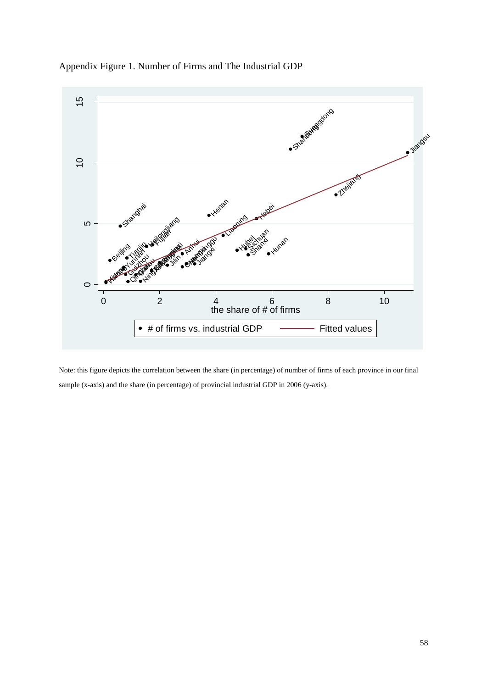Appendix Figure 1. Number of Firms and The Industrial GDP



Note: this figure depicts the correlation between the share (in percentage) of number of firms of each province in our final sample (x-axis) and the share (in percentage) of provincial industrial GDP in 2006 (y-axis).